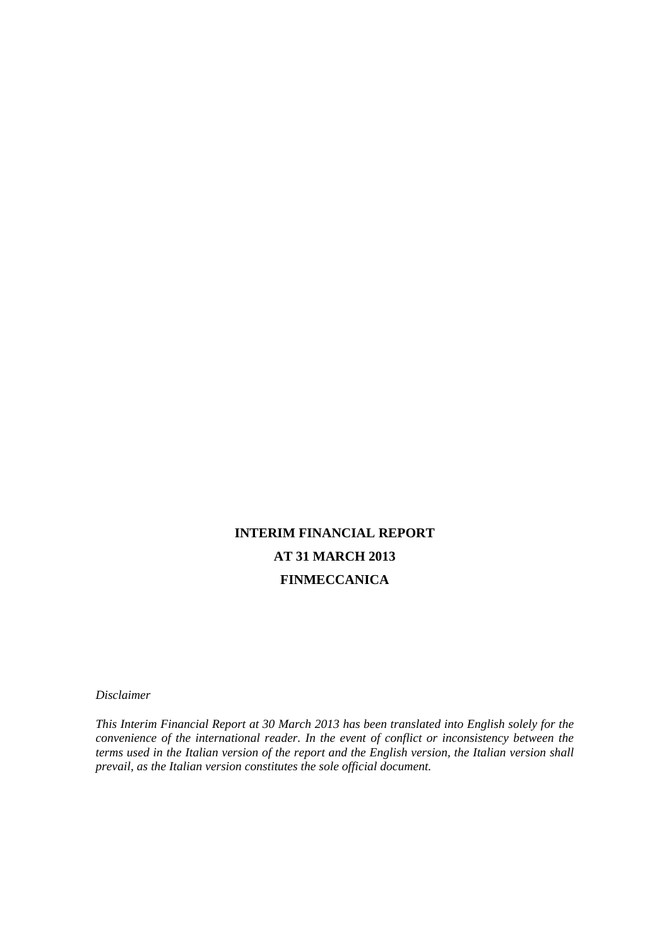# **INTERIM FINANCIAL REPORT AT 31 MARCH 2013 FINMECCANICA**

*Disclaimer* 

*This Interim Financial Report at 30 March 2013 has been translated into English solely for the convenience of the international reader. In the event of conflict or inconsistency between the terms used in the Italian version of the report and the English version, the Italian version shall prevail, as the Italian version constitutes the sole official document.*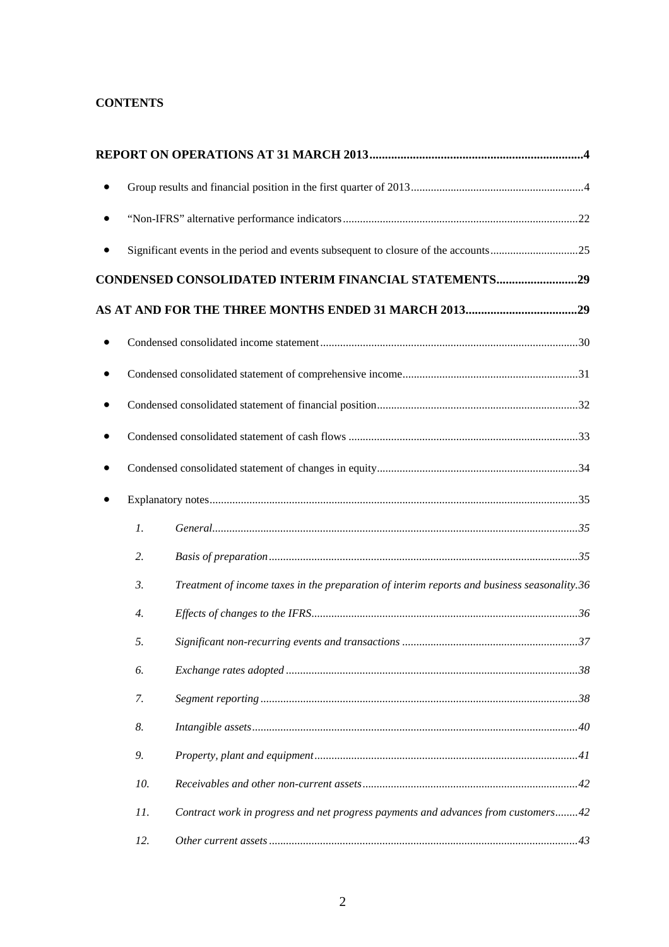# **CONTENTS**

| $\bullet$        |                                                                                             |  |
|------------------|---------------------------------------------------------------------------------------------|--|
|                  |                                                                                             |  |
|                  | CONDENSED CONSOLIDATED INTERIM FINANCIAL STATEMENTS29                                       |  |
|                  |                                                                                             |  |
| $\bullet$        |                                                                                             |  |
|                  |                                                                                             |  |
|                  |                                                                                             |  |
| $\bullet$        |                                                                                             |  |
|                  |                                                                                             |  |
|                  |                                                                                             |  |
| $\mathfrak{1}.$  |                                                                                             |  |
| 2.               |                                                                                             |  |
| $\mathfrak{Z}$ . | Treatment of income taxes in the preparation of interim reports and business seasonality.36 |  |
| $\overline{4}$ . |                                                                                             |  |
| 5.               |                                                                                             |  |
| 6.               |                                                                                             |  |
| 7.               |                                                                                             |  |
| 8.               |                                                                                             |  |
| 9.               |                                                                                             |  |
| 10.              |                                                                                             |  |
| 11.              | Contract work in progress and net progress payments and advances from customers42           |  |
| 12.              |                                                                                             |  |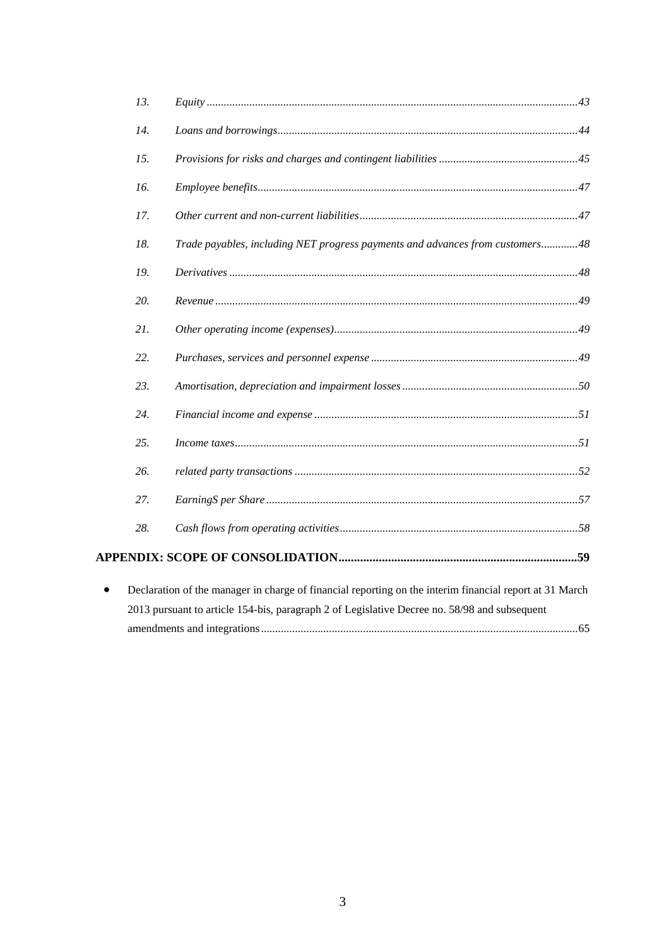|           | 13. |                                                                                                         |
|-----------|-----|---------------------------------------------------------------------------------------------------------|
|           | 14. |                                                                                                         |
|           | 15. |                                                                                                         |
|           | 16. |                                                                                                         |
|           | 17. |                                                                                                         |
|           | 18. | Trade payables, including NET progress payments and advances from customers48                           |
|           | 19. |                                                                                                         |
|           | 20. |                                                                                                         |
|           | 21. |                                                                                                         |
|           | 22. |                                                                                                         |
|           | 23. |                                                                                                         |
|           | 24. |                                                                                                         |
|           | 25. |                                                                                                         |
|           | 26. |                                                                                                         |
|           | 27. |                                                                                                         |
|           | 28. |                                                                                                         |
|           |     |                                                                                                         |
| $\bullet$ |     | Declaration of the manager in charge of financial reporting on the interim financial report at 31 March |
|           |     | 2013 pursuant to article 154-bis, paragraph 2 of Legislative Decree no. 58/98 and subsequent            |
|           |     |                                                                                                         |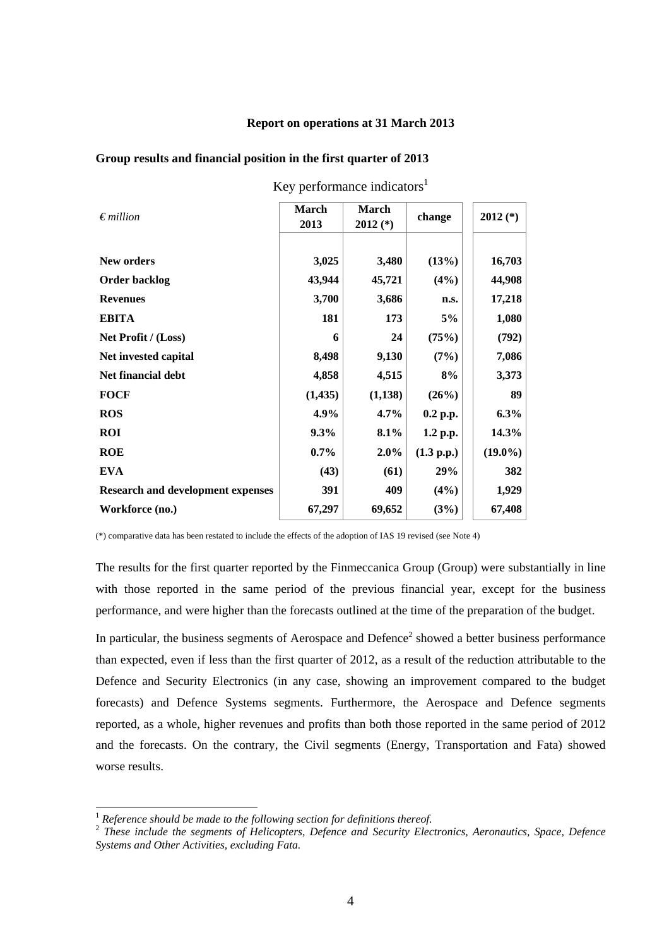#### **Report on operations at 31 March 2013**

| $\epsilon$ <i>million</i>                | <b>March</b><br>2013 | <b>March</b><br>$2012$ (*) | change     | $2012$ (*) |
|------------------------------------------|----------------------|----------------------------|------------|------------|
| <b>New orders</b>                        | 3,025                | 3,480                      | (13%)      | 16,703     |
| <b>Order backlog</b>                     | 43,944               | 45,721                     | $(4\%)$    | 44,908     |
| <b>Revenues</b>                          | 3,700                | 3,686                      | n.s.       | 17,218     |
| <b>EBITA</b>                             | 181                  | 173                        | 5%         | 1,080      |
| Net Profit / (Loss)                      | 6                    | 24                         | (75%)      | (792)      |
| Net invested capital                     | 8,498                | 9,130                      | (7%)       | 7,086      |
| Net financial debt                       | 4,858                | 4,515                      | 8%         | 3,373      |
| <b>FOCF</b>                              | (1, 435)             | (1,138)                    | (26%)      | 89         |
| <b>ROS</b>                               | 4.9%                 | $4.7\%$                    | $0.2$ p.p. | $6.3\%$    |
| <b>ROI</b>                               | $9.3\%$              | 8.1%                       | 1.2 p.p.   | 14.3%      |
| <b>ROE</b>                               | $0.7\%$              | $2.0\%$                    | (1.3 p.p.) | $(19.0\%)$ |
| <b>EVA</b>                               | (43)                 | (61)                       | 29%        | 382        |
| <b>Research and development expenses</b> | 391                  | 409                        | $(4\%)$    | 1,929      |
| Workforce (no.)                          | 67,297               | 69,652                     | (3%)       | 67,408     |

**Group results and financial position in the first quarter of 2013** 

Key performance indicators $1$ 

(\*) comparative data has been restated to include the effects of the adoption of IAS 19 revised (see Note 4)

The results for the first quarter reported by the Finmeccanica Group (Group) were substantially in line with those reported in the same period of the previous financial year, except for the business performance, and were higher than the forecasts outlined at the time of the preparation of the budget.

In particular, the business segments of Aerospace and Defence<sup>2</sup> showed a better business performance than expected, even if less than the first quarter of 2012, as a result of the reduction attributable to the Defence and Security Electronics (in any case, showing an improvement compared to the budget forecasts) and Defence Systems segments. Furthermore, the Aerospace and Defence segments reported, as a whole, higher revenues and profits than both those reported in the same period of 2012 and the forecasts. On the contrary, the Civil segments (Energy, Transportation and Fata) showed worse results.

l

<sup>1</sup> *Reference should be made to the following section for definitions thereof.* 

<sup>2</sup> *These include the segments of Helicopters, Defence and Security Electronics, Aeronautics, Space, Defence Systems and Other Activities, excluding Fata.*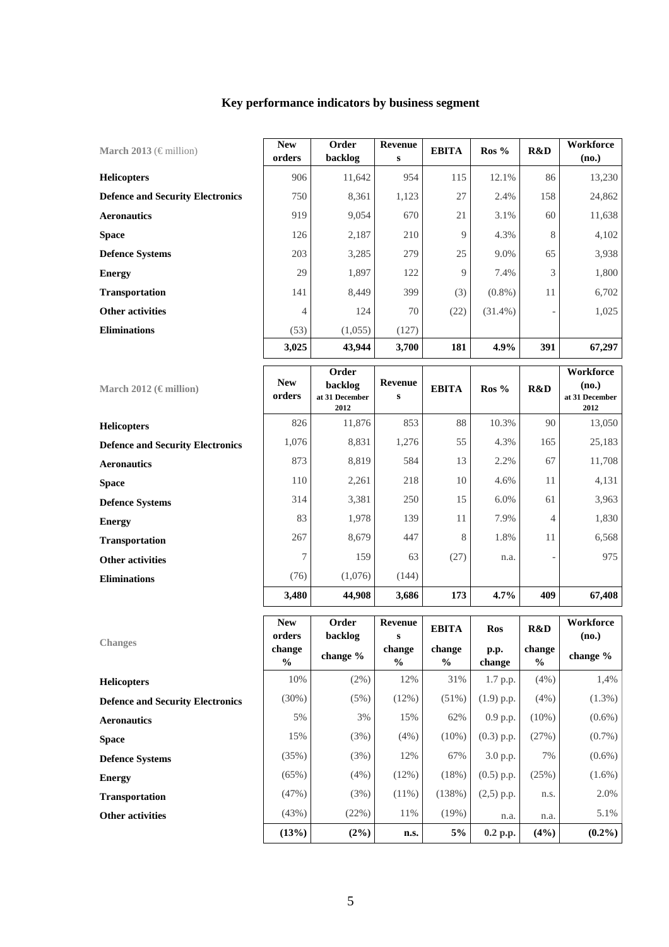| Key performance indicators by business segment |  |
|------------------------------------------------|--|
|------------------------------------------------|--|

| March 2013 ( $\in$ million)             | <b>New</b><br>orders | Order<br>backlog | Revenue<br>s | <b>EBITA</b> | $\text{Ros } \%$ | R&D | Workforce<br>(no.) |
|-----------------------------------------|----------------------|------------------|--------------|--------------|------------------|-----|--------------------|
| <b>Helicopters</b>                      | 906                  | 11,642           | 954          | 115          | 12.1%            | 86  | 13,230             |
| <b>Defence and Security Electronics</b> | 750                  | 8,361            | 1,123        | 27           | 2.4%             | 158 | 24,862             |
| <b>Aeronautics</b>                      | 919                  | 9,054            | 670          | 21           | 3.1%             | 60  | 11,638             |
| <b>Space</b>                            | 126                  | 2,187            | 210          | 9            | 4.3%             | 8   | 4,102              |
| <b>Defence Systems</b>                  | 203                  | 3,285            | 279          | 25           | 9.0%             | 65  | 3,938              |
| <b>Energy</b>                           | 29                   | 1,897            | 122          | 9            | 7.4%             | 3   | 1,800              |
| <b>Transportation</b>                   | 141                  | 8,449            | 399          | (3)          | $(0.8\%)$        | 11  | 6,702              |
| <b>Other activities</b>                 | 4                    | 124              | 70           | (22)         | $(31.4\%)$       |     | 1,025              |
| <b>Eliminations</b>                     | (53)                 | (1,055)          | (127)        |              |                  |     |                    |
|                                         | 3,025                | 43,944           | 3,700        | 181          | 4.9%             | 391 | 67,297             |

| March 2012 ( $\epsilon$ million)        | <b>New</b><br>orders | Order<br>backlog<br>at 31 December<br>2012 | Revenue<br>S | <b>EBITA</b> | $\text{Ros } \%$ | R&D | Workforce<br>(no.)<br>at 31 December<br>2012 |
|-----------------------------------------|----------------------|--------------------------------------------|--------------|--------------|------------------|-----|----------------------------------------------|
| <b>Helicopters</b>                      | 826                  | 11,876                                     | 853          | 88           | 10.3%            | 90  | 13,050                                       |
| <b>Defence and Security Electronics</b> | 1,076                | 8,831                                      | 1,276        | 55           | 4.3%             | 165 | 25,183                                       |
| <b>Aeronautics</b>                      | 873                  | 8,819                                      | 584          | 13           | 2.2%             | 67  | 11,708                                       |
| <b>Space</b>                            | 110                  | 2,261                                      | 218          | 10           | 4.6%             | 11  | 4,131                                        |
| <b>Defence Systems</b>                  | 314                  | 3,381                                      | 250          | 15           | $6.0\%$          | 61  | 3,963                                        |
| <b>Energy</b>                           | 83                   | 1,978                                      | 139          | 11           | 7.9%             | 4   | 1,830                                        |
| <b>Transportation</b>                   | 267                  | 8,679                                      | 447          | 8            | 1.8%             | 11  | 6,568                                        |
| <b>Other activities</b>                 | 7                    | 159                                        | 63           | (27)         | n.a.             |     | 975                                          |
| <b>Eliminations</b>                     | (76)                 | (1,076)                                    | (144)        |              |                  |     |                                              |
|                                         | 3,480                | 44,908                                     | 3,686        | 173          | $4.7\%$          | 409 | 67,408                                       |

|                                         | <b>New</b><br>orders | Order<br>backlog | Revenue<br>s            | <b>EBITA</b>   | <b>Ros</b>     | R&D                     | Workforce<br>(no.) |
|-----------------------------------------|----------------------|------------------|-------------------------|----------------|----------------|-------------------------|--------------------|
| <b>Changes</b>                          | change<br>$\%$       | change %         | change<br>$\frac{6}{6}$ | change<br>$\%$ | p.p.<br>change | change<br>$\frac{6}{9}$ | change $%$         |
| <b>Helicopters</b>                      | 10%                  | (2%)             | 12%                     | 31%            | 1.7 p.p.       | (4%)                    | 1,4%               |
| <b>Defence and Security Electronics</b> | $(30\%)$             | (5%)             | (12%)                   | $(51\%)$       | $(1.9)$ p.p.   | (4%)                    | $(1.3\%)$          |
| <b>Aeronautics</b>                      | 5%                   | 3%               | 15%                     | 62%            | 0.9 p.p.       | $(10\%)$                | $(0.6\%)$          |
| <b>Space</b>                            | 15%                  | (3%)             | (4% )                   | $(10\%)$       | $(0.3)$ p.p.   | (27%)                   | $(0.7\%)$          |
| <b>Defence Systems</b>                  | (35%)                | (3%)             | 12%                     | 67%            | 3.0 p.p.       | 7%                      | $(0.6\%)$          |
| <b>Energy</b>                           | $(65\%)$             | (4% )            | $(12\%)$                | (18%)          | $(0.5)$ p.p.   | (25%)                   | $(1.6\%)$          |
| <b>Transportation</b>                   | (47%)                | (3%)             | $(11\%)$                | (138%)         | $(2,5)$ p.p.   | n.s.                    | 2.0%               |
| <b>Other activities</b>                 | (43%)                | (22%)            | 11%                     | (19%)          | n.a.           | n.a.                    | 5.1%               |
|                                         | (13%)                | $(2\%)$          | n.s.                    | $5\%$          | $0.2$ p.p.     | (4%)                    | $(0.2\%)$          |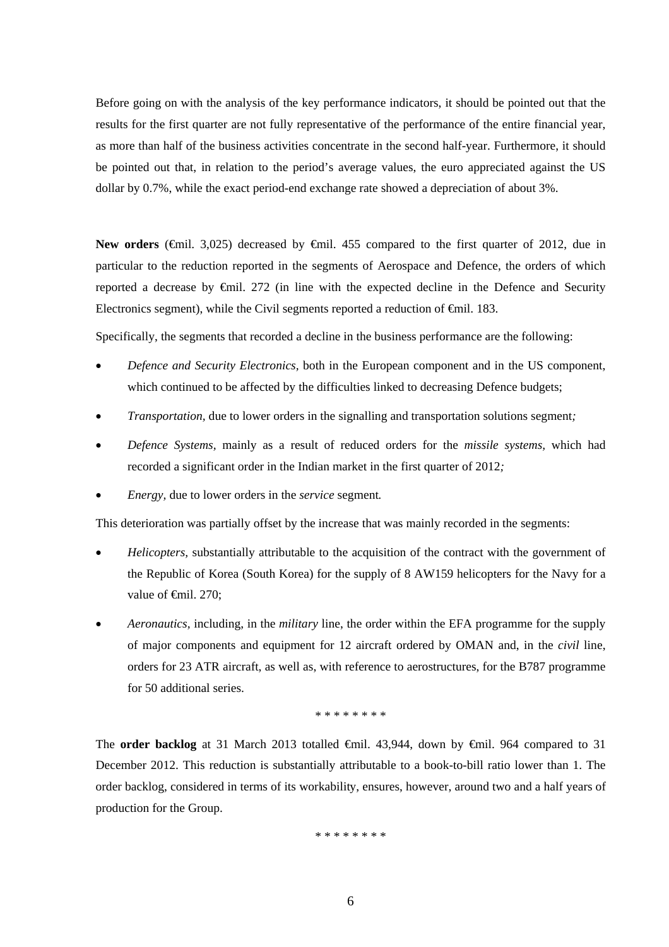Before going on with the analysis of the key performance indicators, it should be pointed out that the results for the first quarter are not fully representative of the performance of the entire financial year, as more than half of the business activities concentrate in the second half-year. Furthermore, it should be pointed out that, in relation to the period's average values, the euro appreciated against the US dollar by 0.7%, while the exact period-end exchange rate showed a depreciation of about 3%.

**New orders** (€mil. 3,025) decreased by €mil. 455 compared to the first quarter of 2012, due in particular to the reduction reported in the segments of Aerospace and Defence, the orders of which reported a decrease by €mil. 272 (in line with the expected decline in the Defence and Security Electronics segment), while the Civil segments reported a reduction of €mil. 183.

Specifically, the segments that recorded a decline in the business performance are the following:

- *Defence and Security Electronics,* both in the European component and in the US component, which continued to be affected by the difficulties linked to decreasing Defence budgets;
- *Transportation,* due to lower orders in the signalling and transportation solutions segment*;*
- *Defence Systems,* mainly as a result of reduced orders for the *missile systems,* which had recorded a significant order in the Indian market in the first quarter of 2012*;*
- *Energy,* due to lower orders in the *service* segment*.*

This deterioration was partially offset by the increase that was mainly recorded in the segments:

- *Helicopters,* substantially attributable to the acquisition of the contract with the government of the Republic of Korea (South Korea) for the supply of 8 AW159 helicopters for the Navy for a value of <del>€mil</del>. 270:
- *Aeronautics,* including, in the *military* line, the order within the EFA programme for the supply of major components and equipment for 12 aircraft ordered by OMAN and, in the *civil* line, orders for 23 ATR aircraft, as well as, with reference to aerostructures, for the B787 programme for 50 additional series.

\* \* \* \* \* \* \* \*

The **order backlog** at 31 March 2013 totalled €mil. 43,944, down by €mil. 964 compared to 31 December 2012. This reduction is substantially attributable to a book-to-bill ratio lower than 1. The order backlog, considered in terms of its workability, ensures, however, around two and a half years of production for the Group.

\* \* \* \* \* \* \* \*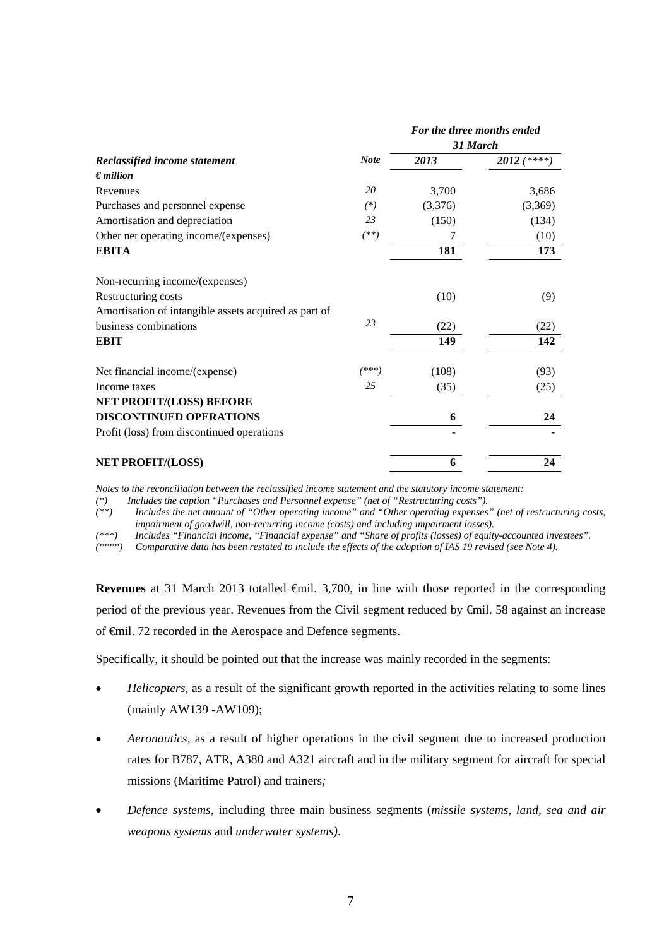|                                                       |             |         | For the three months ended |
|-------------------------------------------------------|-------------|---------|----------------------------|
|                                                       |             |         | 31 March                   |
| Reclassified income statement                         | <b>Note</b> | 2013    | $2012$ (****)              |
| $\epsilon$ <i>million</i>                             |             |         |                            |
| Revenues                                              | 20          | 3,700   | 3,686                      |
| Purchases and personnel expense                       | $^{(*)}$    | (3,376) | (3,369)                    |
| Amortisation and depreciation                         | 23          | (150)   | (134)                      |
| Other net operating income/(expenses)                 | $(***)$     | 7       | (10)                       |
| <b>EBITA</b>                                          |             | 181     | 173                        |
| Non-recurring income/(expenses)                       |             |         |                            |
| Restructuring costs                                   |             | (10)    | (9)                        |
| Amortisation of intangible assets acquired as part of |             |         |                            |
| business combinations                                 | 23          | (22)    | (22)                       |
| <b>EBIT</b>                                           |             | 149     | 142                        |
| Net financial income/(expense)                        | $(***)$     | (108)   | (93)                       |
| Income taxes                                          | 25          | (35)    | (25)                       |
| NET PROFIT/(LOSS) BEFORE                              |             |         |                            |
| <b>DISCONTINUED OPERATIONS</b>                        |             | 6       | 24                         |
| Profit (loss) from discontinued operations            |             |         |                            |
| <b>NET PROFIT/(LOSS)</b>                              |             | 6       | 24                         |

*Notes to the reconciliation between the reclassified income statement and the statutory income statement:* 

*(\*) Includes the caption "Purchases and Personnel expense" (net of "Restructuring costs").* 

*(\*\*) Includes the net amount of "Other operating income" and "Other operating expenses" (net of restructuring costs, impairment of goodwill, non-recurring income (costs) and including impairment losses).* 

*(\*\*\*) Includes "Financial income, "Financial expense" and "Share of profits (losses) of equity-accounted investees".* 

*(\*\*\*\*) Comparative data has been restated to include the effects of the adoption of IAS 19 revised (see Note 4).* 

Revenues at 31 March 2013 totalled €mil. 3,700, in line with those reported in the corresponding period of the previous year. Revenues from the Civil segment reduced by €mil. 58 against an increase of €mil. 72 recorded in the Aerospace and Defence segments.

Specifically, it should be pointed out that the increase was mainly recorded in the segments:

- *Helicopters,* as a result of the significant growth reported in the activities relating to some lines (mainly AW139 -AW109);
- *Aeronautics,* as a result of higher operations in the civil segment due to increased production rates for B787, ATR, A380 and A321 aircraft and in the military segment for aircraft for special missions (Maritime Patrol) and trainers*;*
- *Defence systems,* including three main business segments (*missile systems*, *land, sea and air weapons systems* and *underwater systems)*.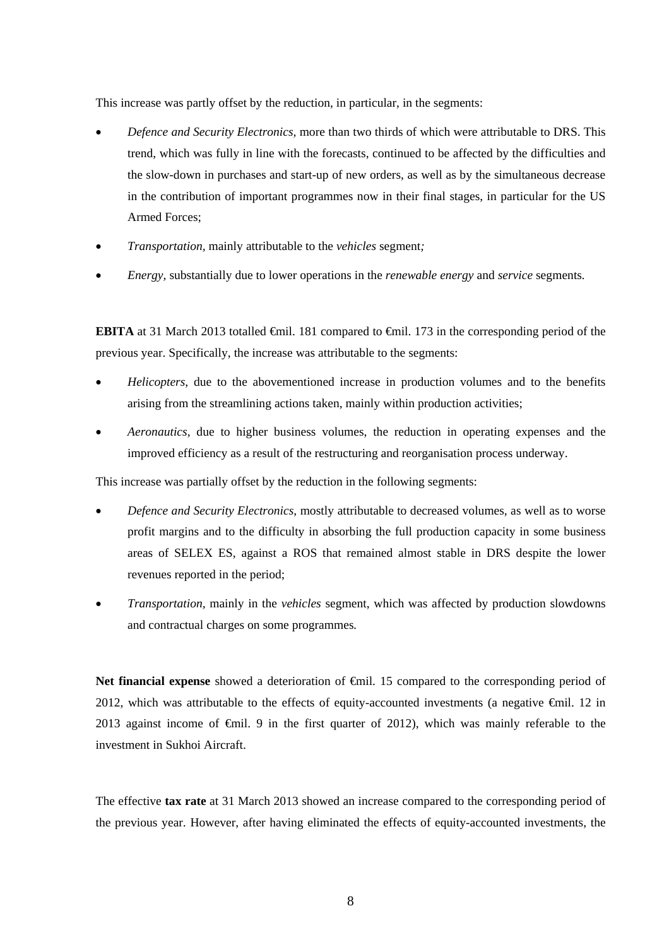This increase was partly offset by the reduction, in particular, in the segments:

- *Defence and Security Electronics,* more than two thirds of which were attributable to DRS. This trend, which was fully in line with the forecasts, continued to be affected by the difficulties and the slow-down in purchases and start-up of new orders, as well as by the simultaneous decrease in the contribution of important programmes now in their final stages, in particular for the US Armed Forces;
- *Transportation,* mainly attributable to the *vehicles* segment*;*
- *Energy,* substantially due to lower operations in the *renewable energy* and *service* segments*.*

**EBITA** at 31 March 2013 totalled <del>€</del>mil. 181 compared to <del>€</del>mil. 173 in the corresponding period of the previous year. Specifically, the increase was attributable to the segments:

- *Helicopters*, due to the abovementioned increase in production volumes and to the benefits arising from the streamlining actions taken, mainly within production activities;
- *Aeronautics,* due to higher business volumes, the reduction in operating expenses and the improved efficiency as a result of the restructuring and reorganisation process underway.

This increase was partially offset by the reduction in the following segments:

- *Defence and Security Electronics*, mostly attributable to decreased volumes, as well as to worse profit margins and to the difficulty in absorbing the full production capacity in some business areas of SELEX ES, against a ROS that remained almost stable in DRS despite the lower revenues reported in the period;
- *Transportation,* mainly in the *vehicles* segment, which was affected by production slowdowns and contractual charges on some programmes*.*

**Net financial expense** showed a deterioration of  $\theta$ mil. 15 compared to the corresponding period of 2012, which was attributable to the effects of equity-accounted investments (a negative €mil. 12 in 2013 against income of €mil. 9 in the first quarter of 2012), which was mainly referable to the investment in Sukhoi Aircraft.

The effective **tax rate** at 31 March 2013 showed an increase compared to the corresponding period of the previous year. However, after having eliminated the effects of equity-accounted investments, the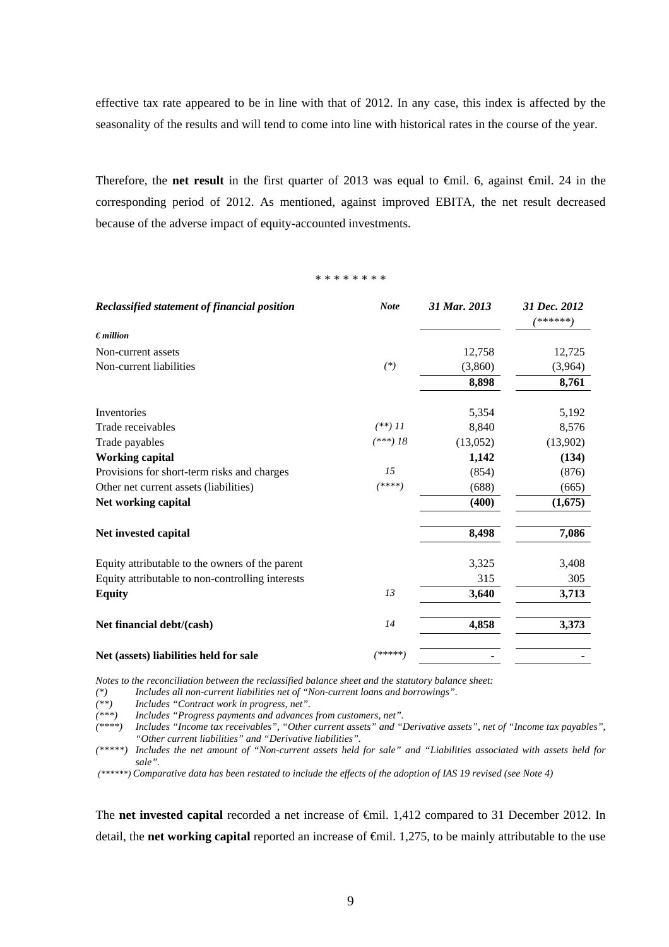effective tax rate appeared to be in line with that of 2012. In any case, this index is affected by the seasonality of the results and will tend to come into line with historical rates in the course of the year.

Therefore, the **net result** in the first quarter of 2013 was equal to €mil. 6, against €mil. 24 in the corresponding period of 2012. As mentioned, against improved EBITA, the net result decreased because of the adverse impact of equity-accounted investments.

\* \* \* \* \* \* \* \*

| Reclassified statement of financial position     | <b>Note</b> | 31 Mar. 2013 | 31 Dec. 2012<br>****** |
|--------------------------------------------------|-------------|--------------|------------------------|
| $\epsilon$ <i>million</i>                        |             |              |                        |
| Non-current assets                               |             | 12,758       | 12,725                 |
| Non-current liabilities                          | $(*)$       | (3,860)      | (3,964)                |
|                                                  |             | 8,898        | 8,761                  |
| Inventories                                      |             | 5,354        | 5,192                  |
| Trade receivables                                | $(**)$ 11   | 8,840        | 8,576                  |
| Trade payables                                   | $(***)$ 18  | (13,052)     | (13,902)               |
| <b>Working capital</b>                           |             | 1,142        | (134)                  |
| Provisions for short-term risks and charges      | 15          | (854)        | (876)                  |
| Other net current assets (liabilities)           | (****)      | (688)        | (665)                  |
| Net working capital                              |             | (400)        | (1,675)                |
| Net invested capital                             |             | 8,498        | 7,086                  |
| Equity attributable to the owners of the parent  |             | 3,325        | 3,408                  |
| Equity attributable to non-controlling interests |             | 315          | 305                    |
| <b>Equity</b>                                    | 13          | 3,640        | 3,713                  |
| Net financial debt/(cash)                        | 14          | 4,858        | 3,373                  |
| Net (assets) liabilities held for sale           | /*****)     |              |                        |

*Notes to the reconciliation between the reclassified balance sheet and the statutory balance sheet:* 

*(\*) Includes all non-current liabilities net of "Non-current loans and borrowings".* 

*(\*\*) Includes "Contract work in progress, net".* 

*(\*\*\*) Includes "Progress payments and advances from customers, net".* 

*(\*\*\*\*) Includes "Income tax receivables", "Other current assets" and "Derivative assets", net of "Income tax payables", "Other current liabilities" and "Derivative liabilities".* 

*(\*\*\*\*\*) Includes the net amount of "Non-current assets held for sale" and "Liabilities associated with assets held for sale".* 

 *(\*\*\*\*\*\*) Comparative data has been restated to include the effects of the adoption of IAS 19 revised (see Note 4)* 

The **net invested capital** recorded a net increase of €mil. 1,412 compared to 31 December 2012. In detail, the **net working capital** reported an increase of €mil. 1,275, to be mainly attributable to the use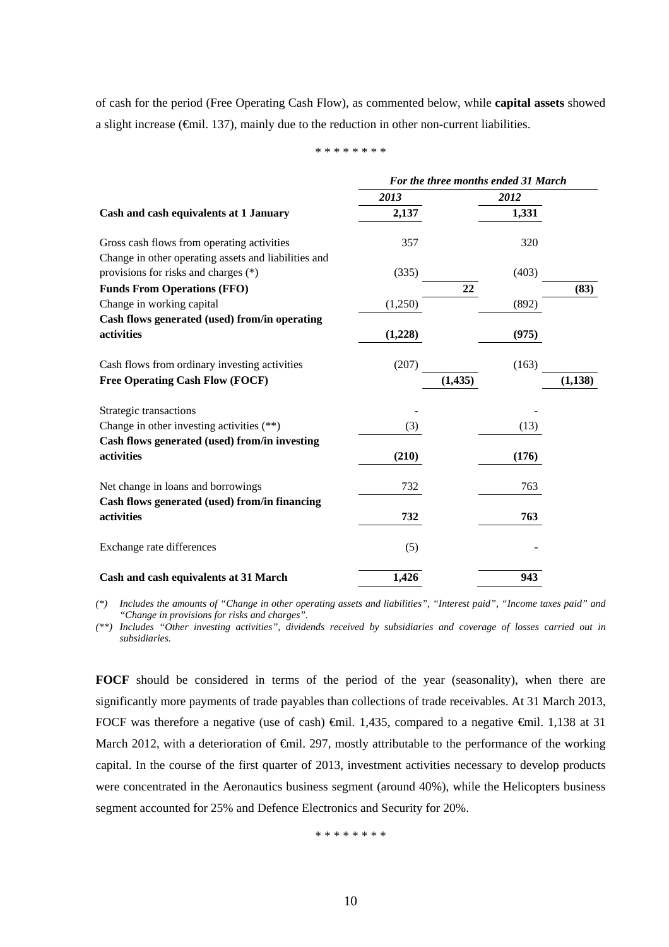of cash for the period (Free Operating Cash Flow), as commented below, while **capital assets** showed a slight increase (€mil. 137), mainly due to the reduction in other non-current liabilities.

\* \* \* \* \* \* \* \*

|                                                                                                    |         |          | For the three months ended 31 March |          |
|----------------------------------------------------------------------------------------------------|---------|----------|-------------------------------------|----------|
|                                                                                                    | 2013    |          | 2012                                |          |
| Cash and cash equivalents at 1 January                                                             | 2,137   |          | 1,331                               |          |
| Gross cash flows from operating activities<br>Change in other operating assets and liabilities and | 357     |          | 320                                 |          |
| provisions for risks and charges (*)                                                               | (335)   |          | (403)                               |          |
| <b>Funds From Operations (FFO)</b>                                                                 |         | 22       |                                     | (83)     |
| Change in working capital                                                                          | (1,250) |          | (892)                               |          |
| Cash flows generated (used) from/in operating                                                      |         |          |                                     |          |
| activities                                                                                         | (1,228) |          | (975)                               |          |
| Cash flows from ordinary investing activities                                                      | (207)   |          | (163)                               |          |
| <b>Free Operating Cash Flow (FOCF)</b>                                                             |         | (1, 435) |                                     | (1, 138) |
| Strategic transactions                                                                             |         |          |                                     |          |
| Change in other investing activities $(**)$                                                        | (3)     |          | (13)                                |          |
| Cash flows generated (used) from/in investing                                                      |         |          |                                     |          |
| activities                                                                                         | (210)   |          | (176)                               |          |
| Net change in loans and borrowings                                                                 | 732     |          | 763                                 |          |
| Cash flows generated (used) from/in financing                                                      |         |          |                                     |          |
| activities                                                                                         | 732     |          | 763                                 |          |
| Exchange rate differences                                                                          | (5)     |          |                                     |          |
| Cash and cash equivalents at 31 March                                                              | 1,426   |          | 943                                 |          |

*(\*) Includes the amounts of "Change in other operating assets and liabilities", "Interest paid", "Income taxes paid" and "Change in provisions for risks and charges".* 

*(\*\*) Includes "Other investing activities", dividends received by subsidiaries and coverage of losses carried out in subsidiaries.* 

**FOCF** should be considered in terms of the period of the year (seasonality), when there are significantly more payments of trade payables than collections of trade receivables. At 31 March 2013, FOCF was therefore a negative (use of cash) €mil. 1,435, compared to a negative €mil. 1,138 at 31 March 2012, with a deterioration of €mil. 297, mostly attributable to the performance of the working capital. In the course of the first quarter of 2013, investment activities necessary to develop products were concentrated in the Aeronautics business segment (around 40%), while the Helicopters business segment accounted for 25% and Defence Electronics and Security for 20%.

\* \* \* \* \* \* \* \*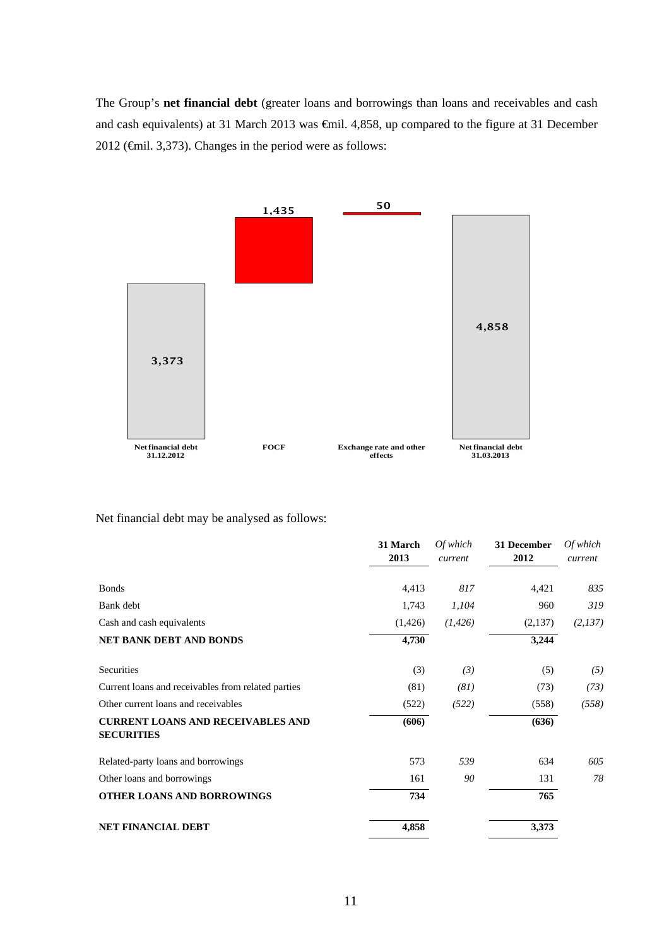The Group's **net financial debt** (greater loans and borrowings than loans and receivables and cash and cash equivalents) at 31 March 2013 was €mil. 4,858, up compared to the figure at 31 December 2012 (€mil. 3,373). Changes in the period were as follows:



Net financial debt may be analysed as follows:

|                                                               | 31 March<br>2013 | Of which<br>current | 31 December<br>2012 | Of which<br>current |
|---------------------------------------------------------------|------------------|---------------------|---------------------|---------------------|
| <b>Bonds</b>                                                  | 4,413            | 817                 | 4,421               | 835                 |
| Bank debt                                                     | 1,743            | 1,104               | 960                 | 319                 |
| Cash and cash equivalents                                     | (1,426)          | (1, 426)            | (2,137)             | (2,137)             |
| NET BANK DEBT AND BONDS                                       | 4,730            |                     | 3,244               |                     |
| Securities                                                    | (3)              | (3)                 | (5)                 | (5)                 |
| Current loans and receivables from related parties            | (81)             | (81)                | (73)                | (73)                |
| Other current loans and receivables                           | (522)            | (522)               | (558)               | (558)               |
| <b>CURRENT LOANS AND RECEIVABLES AND</b><br><b>SECURITIES</b> | (606)            |                     | (636)               |                     |
| Related-party loans and borrowings                            | 573              | 539                 | 634                 | 605                 |
| Other loans and borrowings                                    | 161              | 90                  | 131                 | 78                  |
| <b>OTHER LOANS AND BORROWINGS</b>                             | 734              |                     | 765                 |                     |
| <b>NET FINANCIAL DEBT</b>                                     | 4,858            |                     | 3,373               |                     |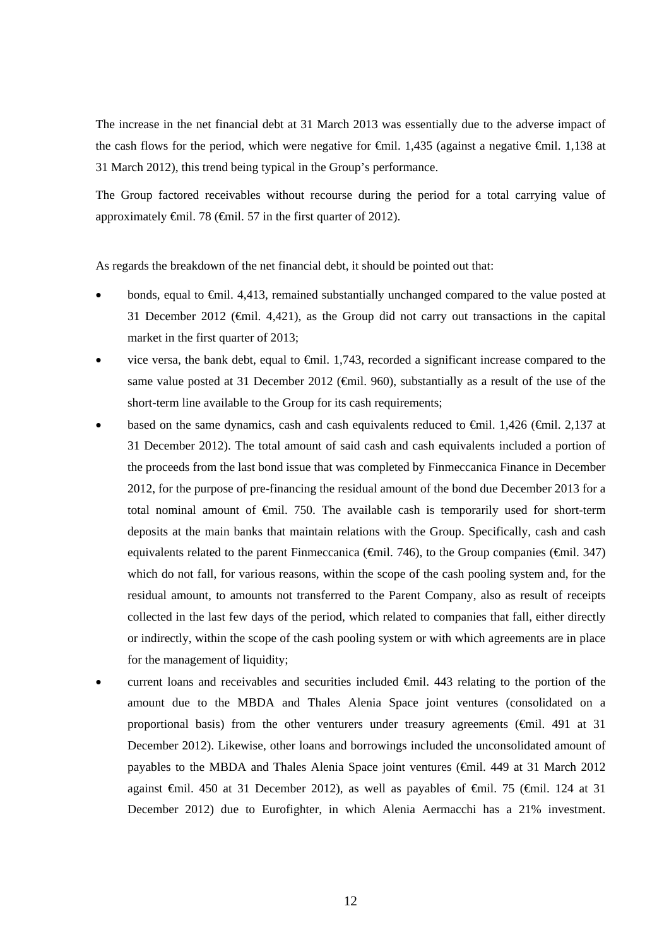The increase in the net financial debt at 31 March 2013 was essentially due to the adverse impact of the cash flows for the period, which were negative for  $\epsilon$ mil. 1,435 (against a negative  $\epsilon$ mil. 1,138 at 31 March 2012), this trend being typical in the Group's performance.

The Group factored receivables without recourse during the period for a total carrying value of approximately  $\oplus$ mil. 78 ( $\oplus$ mil. 57 in the first quarter of 2012).

As regards the breakdown of the net financial debt, it should be pointed out that:

- bonds, equal to €mil. 4,413, remained substantially unchanged compared to the value posted at 31 December 2012 (€mil. 4,421), as the Group did not carry out transactions in the capital market in the first quarter of 2013;
- vice versa, the bank debt, equal to  $\epsilon$ mil. 1,743, recorded a significant increase compared to the same value posted at 31 December 2012 ( $\epsilon$ mil. 960), substantially as a result of the use of the short-term line available to the Group for its cash requirements;
- based on the same dynamics, cash and cash equivalents reduced to €mil. 1,426 (€mil. 2,137 at 31 December 2012). The total amount of said cash and cash equivalents included a portion of the proceeds from the last bond issue that was completed by Finmeccanica Finance in December 2012, for the purpose of pre-financing the residual amount of the bond due December 2013 for a total nominal amount of €mil. 750. The available cash is temporarily used for short-term deposits at the main banks that maintain relations with the Group. Specifically, cash and cash equivalents related to the parent Finmeccanica ( $\widehat{\mathbf{q}}$ mil. 746), to the Group companies ( $\widehat{\mathbf{q}}$ mil. 347) which do not fall, for various reasons, within the scope of the cash pooling system and, for the residual amount, to amounts not transferred to the Parent Company, also as result of receipts collected in the last few days of the period, which related to companies that fall, either directly or indirectly, within the scope of the cash pooling system or with which agreements are in place for the management of liquidity;
- current loans and receivables and securities included  $\oplus$ mil. 443 relating to the portion of the amount due to the MBDA and Thales Alenia Space joint ventures (consolidated on a proportional basis) from the other venturers under treasury agreements ( $\epsilon$ mil. 491 at 31 December 2012). Likewise, other loans and borrowings included the unconsolidated amount of payables to the MBDA and Thales Alenia Space joint ventures (€mil. 449 at 31 March 2012 against €mil. 450 at 31 December 2012), as well as payables of €mil. 75 (€mil. 124 at 31 December 2012) due to Eurofighter, in which Alenia Aermacchi has a 21% investment.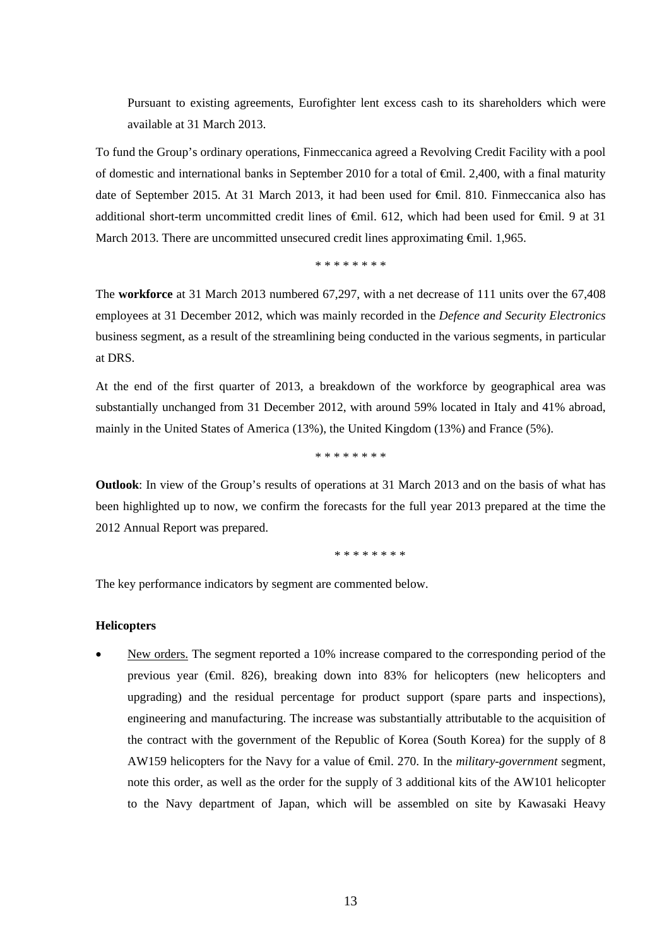Pursuant to existing agreements, Eurofighter lent excess cash to its shareholders which were available at 31 March 2013.

To fund the Group's ordinary operations, Finmeccanica agreed a Revolving Credit Facility with a pool of domestic and international banks in September 2010 for a total of  $\epsilon$ mil. 2,400, with a final maturity date of September 2015. At 31 March 2013, it had been used for €mil. 810. Finmeccanica also has additional short-term uncommitted credit lines of €mil. 612, which had been used for €mil. 9 at 31 March 2013. There are uncommitted unsecured credit lines approximating €mil. 1,965.

\* \* \* \* \* \* \* \*

The **workforce** at 31 March 2013 numbered 67,297, with a net decrease of 111 units over the 67,408 employees at 31 December 2012, which was mainly recorded in the *Defence and Security Electronics*  business segment, as a result of the streamlining being conducted in the various segments, in particular at DRS.

At the end of the first quarter of 2013, a breakdown of the workforce by geographical area was substantially unchanged from 31 December 2012, with around 59% located in Italy and 41% abroad, mainly in the United States of America (13%), the United Kingdom (13%) and France (5%).

\* \* \* \* \* \* \* \*

**Outlook**: In view of the Group's results of operations at 31 March 2013 and on the basis of what has been highlighted up to now, we confirm the forecasts for the full year 2013 prepared at the time the 2012 Annual Report was prepared.

\* \* \* \* \* \* \* \*

The key performance indicators by segment are commented below.

#### **Helicopters**

 New orders. The segment reported a 10% increase compared to the corresponding period of the previous year (€mil. 826), breaking down into 83% for helicopters (new helicopters and upgrading) and the residual percentage for product support (spare parts and inspections), engineering and manufacturing. The increase was substantially attributable to the acquisition of the contract with the government of the Republic of Korea (South Korea) for the supply of 8 AW159 helicopters for the Navy for a value of €mil. 270. In the *military-government* segment, note this order, as well as the order for the supply of 3 additional kits of the AW101 helicopter to the Navy department of Japan, which will be assembled on site by Kawasaki Heavy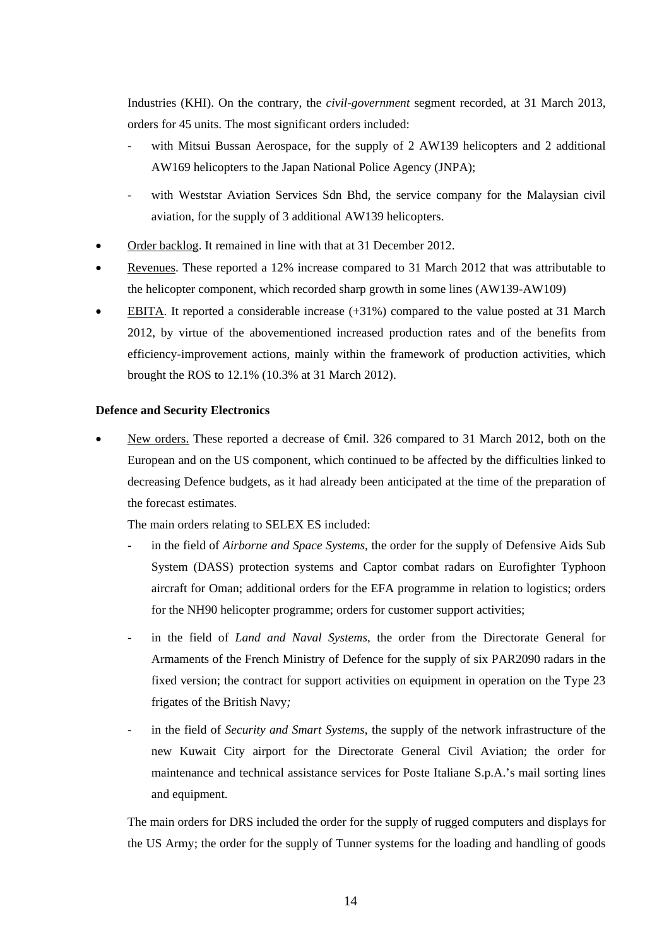Industries (KHI). On the contrary, the *civil-government* segment recorded, at 31 March 2013, orders for 45 units. The most significant orders included:

- with Mitsui Bussan Aerospace, for the supply of  $2$  AW139 helicopters and  $2$  additional AW169 helicopters to the Japan National Police Agency (JNPA);
- with Weststar Aviation Services Sdn Bhd*,* the service company for the Malaysian civil aviation, for the supply of 3 additional AW139 helicopters.
- Order backlog. It remained in line with that at 31 December 2012.
- Revenues. These reported a 12% increase compared to 31 March 2012 that was attributable to the helicopter component, which recorded sharp growth in some lines (AW139-AW109)
- EBITA. It reported a considerable increase (+31%) compared to the value posted at 31 March 2012, by virtue of the abovementioned increased production rates and of the benefits from efficiency-improvement actions, mainly within the framework of production activities, which brought the ROS to 12.1% (10.3% at 31 March 2012).

#### **Defence and Security Electronics**

New orders. These reported a decrease of €mil. 326 compared to 31 March 2012, both on the European and on the US component, which continued to be affected by the difficulties linked to decreasing Defence budgets, as it had already been anticipated at the time of the preparation of the forecast estimates.

The main orders relating to SELEX ES included:

- in the field of *Airborne and Space Systems*, the order for the supply of Defensive Aids Sub System (DASS) protection systems and Captor combat radars on Eurofighter Typhoon aircraft for Oman; additional orders for the EFA programme in relation to logistics; orders for the NH90 helicopter programme; orders for customer support activities;
- in the field of *Land and Naval Systems*, the order from the Directorate General for Armaments of the French Ministry of Defence for the supply of six PAR2090 radars in the fixed version; the contract for support activities on equipment in operation on the Type 23 frigates of the British Navy*;*
- in the field of *Security and Smart Systems*, the supply of the network infrastructure of the new Kuwait City airport for the Directorate General Civil Aviation; the order for maintenance and technical assistance services for Poste Italiane S.p.A.'s mail sorting lines and equipment.

The main orders for DRS included the order for the supply of rugged computers and displays for the US Army; the order for the supply of Tunner systems for the loading and handling of goods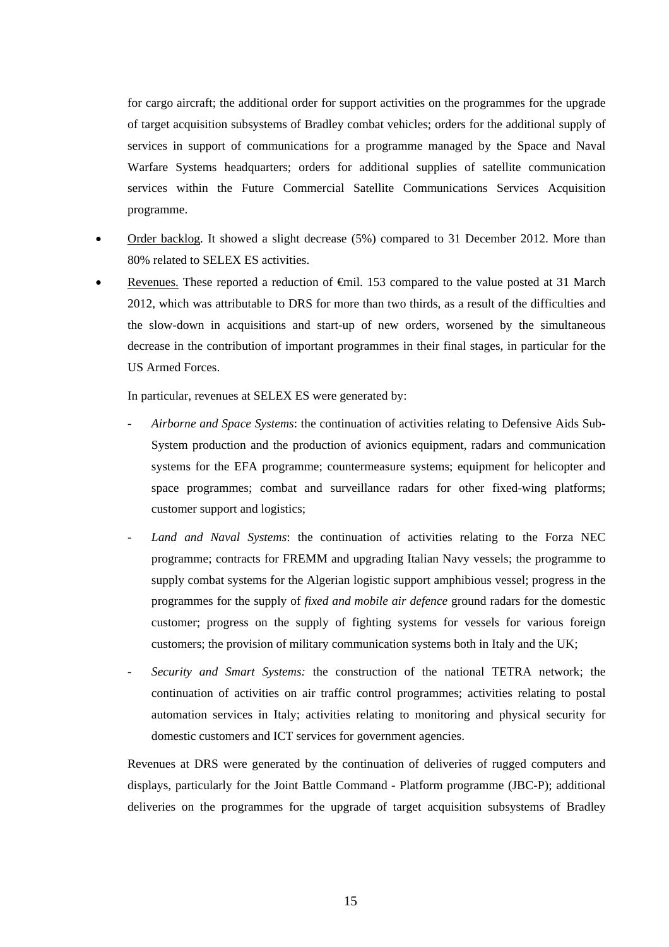for cargo aircraft; the additional order for support activities on the programmes for the upgrade of target acquisition subsystems of Bradley combat vehicles; orders for the additional supply of services in support of communications for a programme managed by the Space and Naval Warfare Systems headquarters; orders for additional supplies of satellite communication services within the Future Commercial Satellite Communications Services Acquisition programme.

- Order backlog. It showed a slight decrease (5%) compared to 31 December 2012. More than 80% related to SELEX ES activities.
- Revenues. These reported a reduction of €mil. 153 compared to the value posted at 31 March 2012, which was attributable to DRS for more than two thirds, as a result of the difficulties and the slow-down in acquisitions and start-up of new orders, worsened by the simultaneous decrease in the contribution of important programmes in their final stages, in particular for the US Armed Forces.

In particular, revenues at SELEX ES were generated by:

- *Airborne and Space Systems*: the continuation of activities relating to Defensive Aids Sub-System production and the production of avionics equipment, radars and communication systems for the EFA programme; countermeasure systems; equipment for helicopter and space programmes; combat and surveillance radars for other fixed-wing platforms; customer support and logistics;
- *Land and Naval Systems*: the continuation of activities relating to the Forza NEC programme; contracts for FREMM and upgrading Italian Navy vessels; the programme to supply combat systems for the Algerian logistic support amphibious vessel; progress in the programmes for the supply of *fixed and mobile air defence* ground radars for the domestic customer; progress on the supply of fighting systems for vessels for various foreign customers; the provision of military communication systems both in Italy and the UK;
- *Security and Smart Systems:* the construction of the national TETRA network; the continuation of activities on air traffic control programmes; activities relating to postal automation services in Italy; activities relating to monitoring and physical security for domestic customers and ICT services for government agencies.

Revenues at DRS were generated by the continuation of deliveries of rugged computers and displays, particularly for the Joint Battle Command - Platform programme (JBC-P); additional deliveries on the programmes for the upgrade of target acquisition subsystems of Bradley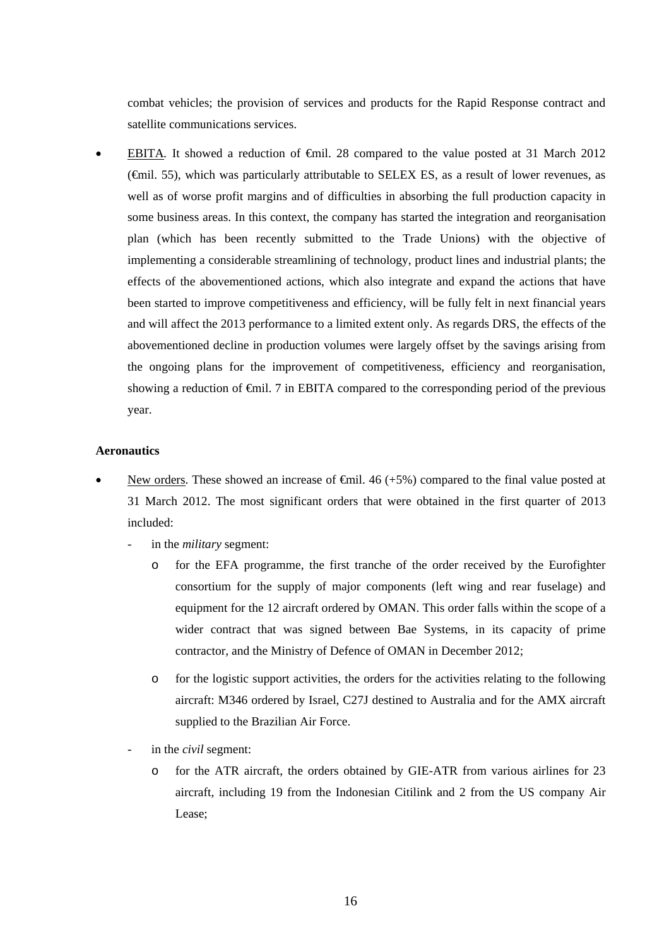combat vehicles; the provision of services and products for the Rapid Response contract and satellite communications services.

 EBITA*.* It showed a reduction of €mil. 28 compared to the value posted at 31 March 2012 (€mil. 55), which was particularly attributable to SELEX ES, as a result of lower revenues, as well as of worse profit margins and of difficulties in absorbing the full production capacity in some business areas. In this context, the company has started the integration and reorganisation plan (which has been recently submitted to the Trade Unions) with the objective of implementing a considerable streamlining of technology, product lines and industrial plants; the effects of the abovementioned actions, which also integrate and expand the actions that have been started to improve competitiveness and efficiency, will be fully felt in next financial years and will affect the 2013 performance to a limited extent only. As regards DRS, the effects of the abovementioned decline in production volumes were largely offset by the savings arising from the ongoing plans for the improvement of competitiveness, efficiency and reorganisation, showing a reduction of  $\epsilon$ mil. 7 in EBITA compared to the corresponding period of the previous year.

#### **Aeronautics**

- New orders. These showed an increase of  $\theta$ il. 46 (+5%) compared to the final value posted at 31 March 2012. The most significant orders that were obtained in the first quarter of 2013 included:
	- in the *military* segment:
		- o for the EFA programme, the first tranche of the order received by the Eurofighter consortium for the supply of major components (left wing and rear fuselage) and equipment for the 12 aircraft ordered by OMAN. This order falls within the scope of a wider contract that was signed between Bae Systems, in its capacity of prime contractor*,* and the Ministry of Defence of OMAN in December 2012;
		- o for the logistic support activities, the orders for the activities relating to the following aircraft: M346 ordered by Israel, C27J destined to Australia and for the AMX aircraft supplied to the Brazilian Air Force.
	- in the *civil* segment:
		- o for the ATR aircraft, the orders obtained by GIE-ATR from various airlines for 23 aircraft, including 19 from the Indonesian Citilink and 2 from the US company Air Lease;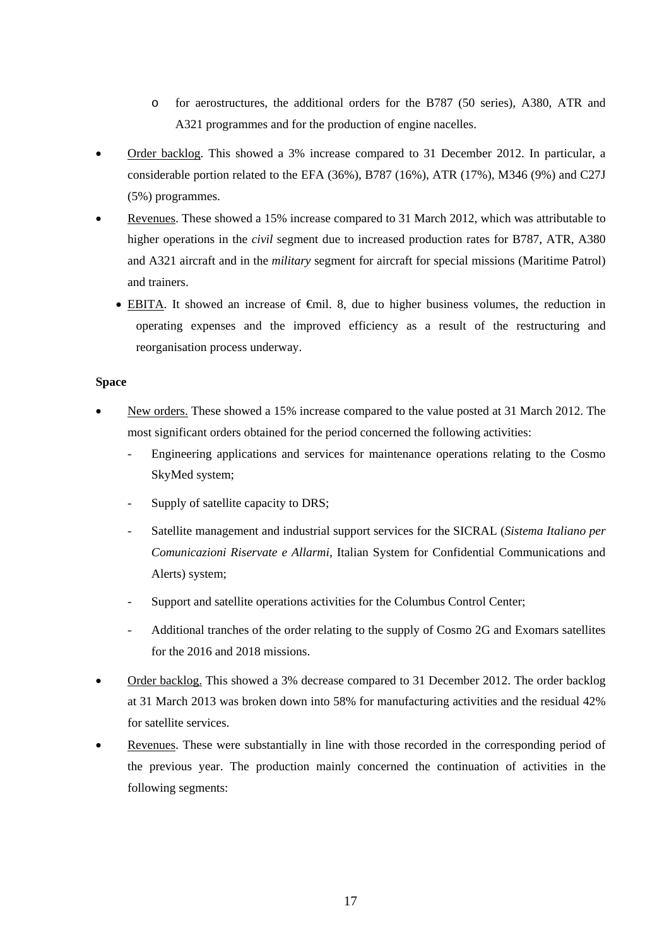- o for aerostructures, the additional orders for the B787 (50 series), A380, ATR and A321 programmes and for the production of engine nacelles.
- Order backlog. This showed a 3% increase compared to 31 December 2012. In particular, a considerable portion related to the EFA (36%), B787 (16%), ATR (17%), M346 (9%) and C27J (5%) programmes.
- Revenues. These showed a 15% increase compared to 31 March 2012, which was attributable to higher operations in the *civil* segment due to increased production rates for B787, ATR, A380 and A321 aircraft and in the *military* segment for aircraft for special missions (Maritime Patrol) and trainers.
	- EBITA. It showed an increase of €mil. 8, due to higher business volumes, the reduction in operating expenses and the improved efficiency as a result of the restructuring and reorganisation process underway.

### **Space**

- New orders. These showed a 15% increase compared to the value posted at 31 March 2012. The most significant orders obtained for the period concerned the following activities:
	- Engineering applications and services for maintenance operations relating to the Cosmo SkyMed system;
	- Supply of satellite capacity to DRS;
	- Satellite management and industrial support services for the SICRAL (*Sistema Italiano per Comunicazioni Riservate e Allarmi*, Italian System for Confidential Communications and Alerts) system;
	- Support and satellite operations activities for the Columbus Control Center;
	- Additional tranches of the order relating to the supply of Cosmo 2G and Exomars satellites for the 2016 and 2018 missions.
- Order backlog. This showed a 3% decrease compared to 31 December 2012. The order backlog at 31 March 2013 was broken down into 58% for manufacturing activities and the residual 42% for satellite services.
- Revenues. These were substantially in line with those recorded in the corresponding period of the previous year. The production mainly concerned the continuation of activities in the following segments: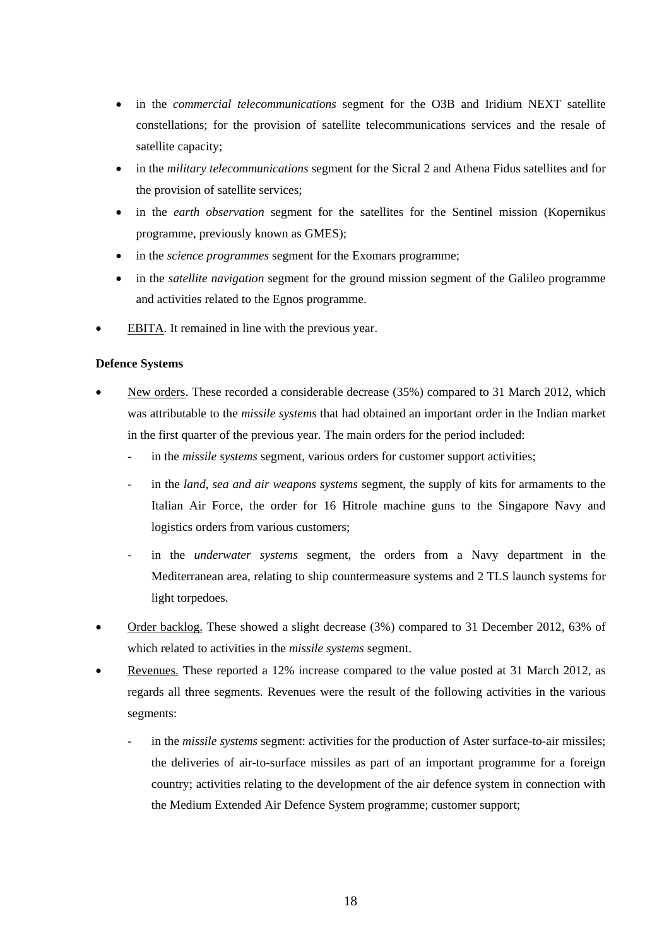- in the *commercial telecommunications* segment for the O3B and Iridium NEXT satellite constellations; for the provision of satellite telecommunications services and the resale of satellite capacity;
- in the *military telecommunications* segment for the Sicral 2 and Athena Fidus satellites and for the provision of satellite services;
- in the *earth observation* segment for the satellites for the Sentinel mission (Kopernikus programme, previously known as GMES);
- in the *science programmes* segment for the Exomars programme;
- in the *satellite navigation* segment for the ground mission segment of the Galileo programme and activities related to the Egnos programme.
- EBITA. It remained in line with the previous year.

# **Defence Systems**

- New orders. These recorded a considerable decrease (35%) compared to 31 March 2012, which was attributable to the *missile systems* that had obtained an important order in the Indian market in the first quarter of the previous year*.* The main orders for the period included:
	- in the *missile systems* segment, various orders for customer support activities;
	- in the *land, sea and air weapons systems* segment*,* the supply of kits for armaments to the Italian Air Force, the order for 16 Hitrole machine guns to the Singapore Navy and logistics orders from various customers;
	- in the *underwater systems* segment, the orders from a Navy department in the Mediterranean area, relating to ship countermeasure systems and 2 TLS launch systems for light torpedoes.
- Order backlog. These showed a slight decrease (3%) compared to 31 December 2012, 63% of which related to activities in the *missile systems* segment.
- Revenues. These reported a 12% increase compared to the value posted at 31 March 2012, as regards all three segments*.* Revenues were the result of the following activities in the various segments:
	- in the *missile systems* segment: activities for the production of Aster surface-to-air missiles; the deliveries of air-to-surface missiles as part of an important programme for a foreign country; activities relating to the development of the air defence system in connection with the Medium Extended Air Defence System programme; customer support;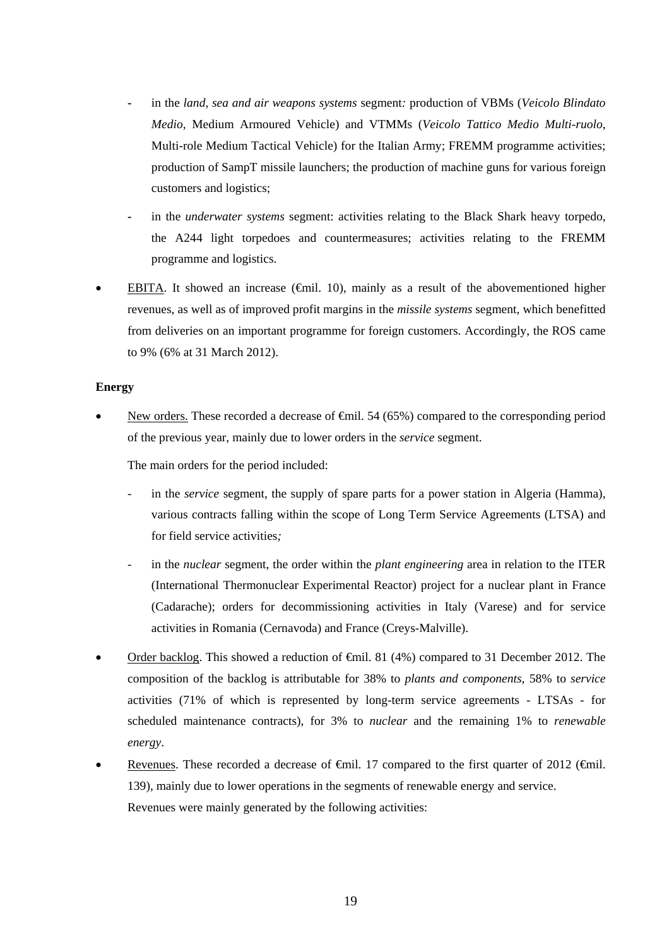- **-** in the *land, sea and air weapons systems* segment*:* production of VBMs (*Veicolo Blindato Medio*, Medium Armoured Vehicle) and VTMMs (*Veicolo Tattico Medio Multi-ruolo*, Multi-role Medium Tactical Vehicle) for the Italian Army; FREMM programme activities; production of SampT missile launchers; the production of machine guns for various foreign customers and logistics;
- **-** in the *underwater systems* segment: activities relating to the Black Shark heavy torpedo, the A244 light torpedoes and countermeasures; activities relating to the FREMM programme and logistics.
- EBITA. It showed an increase ( $\epsilon$ mil. 10), mainly as a result of the abovementioned higher revenues, as well as of improved profit margins in the *missile systems* segment, which benefitted from deliveries on an important programme for foreign customers. Accordingly, the ROS came to 9% (6% at 31 March 2012).

### **Energy**

New orders. These recorded a decrease of  $\epsilon$ mil. 54 (65%) compared to the corresponding period of the previous year, mainly due to lower orders in the *service* segment.

The main orders for the period included:

- in the *service* segment, the supply of spare parts for a power station in Algeria (Hamma), various contracts falling within the scope of Long Term Service Agreements (LTSA) and for field service activities*;*
- in the *nuclear* segment, the order within the *plant engineering* area in relation to the ITER (International Thermonuclear Experimental Reactor) project for a nuclear plant in France (Cadarache); orders for decommissioning activities in Italy (Varese) and for service activities in Romania (Cernavoda) and France (Creys-Malville).
- Order backlog. This showed a reduction of €mil. 81 (4%) compared to 31 December 2012. The composition of the backlog is attributable for 38% to *plants and components,* 58% to *service* activities (71% of which is represented by long-term service agreements - LTSAs - for scheduled maintenance contracts), for 3% to *nuclear* and the remaining 1% to *renewable energy*.
- Revenues. These recorded a decrease of  $\epsilon$ mil. 17 compared to the first quarter of 2012 ( $\epsilon$ mil. 139), mainly due to lower operations in the segments of renewable energy and service. Revenues were mainly generated by the following activities: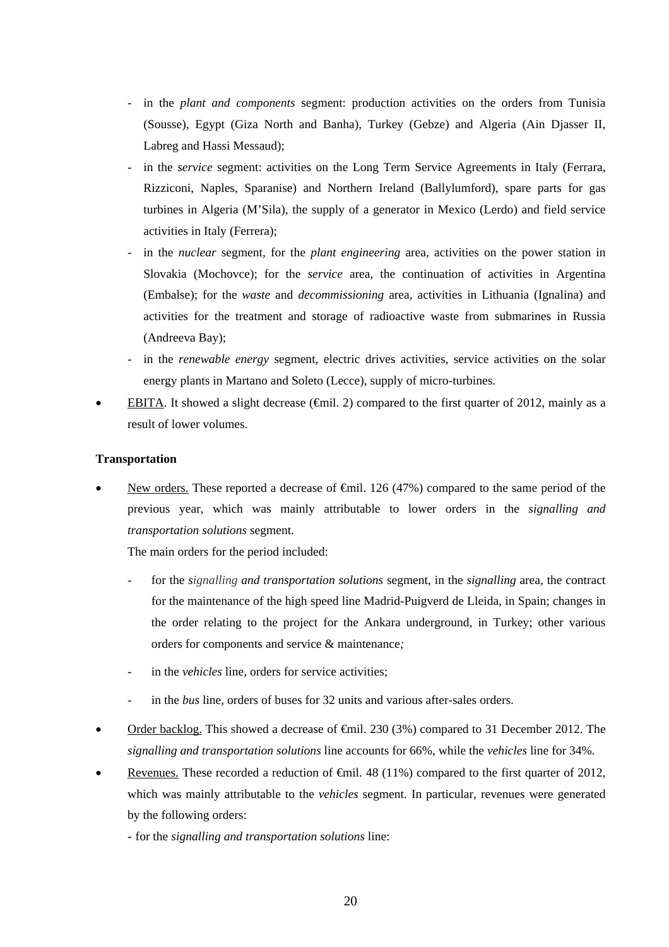- in the *plant and components* segment: production activities on the orders from Tunisia (Sousse), Egypt (Giza North and Banha), Turkey (Gebze) and Algeria (Ain Djasser II, Labreg and Hassi Messaud);
- in the *service* segment: activities on the Long Term Service Agreements in Italy (Ferrara, Rizziconi, Naples, Sparanise) and Northern Ireland (Ballylumford), spare parts for gas turbines in Algeria (M'Sila), the supply of a generator in Mexico (Lerdo) and field service activities in Italy (Ferrera);
- in the *nuclear* segment*,* for the *plant engineering* area*,* activities on the power station in Slovakia (Mochovce); for the *service* area*,* the continuation of activities in Argentina (Embalse); for the *waste* and *decommissioning* area*,* activities in Lithuania (Ignalina) and activities for the treatment and storage of radioactive waste from submarines in Russia (Andreeva Bay);
- in the *renewable energy* segment*,* electric drives activities, service activities on the solar energy plants in Martano and Soleto (Lecce), supply of micro-turbines.
- EBITA. It showed a slight decrease ( $\epsilon$ mil. 2) compared to the first quarter of 2012, mainly as a result of lower volumes.

### **Transportation**

New orders. These reported a decrease of <del>€mil</del>. 126 (47%) compared to the same period of the previous year, which was mainly attributable to lower orders in the *signalling and transportation solutions* segment.

The main orders for the period included:

- for the *signalling and transportation solutions* segment, in the *signalling* area*,* the contract for the maintenance of the high speed line Madrid-Puigverd de Lleida, in Spain; changes in the order relating to the project for the Ankara underground, in Turkey; other various orders for components and service & maintenance*;*
- in the *vehicles* line, orders for service activities;
- in the *bus* line, orders of buses for 32 units and various after-sales orders.
- Order backlog. This showed a decrease of €mil. 230 (3%) compared to 31 December 2012. The *signalling and transportation solutions* line accounts for 66%, while the *vehicles* line for 34%.
- Revenues. These recorded a reduction of  $\epsilon$ mil. 48 (11%) compared to the first quarter of 2012, which was mainly attributable to the *vehicles* segment. In particular, revenues were generated by the following orders:
	- **-** for the *signalling and transportation solutions* line: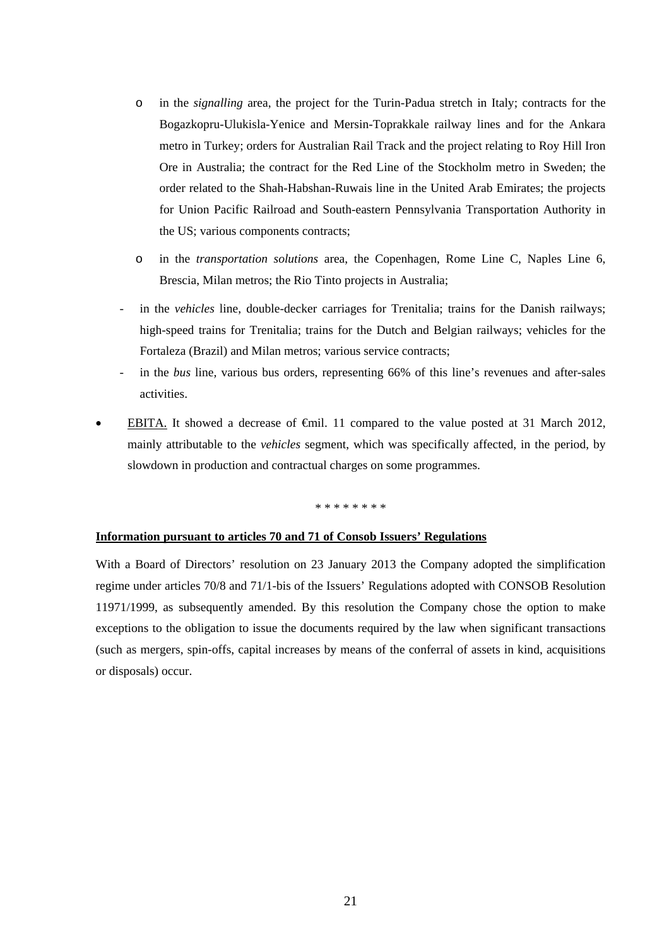- o in the *signalling* area, the project for the Turin-Padua stretch in Italy; contracts for the Bogazkopru-Ulukisla-Yenice and Mersin-Toprakkale railway lines and for the Ankara metro in Turkey; orders for Australian Rail Track and the project relating to Roy Hill Iron Ore in Australia; the contract for the Red Line of the Stockholm metro in Sweden; the order related to the Shah-Habshan-Ruwais line in the United Arab Emirates; the projects for Union Pacific Railroad and South-eastern Pennsylvania Transportation Authority in the US; various components contracts;
- o in the *transportation solutions* area, the Copenhagen, Rome Line C, Naples Line 6, Brescia, Milan metros; the Rio Tinto projects in Australia;
- in the *vehicles* line, double-decker carriages for Trenitalia; trains for the Danish railways; high-speed trains for Trenitalia; trains for the Dutch and Belgian railways; vehicles for the Fortaleza (Brazil) and Milan metros; various service contracts;
- in the *bus* line*,* various bus orders, representing 66% of this line's revenues and after-sales activities.
- EBITA. It showed a decrease of  $\epsilon$ mil. 11 compared to the value posted at 31 March 2012, mainly attributable to the *vehicles* segment, which was specifically affected, in the period, by slowdown in production and contractual charges on some programmes.

\* \* \* \* \* \* \* \*

#### **Information pursuant to articles 70 and 71 of Consob Issuers' Regulations**

With a Board of Directors' resolution on 23 January 2013 the Company adopted the simplification regime under articles 70/8 and 71/1-bis of the Issuers' Regulations adopted with CONSOB Resolution 11971/1999, as subsequently amended. By this resolution the Company chose the option to make exceptions to the obligation to issue the documents required by the law when significant transactions (such as mergers, spin-offs, capital increases by means of the conferral of assets in kind, acquisitions or disposals) occur.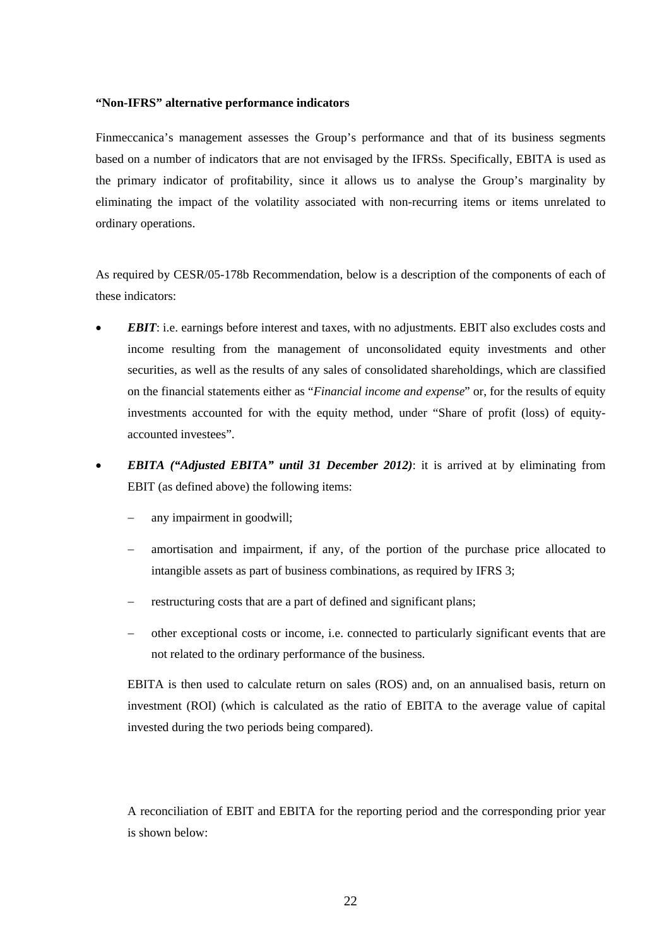#### **"Non-IFRS" alternative performance indicators**

Finmeccanica's management assesses the Group's performance and that of its business segments based on a number of indicators that are not envisaged by the IFRSs. Specifically, EBITA is used as the primary indicator of profitability, since it allows us to analyse the Group's marginality by eliminating the impact of the volatility associated with non-recurring items or items unrelated to ordinary operations.

As required by CESR/05-178b Recommendation, below is a description of the components of each of these indicators:

- *EBIT*: i.e. earnings before interest and taxes, with no adjustments. EBIT also excludes costs and income resulting from the management of unconsolidated equity investments and other securities, as well as the results of any sales of consolidated shareholdings, which are classified on the financial statements either as "*Financial income and expense*" or, for the results of equity investments accounted for with the equity method, under "Share of profit (loss) of equityaccounted investees".
- *EBITA ("Adjusted EBITA" until 31 December 2012)*: it is arrived at by eliminating from EBIT (as defined above) the following items:
	- any impairment in goodwill;
	- amortisation and impairment, if any, of the portion of the purchase price allocated to intangible assets as part of business combinations, as required by IFRS 3;
	- restructuring costs that are a part of defined and significant plans;
	- other exceptional costs or income, i.e. connected to particularly significant events that are not related to the ordinary performance of the business.

EBITA is then used to calculate return on sales (ROS) and, on an annualised basis, return on investment (ROI) (which is calculated as the ratio of EBITA to the average value of capital invested during the two periods being compared).

A reconciliation of EBIT and EBITA for the reporting period and the corresponding prior year is shown below: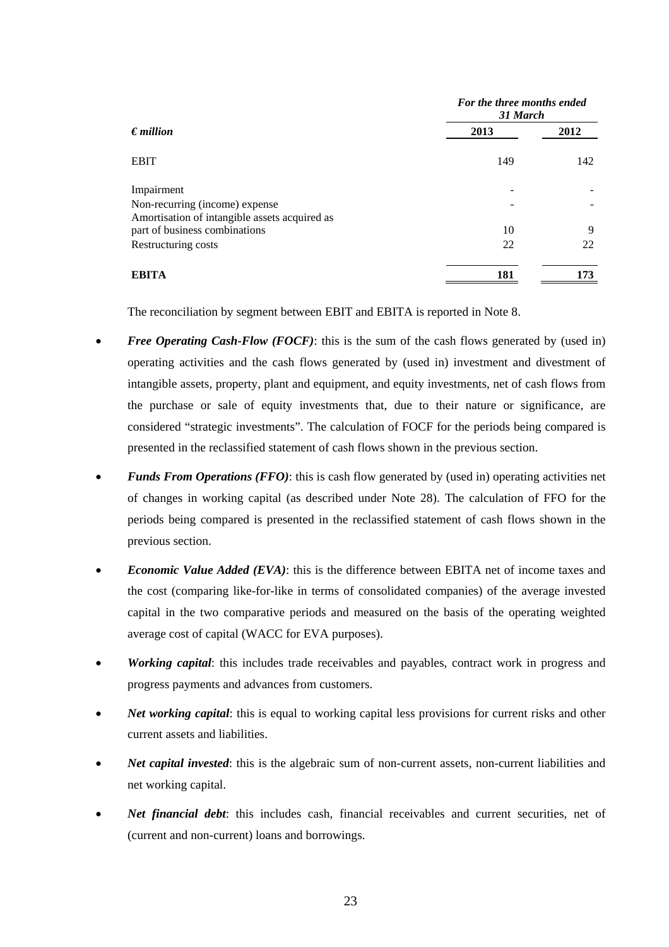|                                               | For the three months ended<br>31 March |      |
|-----------------------------------------------|----------------------------------------|------|
| $\epsilon$ <i>million</i>                     | 2013                                   | 2012 |
| <b>EBIT</b>                                   | 149                                    | 142  |
| Impairment                                    |                                        |      |
| Non-recurring (income) expense                |                                        |      |
| Amortisation of intangible assets acquired as |                                        |      |
| part of business combinations                 | 10                                     | 9    |
| Restructuring costs                           | 22                                     | 22   |
| <b>EBITA</b>                                  | 181                                    | 173  |

The reconciliation by segment between EBIT and EBITA is reported in Note 8.

- *Free Operating Cash-Flow (FOCF)*: this is the sum of the cash flows generated by (used in) operating activities and the cash flows generated by (used in) investment and divestment of intangible assets, property, plant and equipment, and equity investments, net of cash flows from the purchase or sale of equity investments that, due to their nature or significance, are considered "strategic investments". The calculation of FOCF for the periods being compared is presented in the reclassified statement of cash flows shown in the previous section.
- *Funds From Operations (FFO)*: this is cash flow generated by (used in) operating activities net of changes in working capital (as described under Note 28). The calculation of FFO for the periods being compared is presented in the reclassified statement of cash flows shown in the previous section.
- *Economic Value Added (EVA)*: this is the difference between EBITA net of income taxes and the cost (comparing like-for-like in terms of consolidated companies) of the average invested capital in the two comparative periods and measured on the basis of the operating weighted average cost of capital (WACC for EVA purposes).
- *Working capital*: this includes trade receivables and payables, contract work in progress and progress payments and advances from customers.
- *Net working capital*: this is equal to working capital less provisions for current risks and other current assets and liabilities.
- *Net capital invested*: this is the algebraic sum of non-current assets, non-current liabilities and net working capital.
- *Net financial debt*: this includes cash, financial receivables and current securities, net of (current and non-current) loans and borrowings.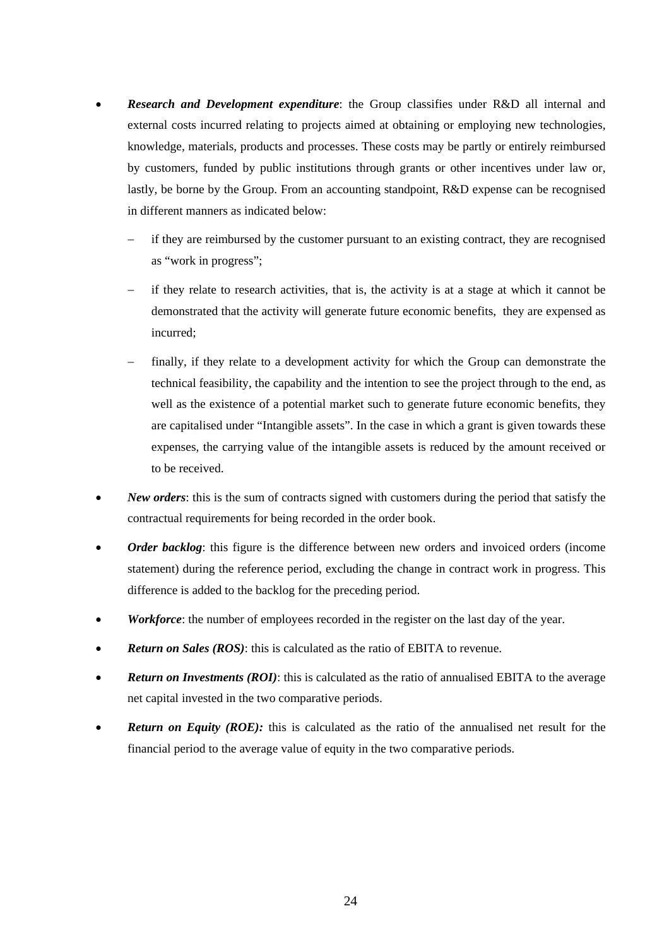- *Research and Development expenditure*: the Group classifies under R&D all internal and external costs incurred relating to projects aimed at obtaining or employing new technologies, knowledge, materials, products and processes. These costs may be partly or entirely reimbursed by customers, funded by public institutions through grants or other incentives under law or, lastly, be borne by the Group. From an accounting standpoint, R&D expense can be recognised in different manners as indicated below:
	- if they are reimbursed by the customer pursuant to an existing contract, they are recognised as "work in progress";
	- if they relate to research activities, that is, the activity is at a stage at which it cannot be demonstrated that the activity will generate future economic benefits, they are expensed as incurred;
	- finally, if they relate to a development activity for which the Group can demonstrate the technical feasibility, the capability and the intention to see the project through to the end, as well as the existence of a potential market such to generate future economic benefits, they are capitalised under "Intangible assets". In the case in which a grant is given towards these expenses, the carrying value of the intangible assets is reduced by the amount received or to be received.
- *New orders*: this is the sum of contracts signed with customers during the period that satisfy the contractual requirements for being recorded in the order book.
- Order backlog: this figure is the difference between new orders and invoiced orders (income statement) during the reference period, excluding the change in contract work in progress. This difference is added to the backlog for the preceding period.
- *Workforce*: the number of employees recorded in the register on the last day of the year.
- *Return on Sales (ROS)*: this is calculated as the ratio of EBITA to revenue.
- **Return on Investments (ROI)**: this is calculated as the ratio of annualised EBITA to the average net capital invested in the two comparative periods.
- **Return on Equity (ROE):** this is calculated as the ratio of the annualised net result for the financial period to the average value of equity in the two comparative periods.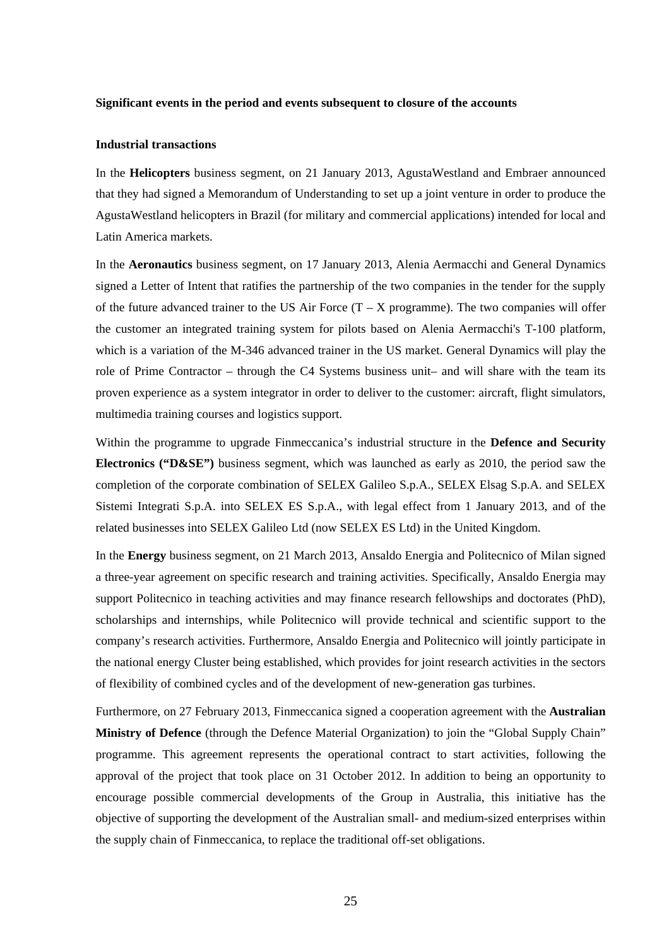#### **Significant events in the period and events subsequent to closure of the accounts**

#### **Industrial transactions**

In the **Helicopters** business segment, on 21 January 2013, AgustaWestland and Embraer announced that they had signed a Memorandum of Understanding to set up a joint venture in order to produce the AgustaWestland helicopters in Brazil (for military and commercial applications) intended for local and Latin America markets.

In the **Aeronautics** business segment, on 17 January 2013, Alenia Aermacchi and General Dynamics signed a Letter of Intent that ratifies the partnership of the two companies in the tender for the supply of the future advanced trainer to the US Air Force  $(T - X)$  programme). The two companies will offer the customer an integrated training system for pilots based on Alenia Aermacchi's T-100 platform, which is a variation of the M-346 advanced trainer in the US market. General Dynamics will play the role of Prime Contractor – through the C4 Systems business unit– and will share with the team its proven experience as a system integrator in order to deliver to the customer: aircraft, flight simulators, multimedia training courses and logistics support.

Within the programme to upgrade Finmeccanica's industrial structure in the **Defence and Security Electronics ("D&SE")** business segment, which was launched as early as 2010, the period saw the completion of the corporate combination of SELEX Galileo S.p.A., SELEX Elsag S.p.A. and SELEX Sistemi Integrati S.p.A. into SELEX ES S.p.A., with legal effect from 1 January 2013, and of the related businesses into SELEX Galileo Ltd (now SELEX ES Ltd) in the United Kingdom.

In the **Energy** business segment, on 21 March 2013, Ansaldo Energia and Politecnico of Milan signed a three-year agreement on specific research and training activities. Specifically, Ansaldo Energia may support Politecnico in teaching activities and may finance research fellowships and doctorates (PhD), scholarships and internships, while Politecnico will provide technical and scientific support to the company's research activities. Furthermore, Ansaldo Energia and Politecnico will jointly participate in the national energy Cluster being established, which provides for joint research activities in the sectors of flexibility of combined cycles and of the development of new-generation gas turbines.

Furthermore, on 27 February 2013, Finmeccanica signed a cooperation agreement with the **Australian Ministry of Defence** (through the Defence Material Organization) to join the "Global Supply Chain" programme. This agreement represents the operational contract to start activities, following the approval of the project that took place on 31 October 2012. In addition to being an opportunity to encourage possible commercial developments of the Group in Australia, this initiative has the objective of supporting the development of the Australian small- and medium-sized enterprises within the supply chain of Finmeccanica, to replace the traditional off-set obligations.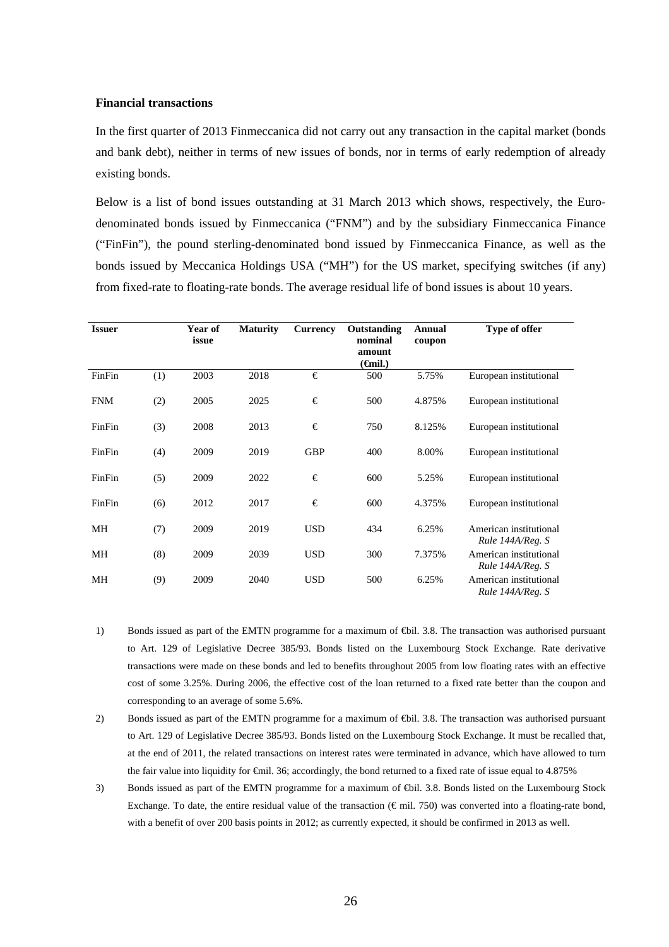#### **Financial transactions**

In the first quarter of 2013 Finmeccanica did not carry out any transaction in the capital market (bonds and bank debt), neither in terms of new issues of bonds, nor in terms of early redemption of already existing bonds.

Below is a list of bond issues outstanding at 31 March 2013 which shows, respectively, the Eurodenominated bonds issued by Finmeccanica ("FNM") and by the subsidiary Finmeccanica Finance ("FinFin"), the pound sterling-denominated bond issued by Finmeccanica Finance, as well as the bonds issued by Meccanica Holdings USA ("MH") for the US market, specifying switches (if any) from fixed-rate to floating-rate bonds. The average residual life of bond issues is about 10 years.

| <b>Issuer</b> |     | Year of<br>issue | <b>Maturity</b> | <b>Currency</b> | Outstanding<br>nominal<br>amount<br>$(\boldsymbol{\theta}$ mil.) | <b>Annual</b><br>coupon | Type of offer                              |
|---------------|-----|------------------|-----------------|-----------------|------------------------------------------------------------------|-------------------------|--------------------------------------------|
| FinFin        | (1) | 2003             | 2018            | €               | 500                                                              | 5.75%                   | European institutional                     |
| <b>FNM</b>    | (2) | 2005             | 2025            | €               | 500                                                              | 4.875%                  | European institutional                     |
| FinFin        | (3) | 2008             | 2013            | €               | 750                                                              | 8.125%                  | European institutional                     |
| FinFin        | (4) | 2009             | 2019            | <b>GBP</b>      | 400                                                              | 8.00%                   | European institutional                     |
| FinFin        | (5) | 2009             | 2022            | €               | 600                                                              | 5.25%                   | European institutional                     |
| FinFin        | (6) | 2012             | 2017            | €               | 600                                                              | 4.375%                  | European institutional                     |
| МH            | (7) | 2009             | 2019            | <b>USD</b>      | 434                                                              | 6.25%                   | American institutional<br>Rule 144A/Reg. S |
| МH            | (8) | 2009             | 2039            | <b>USD</b>      | 300                                                              | 7.375%                  | American institutional<br>Rule 144A/Reg. S |
| МH            | (9) | 2009             | 2040            | <b>USD</b>      | 500                                                              | 6.25%                   | American institutional<br>Rule 144A/Reg. S |

- 1) Bonds issued as part of the EMTN programme for a maximum of €bil. 3.8. The transaction was authorised pursuant to Art. 129 of Legislative Decree 385/93. Bonds listed on the Luxembourg Stock Exchange. Rate derivative transactions were made on these bonds and led to benefits throughout 2005 from low floating rates with an effective cost of some 3.25%. During 2006, the effective cost of the loan returned to a fixed rate better than the coupon and corresponding to an average of some 5.6%.
- 2) Bonds issued as part of the EMTN programme for a maximum of  $\bigoplus$ il. 3.8. The transaction was authorised pursuant to Art. 129 of Legislative Decree 385/93. Bonds listed on the Luxembourg Stock Exchange. It must be recalled that, at the end of 2011, the related transactions on interest rates were terminated in advance, which have allowed to turn the fair value into liquidity for  $\epsilon$ mil. 36; accordingly, the bond returned to a fixed rate of issue equal to 4.875%
- 3) Bonds issued as part of the EMTN programme for a maximum of €bil. 3.8. Bonds listed on the Luxembourg Stock Exchange. To date, the entire residual value of the transaction ( $\epsilon$ mil. 750) was converted into a floating-rate bond, with a benefit of over 200 basis points in 2012; as currently expected, it should be confirmed in 2013 as well.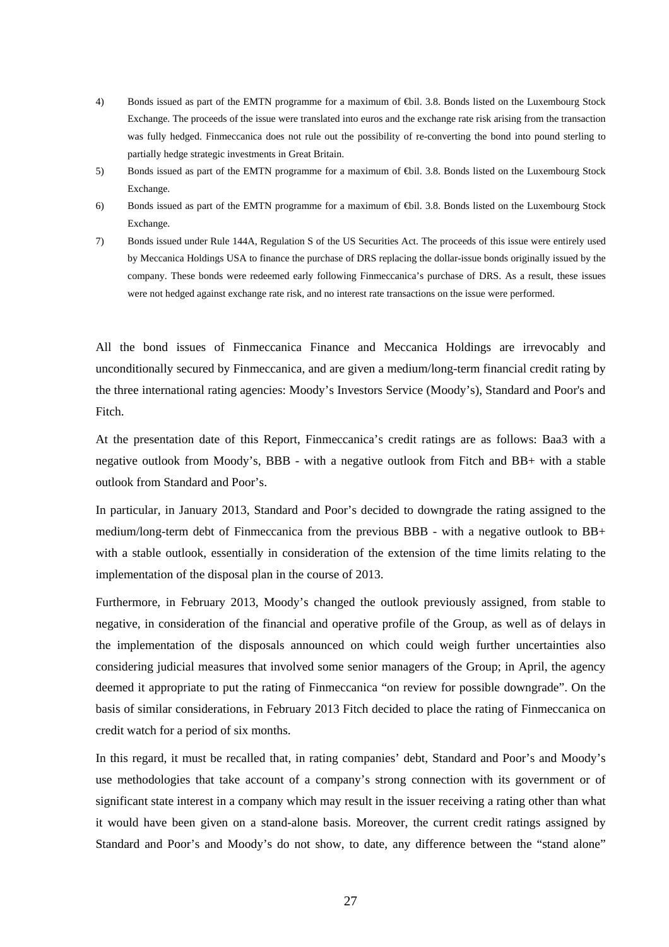- 4) Bonds issued as part of the EMTN programme for a maximum of €bil. 3.8. Bonds listed on the Luxembourg Stock Exchange. The proceeds of the issue were translated into euros and the exchange rate risk arising from the transaction was fully hedged. Finmeccanica does not rule out the possibility of re-converting the bond into pound sterling to partially hedge strategic investments in Great Britain.
- 5) Bonds issued as part of the EMTN programme for a maximum of €bil. 3.8. Bonds listed on the Luxembourg Stock Exchange.
- 6) Bonds issued as part of the EMTN programme for a maximum of €bil. 3.8. Bonds listed on the Luxembourg Stock Exchange.
- 7) Bonds issued under Rule 144A, Regulation S of the US Securities Act. The proceeds of this issue were entirely used by Meccanica Holdings USA to finance the purchase of DRS replacing the dollar-issue bonds originally issued by the company. These bonds were redeemed early following Finmeccanica's purchase of DRS. As a result, these issues were not hedged against exchange rate risk, and no interest rate transactions on the issue were performed.

All the bond issues of Finmeccanica Finance and Meccanica Holdings are irrevocably and unconditionally secured by Finmeccanica, and are given a medium/long-term financial credit rating by the three international rating agencies: Moody's Investors Service (Moody's), Standard and Poor's and Fitch.

At the presentation date of this Report, Finmeccanica's credit ratings are as follows: Baa3 with a negative outlook from Moody's, BBB - with a negative outlook from Fitch and BB+ with a stable outlook from Standard and Poor's.

In particular, in January 2013, Standard and Poor's decided to downgrade the rating assigned to the medium/long-term debt of Finmeccanica from the previous BBB - with a negative outlook to BB+ with a stable outlook, essentially in consideration of the extension of the time limits relating to the implementation of the disposal plan in the course of 2013.

Furthermore, in February 2013, Moody's changed the outlook previously assigned, from stable to negative, in consideration of the financial and operative profile of the Group, as well as of delays in the implementation of the disposals announced on which could weigh further uncertainties also considering judicial measures that involved some senior managers of the Group; in April, the agency deemed it appropriate to put the rating of Finmeccanica "on review for possible downgrade". On the basis of similar considerations, in February 2013 Fitch decided to place the rating of Finmeccanica on credit watch for a period of six months.

In this regard, it must be recalled that, in rating companies' debt, Standard and Poor's and Moody's use methodologies that take account of a company's strong connection with its government or of significant state interest in a company which may result in the issuer receiving a rating other than what it would have been given on a stand-alone basis. Moreover, the current credit ratings assigned by Standard and Poor's and Moody's do not show, to date, any difference between the "stand alone"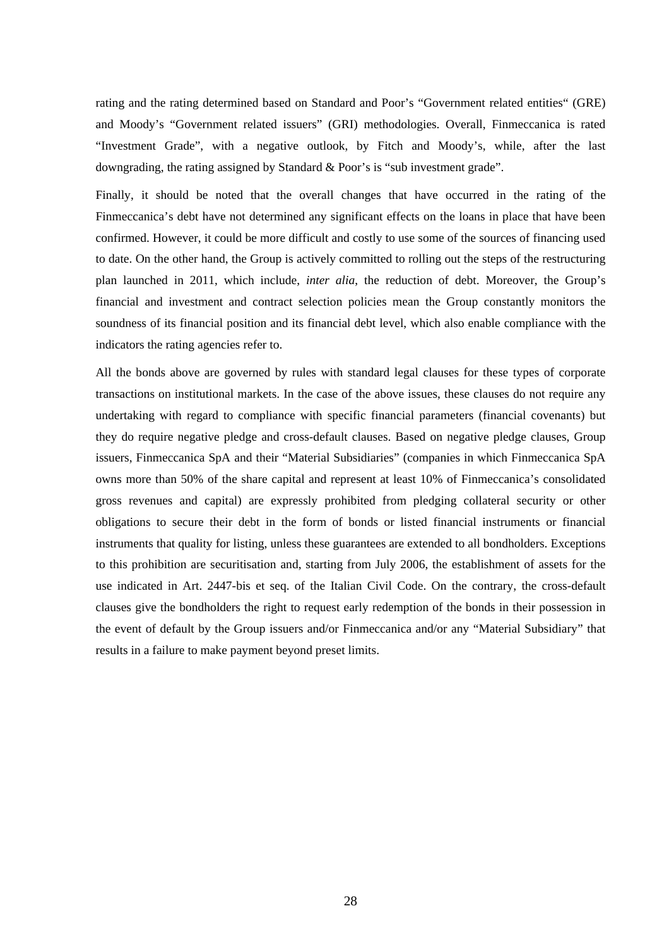rating and the rating determined based on Standard and Poor's "Government related entities" (GRE) and Moody's "Government related issuers" (GRI) methodologies. Overall, Finmeccanica is rated "Investment Grade", with a negative outlook, by Fitch and Moody's, while, after the last downgrading, the rating assigned by Standard & Poor's is "sub investment grade".

Finally, it should be noted that the overall changes that have occurred in the rating of the Finmeccanica's debt have not determined any significant effects on the loans in place that have been confirmed. However, it could be more difficult and costly to use some of the sources of financing used to date. On the other hand, the Group is actively committed to rolling out the steps of the restructuring plan launched in 2011, which include, *inter alia*, the reduction of debt. Moreover, the Group's financial and investment and contract selection policies mean the Group constantly monitors the soundness of its financial position and its financial debt level, which also enable compliance with the indicators the rating agencies refer to.

All the bonds above are governed by rules with standard legal clauses for these types of corporate transactions on institutional markets. In the case of the above issues, these clauses do not require any undertaking with regard to compliance with specific financial parameters (financial covenants) but they do require negative pledge and cross-default clauses. Based on negative pledge clauses, Group issuers, Finmeccanica SpA and their "Material Subsidiaries" (companies in which Finmeccanica SpA owns more than 50% of the share capital and represent at least 10% of Finmeccanica's consolidated gross revenues and capital) are expressly prohibited from pledging collateral security or other obligations to secure their debt in the form of bonds or listed financial instruments or financial instruments that quality for listing, unless these guarantees are extended to all bondholders. Exceptions to this prohibition are securitisation and, starting from July 2006, the establishment of assets for the use indicated in Art. 2447-bis et seq. of the Italian Civil Code. On the contrary, the cross-default clauses give the bondholders the right to request early redemption of the bonds in their possession in the event of default by the Group issuers and/or Finmeccanica and/or any "Material Subsidiary" that results in a failure to make payment beyond preset limits.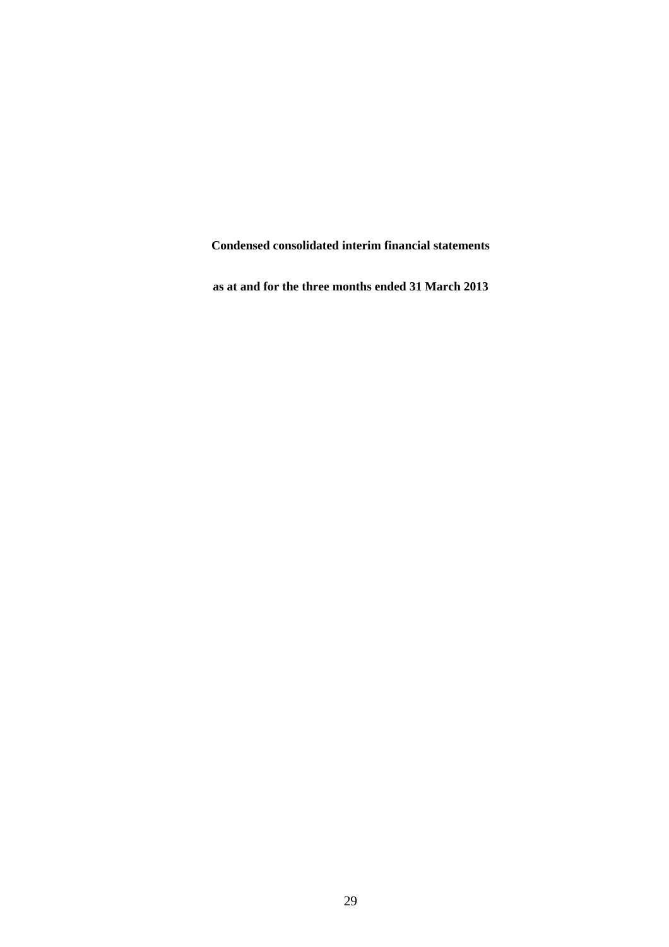**Condensed consolidated interim financial statements** 

**as at and for the three months ended 31 March 2013**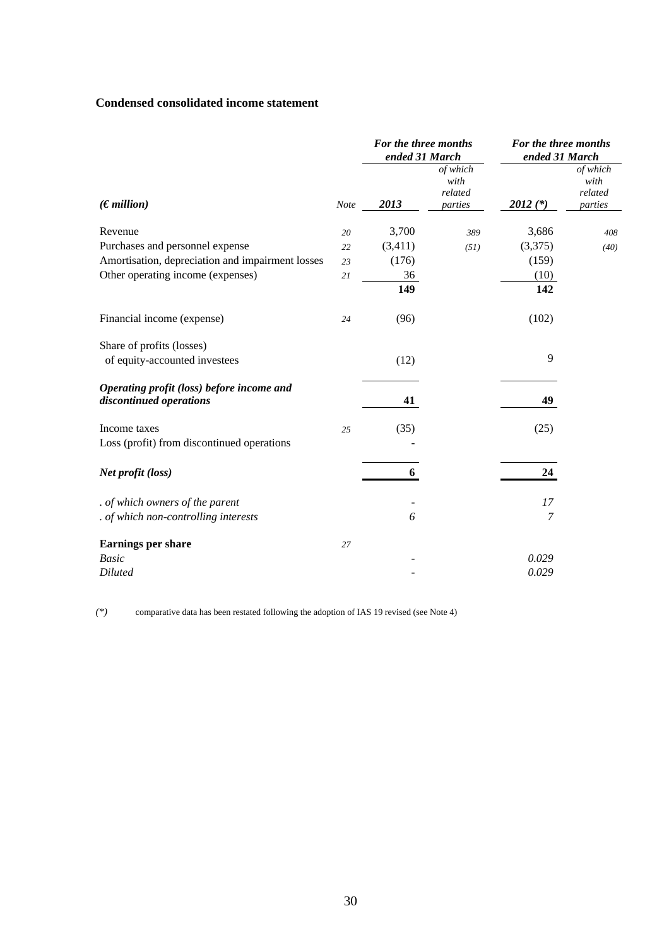## **Condensed consolidated income statement**

|                                                                      |             | For the three months<br>ended 31 March |                                        | For the three months<br>ended 31 March |                                        |  |
|----------------------------------------------------------------------|-------------|----------------------------------------|----------------------------------------|----------------------------------------|----------------------------------------|--|
| (Emillion)                                                           | <b>Note</b> | 2013                                   | of which<br>with<br>related<br>parties | $2012$ (*)                             | of which<br>with<br>related<br>parties |  |
| Revenue                                                              | 20          | 3,700                                  | 389                                    | 3,686                                  | 408                                    |  |
| Purchases and personnel expense                                      | 22          | (3,411)                                | (51)                                   | (3,375)                                | (40)                                   |  |
| Amortisation, depreciation and impairment losses                     | 23          | (176)                                  |                                        | (159)                                  |                                        |  |
| Other operating income (expenses)                                    | 21          | 36                                     |                                        | (10)                                   |                                        |  |
|                                                                      |             | 149                                    |                                        | 142                                    |                                        |  |
| Financial income (expense)                                           | 24          | (96)                                   |                                        | (102)                                  |                                        |  |
| Share of profits (losses)                                            |             |                                        |                                        |                                        |                                        |  |
| of equity-accounted investees                                        |             | (12)                                   |                                        | 9                                      |                                        |  |
| Operating profit (loss) before income and<br>discontinued operations |             | 41                                     |                                        | 49                                     |                                        |  |
| Income taxes                                                         | 25          | (35)                                   |                                        | (25)                                   |                                        |  |
| Loss (profit) from discontinued operations                           |             |                                        |                                        |                                        |                                        |  |
| Net profit (loss)                                                    |             | 6                                      |                                        | 24                                     |                                        |  |
| . of which owners of the parent                                      |             |                                        |                                        | 17                                     |                                        |  |
| . of which non-controlling interests                                 |             | 6                                      |                                        | 7                                      |                                        |  |
| <b>Earnings per share</b>                                            | 27          |                                        |                                        |                                        |                                        |  |
| <b>Basic</b>                                                         |             |                                        |                                        | 0.029                                  |                                        |  |
| <b>Diluted</b>                                                       |             |                                        |                                        | 0.029                                  |                                        |  |

*(\*)* comparative data has been restated following the adoption of IAS 19 revised (see Note 4)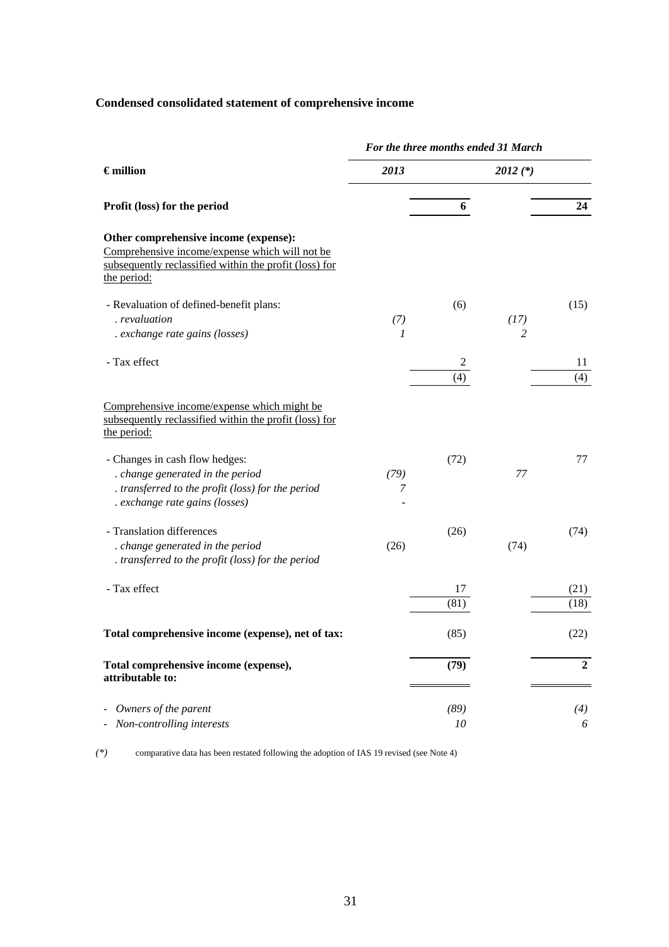# **Condensed consolidated statement of comprehensive income**

|                                                                                                                                                                  |                      |            | For the three months ended 31 March |              |
|------------------------------------------------------------------------------------------------------------------------------------------------------------------|----------------------|------------|-------------------------------------|--------------|
| $\epsilon$ million                                                                                                                                               | 2013                 |            | $2012$ (*)                          |              |
| Profit (loss) for the period                                                                                                                                     |                      | 6          |                                     | 24           |
| Other comprehensive income (expense):<br>Comprehensive income/expense which will not be<br>subsequently reclassified within the profit (loss) for<br>the period: |                      |            |                                     |              |
| - Revaluation of defined-benefit plans:<br>. revaluation<br>. exchange rate gains (losses)                                                                       | (7)<br>$\mathcal{I}$ | (6)        | (17)<br>$\overline{2}$              | (15)         |
| - Tax effect                                                                                                                                                     |                      | 2<br>(4)   |                                     | 11<br>(4)    |
| Comprehensive income/expense which might be<br>subsequently reclassified within the profit (loss) for<br>the period:                                             |                      |            |                                     |              |
| - Changes in cash flow hedges:<br>. change generated in the period<br>. transferred to the profit (loss) for the period<br>. exchange rate gains (losses)        | (79)<br>7            | (72)       | 77                                  | 77           |
| - Translation differences<br>. change generated in the period<br>. transferred to the profit (loss) for the period                                               | (26)                 | (26)       | (74)                                | (74)         |
| - Tax effect                                                                                                                                                     |                      | 17<br>(81) |                                     | (21)<br>(18) |
| Total comprehensive income (expense), net of tax:                                                                                                                |                      | (85)       |                                     | (22)         |
| Total comprehensive income (expense),<br>attributable to:                                                                                                        |                      | (79)       |                                     | $\mathbf{2}$ |
| Owners of the parent<br>Non-controlling interests                                                                                                                |                      | (89)<br>10 |                                     | (4)<br>6     |

*(\*)* comparative data has been restated following the adoption of IAS 19 revised (see Note 4)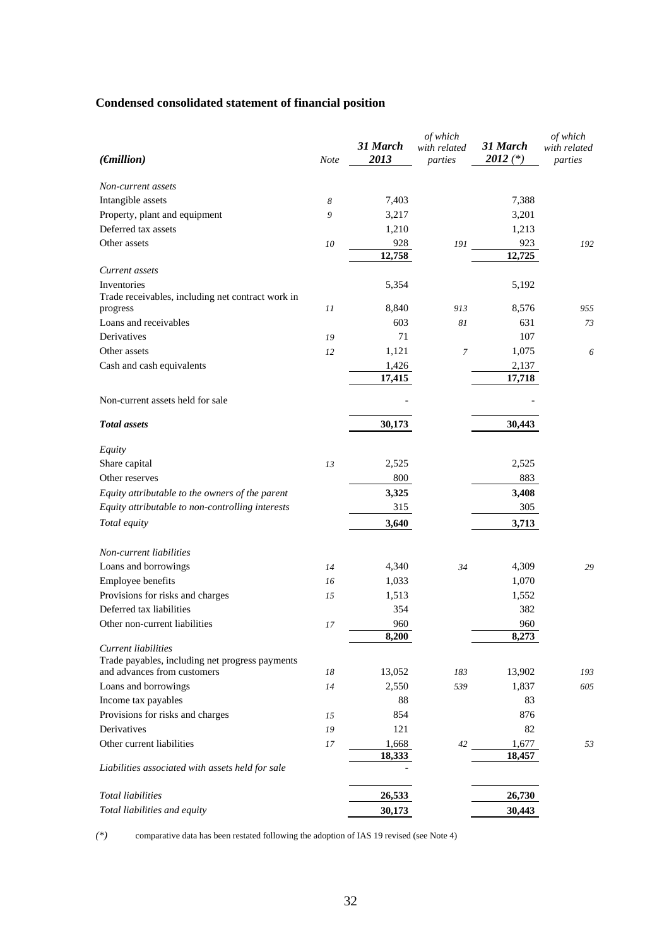# **Condensed consolidated statement of financial position**

| $(\epsilon$ <i>nillion</i> )                                           | Note | 31 March<br>2013 | of which<br>with related<br>parties | 31 March<br>$2012$ (*) | of which<br>with related<br>parties |
|------------------------------------------------------------------------|------|------------------|-------------------------------------|------------------------|-------------------------------------|
| Non-current assets                                                     |      |                  |                                     |                        |                                     |
| Intangible assets                                                      | 8    | 7,403            |                                     | 7,388                  |                                     |
| Property, plant and equipment                                          | 9    | 3,217            |                                     | 3,201                  |                                     |
| Deferred tax assets                                                    |      | 1,210            |                                     | 1,213                  |                                     |
| Other assets                                                           | 10   | 928              | 191                                 | 923                    | 192                                 |
|                                                                        |      | 12,758           |                                     | 12,725                 |                                     |
| Current assets                                                         |      |                  |                                     |                        |                                     |
| Inventories<br>Trade receivables, including net contract work in       |      | 5,354            |                                     | 5,192                  |                                     |
| progress                                                               | 11   | 8,840            | 913                                 | 8,576                  | 955                                 |
| Loans and receivables                                                  |      | 603              | 81                                  | 631                    | 73                                  |
| Derivatives                                                            | 19   | 71               |                                     | 107                    |                                     |
| Other assets                                                           | 12   | 1,121            | $\boldsymbol{7}$                    | 1,075                  | 6                                   |
| Cash and cash equivalents                                              |      | 1,426<br>17,415  |                                     | 2,137<br>17,718        |                                     |
| Non-current assets held for sale                                       |      |                  |                                     |                        |                                     |
|                                                                        |      |                  |                                     |                        |                                     |
| <b>Total assets</b>                                                    |      | 30,173           |                                     | 30,443                 |                                     |
| Equity                                                                 |      |                  |                                     |                        |                                     |
| Share capital                                                          | 13   | 2,525            |                                     | 2,525                  |                                     |
| Other reserves                                                         |      | 800              |                                     | 883                    |                                     |
| Equity attributable to the owners of the parent                        |      | 3,325            |                                     | 3,408                  |                                     |
| Equity attributable to non-controlling interests                       |      | 315              |                                     | 305                    |                                     |
| Total equity                                                           |      | 3,640            |                                     | 3,713                  |                                     |
| Non-current liabilities                                                |      |                  |                                     |                        |                                     |
| Loans and borrowings                                                   | 14   | 4,340            | 34                                  | 4,309                  | 29                                  |
| Employee benefits                                                      | 16   | 1,033            |                                     | 1,070                  |                                     |
| Provisions for risks and charges                                       | 15   | 1,513            |                                     | 1,552                  |                                     |
| Deferred tax liabilities                                               |      | 354              |                                     | 382                    |                                     |
| Other non-current liabilities                                          | 17   | 960              |                                     | 960                    |                                     |
|                                                                        |      | 8,200            |                                     | 8,273                  |                                     |
| Current liabilities<br>Trade payables, including net progress payments |      |                  |                                     |                        |                                     |
| and advances from customers                                            | 18   | 13,052           | 183                                 | 13,902                 | 193                                 |
| Loans and borrowings                                                   | 14   | 2,550            | 539                                 | 1,837                  | 605                                 |
| Income tax payables                                                    |      | 88               |                                     | 83                     |                                     |
| Provisions for risks and charges                                       | 15   | 854              |                                     | 876                    |                                     |
| Derivatives                                                            | 19   | 121              |                                     | 82                     |                                     |
| Other current liabilities                                              | 17   | 1,668            | 42                                  | 1,677                  | 53                                  |
| Liabilities associated with assets held for sale                       |      | 18,333           |                                     | 18,457                 |                                     |
|                                                                        |      |                  |                                     |                        |                                     |
| <b>Total liabilities</b>                                               |      | 26,533           |                                     | 26,730                 |                                     |
| Total liabilities and equity                                           |      | 30,173           |                                     | 30,443                 |                                     |

*(\*)* comparative data has been restated following the adoption of IAS 19 revised (see Note 4)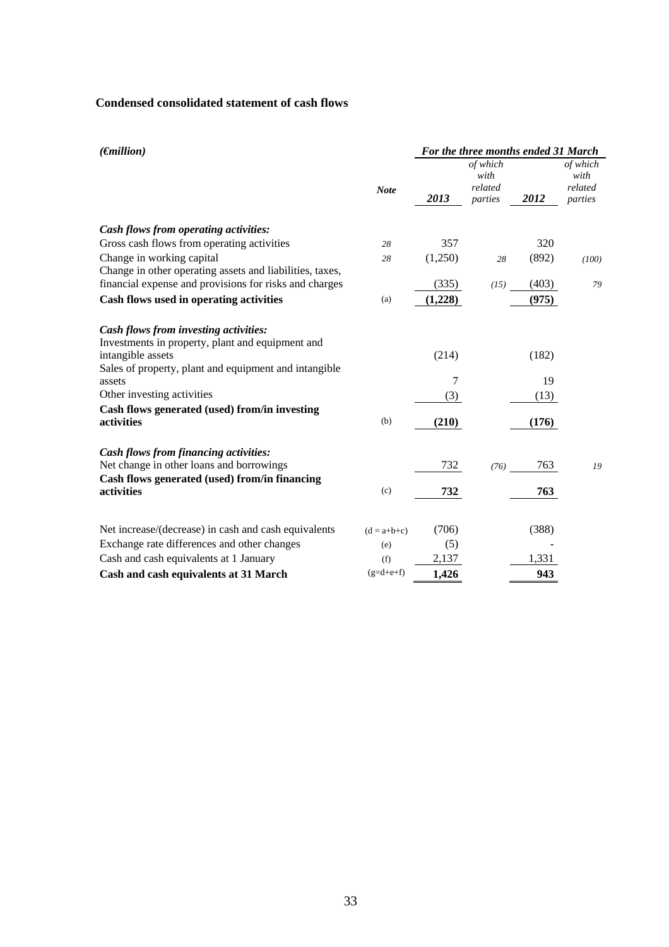## **Condensed consolidated statement of cash flows**

| $(\epsilon$ <i>nillion</i> )                                                                                   |               | For the three months ended 31 March |                                        |       |                                        |  |  |
|----------------------------------------------------------------------------------------------------------------|---------------|-------------------------------------|----------------------------------------|-------|----------------------------------------|--|--|
|                                                                                                                | <b>Note</b>   | 2013                                | of which<br>with<br>related<br>parties | 2012  | of which<br>with<br>related<br>parties |  |  |
| Cash flows from operating activities:                                                                          |               |                                     |                                        |       |                                        |  |  |
| Gross cash flows from operating activities                                                                     | 28            | 357                                 |                                        | 320   |                                        |  |  |
| Change in working capital<br>Change in other operating assets and liabilities, taxes,                          | 28            | (1,250)                             | 28                                     | (892) | (100)                                  |  |  |
| financial expense and provisions for risks and charges                                                         |               | (335)                               | (15)                                   | (403) | 79                                     |  |  |
| Cash flows used in operating activities                                                                        | (a)           | (1,228)                             |                                        | (975) |                                        |  |  |
| Cash flows from investing activities:<br>Investments in property, plant and equipment and<br>intangible assets |               | (214)                               |                                        | (182) |                                        |  |  |
| Sales of property, plant and equipment and intangible<br>assets                                                |               | 7                                   |                                        | 19    |                                        |  |  |
| Other investing activities                                                                                     |               | (3)                                 |                                        | (13)  |                                        |  |  |
| Cash flows generated (used) from/in investing<br>activities                                                    | (b)           | (210)                               |                                        | (176) |                                        |  |  |
| <b>Cash flows from financing activities:</b><br>Net change in other loans and borrowings                       |               | 732                                 | (76)                                   | 763   | 19                                     |  |  |
| Cash flows generated (used) from/in financing<br>activities                                                    | (c)           | 732                                 |                                        | 763   |                                        |  |  |
| Net increase/(decrease) in cash and cash equivalents                                                           | $(d = a+b+c)$ | (706)                               |                                        | (388) |                                        |  |  |
| Exchange rate differences and other changes                                                                    | (e)           | (5)                                 |                                        |       |                                        |  |  |
| Cash and cash equivalents at 1 January                                                                         | (f)           | 2,137                               |                                        | 1,331 |                                        |  |  |
| Cash and cash equivalents at 31 March                                                                          | $(g=d+e+f)$   | 1,426                               |                                        | 943   |                                        |  |  |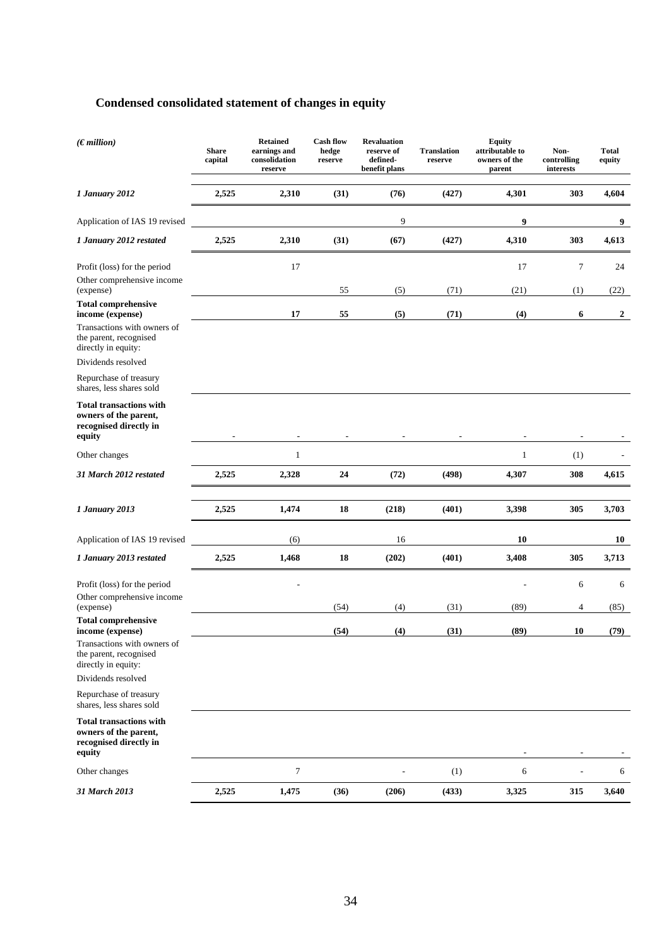# **Condensed consolidated statement of changes in equity**

| (Emillion)                                                                                       | <b>Share</b><br>capital | <b>Retained</b><br>earnings and<br>consolidation<br>reserve | <b>Cash flow</b><br>hedge<br>reserve | <b>Revaluation</b><br>reserve of<br>defined-<br>benefit plans | <b>Translation</b><br>reserve | <b>Equity</b><br>attributable to<br>owners of the<br>parent | Non-<br>controlling<br>interests | <b>Total</b><br>equity |
|--------------------------------------------------------------------------------------------------|-------------------------|-------------------------------------------------------------|--------------------------------------|---------------------------------------------------------------|-------------------------------|-------------------------------------------------------------|----------------------------------|------------------------|
| 1 January 2012                                                                                   | 2,525                   | 2,310                                                       | (31)                                 | (76)                                                          | (427)                         | 4,301                                                       | 303                              | 4,604                  |
| Application of IAS 19 revised                                                                    |                         |                                                             |                                      | 9                                                             |                               | 9                                                           |                                  | 9                      |
| 1 January 2012 restated                                                                          | 2,525                   | 2,310                                                       | (31)                                 | (67)                                                          | (427)                         | 4,310                                                       | 303                              | 4,613                  |
| Profit (loss) for the period                                                                     |                         | 17                                                          |                                      |                                                               |                               | 17                                                          | 7                                | 24                     |
| Other comprehensive income<br>(expense)                                                          |                         |                                                             | 55                                   | (5)                                                           | (71)                          | (21)                                                        | (1)                              | (22)                   |
| <b>Total comprehensive</b><br>income (expense)                                                   |                         | 17                                                          | 55                                   | (5)                                                           | (71)                          | (4)                                                         | 6                                | $\boldsymbol{2}$       |
| Transactions with owners of<br>the parent, recognised<br>directly in equity:                     |                         |                                                             |                                      |                                                               |                               |                                                             |                                  |                        |
| Dividends resolved                                                                               |                         |                                                             |                                      |                                                               |                               |                                                             |                                  |                        |
| Repurchase of treasury<br>shares, less shares sold                                               |                         |                                                             |                                      |                                                               |                               |                                                             |                                  |                        |
| <b>Total transactions with</b><br>owners of the parent,<br>recognised directly in<br>equity      |                         |                                                             |                                      |                                                               |                               |                                                             |                                  |                        |
| Other changes                                                                                    |                         | $\mathbf{1}$                                                |                                      |                                                               |                               | $\mathbf{1}$                                                | (1)                              |                        |
| 31 March 2012 restated                                                                           | 2,525                   | 2,328                                                       | 24                                   | (72)                                                          | (498)                         | 4,307                                                       | 308                              | 4,615                  |
| 1 January 2013                                                                                   | 2,525                   | 1,474                                                       | 18                                   | (218)                                                         | (401)                         | 3,398                                                       | 305                              | 3,703                  |
| Application of IAS 19 revised                                                                    |                         | (6)                                                         |                                      | 16                                                            |                               | 10                                                          |                                  | 10                     |
| 1 January 2013 restated                                                                          | 2,525                   | 1,468                                                       | 18                                   | (202)                                                         | (401)                         | 3,408                                                       | 305                              | 3,713                  |
| Profit (loss) for the period<br>Other comprehensive income                                       |                         |                                                             |                                      |                                                               |                               |                                                             | 6                                | 6                      |
| (expense)<br><b>Total comprehensive</b>                                                          |                         |                                                             | (54)                                 | (4)                                                           | (31)                          | (89)                                                        | 4                                | (85)                   |
| income (expense)<br>Transactions with owners of<br>the parent, recognised<br>directly in equity: |                         |                                                             | (54)                                 | (4)                                                           | (31)                          | (89)                                                        | 10                               | (79)                   |
| Dividends resolved<br>Repurchase of treasury                                                     |                         |                                                             |                                      |                                                               |                               |                                                             |                                  |                        |
| shares, less shares sold                                                                         |                         |                                                             |                                      |                                                               |                               |                                                             |                                  |                        |
| <b>Total transactions with</b><br>owners of the parent,<br>recognised directly in<br>equity      |                         |                                                             |                                      |                                                               |                               |                                                             |                                  |                        |
| Other changes                                                                                    |                         | 7                                                           |                                      |                                                               | (1)                           | 6                                                           |                                  | 6                      |
| 31 March 2013                                                                                    | 2,525                   | 1,475                                                       | (36)                                 | (206)                                                         | (433)                         | 3,325                                                       | 315                              | 3,640                  |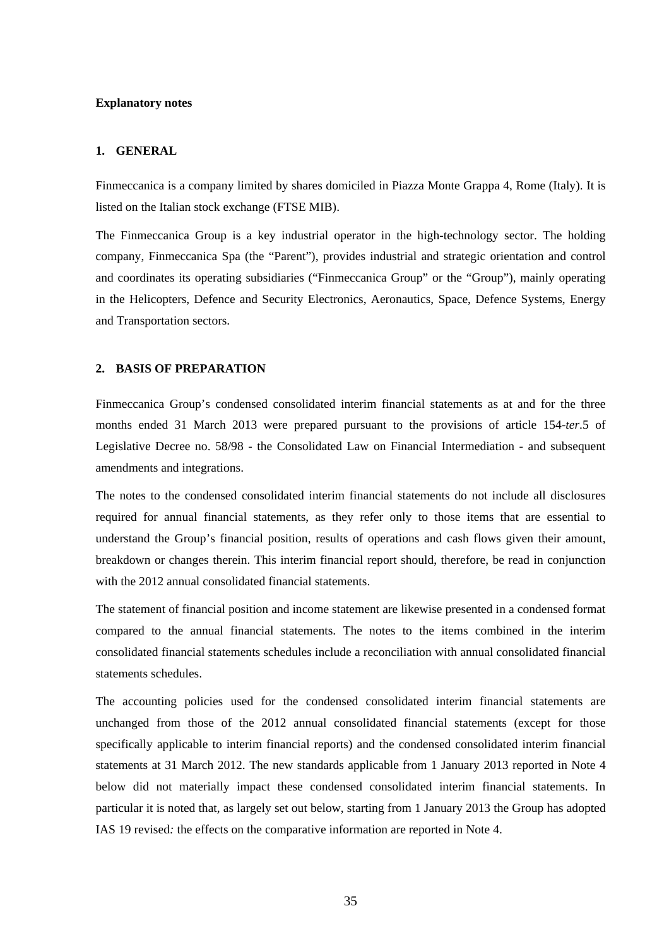#### **Explanatory notes**

#### **1. GENERAL**

Finmeccanica is a company limited by shares domiciled in Piazza Monte Grappa 4, Rome (Italy). It is listed on the Italian stock exchange (FTSE MIB).

The Finmeccanica Group is a key industrial operator in the high-technology sector. The holding company, Finmeccanica Spa (the "Parent"), provides industrial and strategic orientation and control and coordinates its operating subsidiaries ("Finmeccanica Group" or the "Group"), mainly operating in the Helicopters, Defence and Security Electronics, Aeronautics, Space, Defence Systems, Energy and Transportation sectors.

#### **2. BASIS OF PREPARATION**

Finmeccanica Group's condensed consolidated interim financial statements as at and for the three months ended 31 March 2013 were prepared pursuant to the provisions of article 154-*ter*.5 of Legislative Decree no. 58/98 - the Consolidated Law on Financial Intermediation - and subsequent amendments and integrations.

The notes to the condensed consolidated interim financial statements do not include all disclosures required for annual financial statements, as they refer only to those items that are essential to understand the Group's financial position, results of operations and cash flows given their amount, breakdown or changes therein. This interim financial report should, therefore, be read in conjunction with the 2012 annual consolidated financial statements.

The statement of financial position and income statement are likewise presented in a condensed format compared to the annual financial statements. The notes to the items combined in the interim consolidated financial statements schedules include a reconciliation with annual consolidated financial statements schedules.

The accounting policies used for the condensed consolidated interim financial statements are unchanged from those of the 2012 annual consolidated financial statements (except for those specifically applicable to interim financial reports) and the condensed consolidated interim financial statements at 31 March 2012. The new standards applicable from 1 January 2013 reported in Note 4 below did not materially impact these condensed consolidated interim financial statements. In particular it is noted that, as largely set out below, starting from 1 January 2013 the Group has adopted IAS 19 revised*:* the effects on the comparative information are reported in Note 4.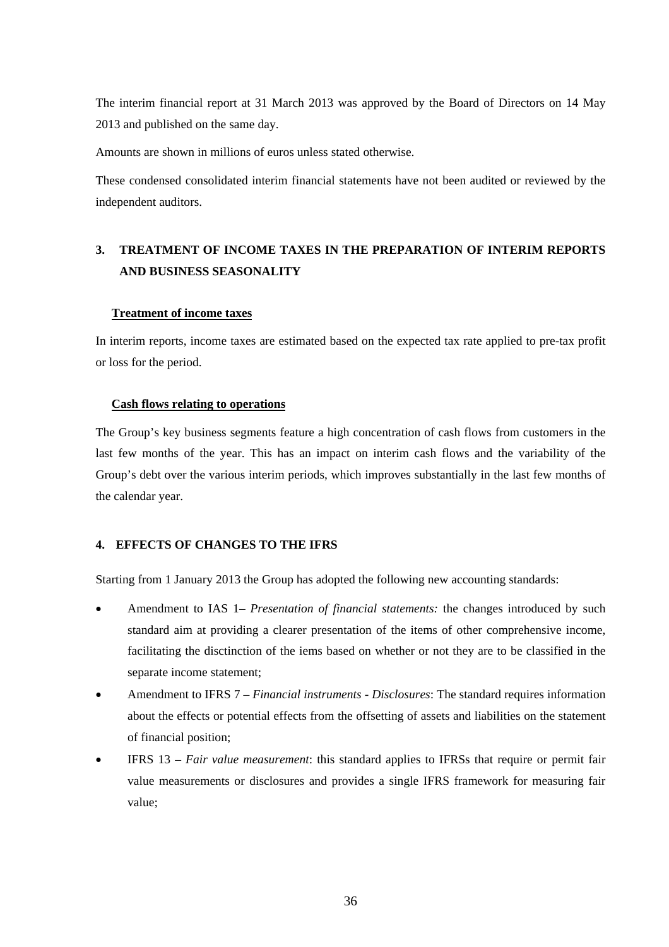The interim financial report at 31 March 2013 was approved by the Board of Directors on 14 May 2013 and published on the same day.

Amounts are shown in millions of euros unless stated otherwise.

These condensed consolidated interim financial statements have not been audited or reviewed by the independent auditors.

# **3. TREATMENT OF INCOME TAXES IN THE PREPARATION OF INTERIM REPORTS AND BUSINESS SEASONALITY**

#### **Treatment of income taxes**

In interim reports, income taxes are estimated based on the expected tax rate applied to pre-tax profit or loss for the period.

#### **Cash flows relating to operations**

The Group's key business segments feature a high concentration of cash flows from customers in the last few months of the year. This has an impact on interim cash flows and the variability of the Group's debt over the various interim periods, which improves substantially in the last few months of the calendar year.

## **4. EFFECTS OF CHANGES TO THE IFRS**

Starting from 1 January 2013 the Group has adopted the following new accounting standards:

- Amendment to IAS 1 *Presentation of financial statements:* the changes introduced by such standard aim at providing a clearer presentation of the items of other comprehensive income, facilitating the disctinction of the iems based on whether or not they are to be classified in the separate income statement;
- Amendment to IFRS 7 *Financial instruments Disclosures*: The standard requires information about the effects or potential effects from the offsetting of assets and liabilities on the statement of financial position;
- IFRS 13 *Fair value measurement*: this standard applies to IFRSs that require or permit fair value measurements or disclosures and provides a single IFRS framework for measuring fair value;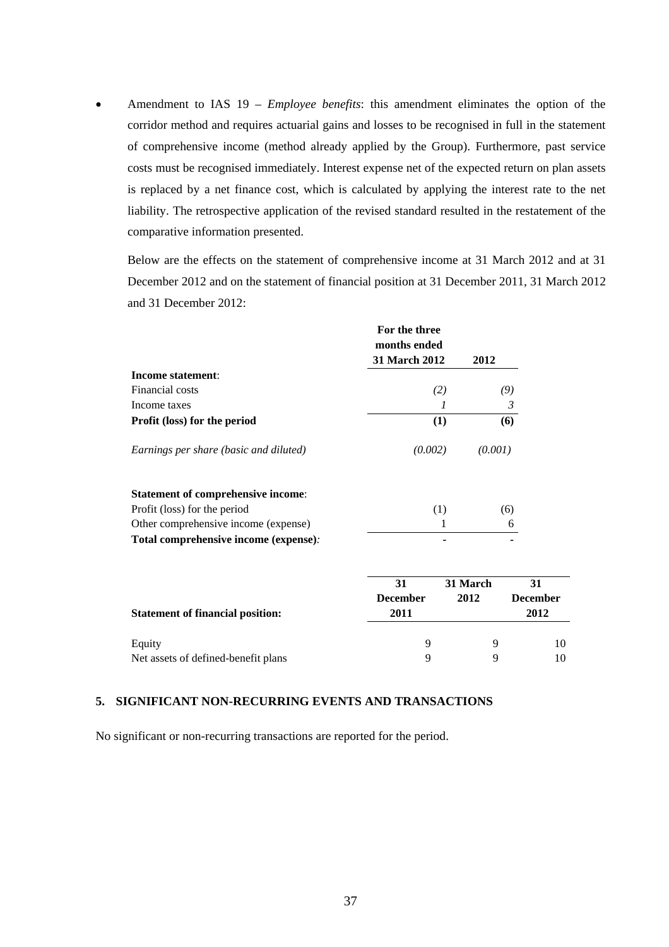Amendment to IAS 19 – *Employee benefits*: this amendment eliminates the option of the corridor method and requires actuarial gains and losses to be recognised in full in the statement of comprehensive income (method already applied by the Group). Furthermore, past service costs must be recognised immediately. Interest expense net of the expected return on plan assets is replaced by a net finance cost, which is calculated by applying the interest rate to the net liability. The retrospective application of the revised standard resulted in the restatement of the comparative information presented.

Below are the effects on the statement of comprehensive income at 31 March 2012 and at 31 December 2012 and on the statement of financial position at 31 December 2011, 31 March 2012 and 31 December 2012:

|                                           | For the three<br>months ended<br><b>31 March 2012</b> |     | 2012     |                 |
|-------------------------------------------|-------------------------------------------------------|-----|----------|-----------------|
| Income statement:                         |                                                       |     |          |                 |
| Financial costs                           |                                                       | (2) |          | (9)             |
| Income taxes                              |                                                       | 1   |          | $\mathfrak{Z}$  |
| Profit (loss) for the period              |                                                       | (1) |          | (6)             |
| Earnings per share (basic and diluted)    | (0.002)                                               |     | (0.001)  |                 |
| <b>Statement of comprehensive income:</b> |                                                       |     |          |                 |
| Profit (loss) for the period              |                                                       | (1) |          | (6)             |
| Other comprehensive income (expense)      |                                                       |     |          | 6               |
| Total comprehensive income (expense):     |                                                       |     |          |                 |
|                                           | 31                                                    |     | 31 March | 31              |
|                                           | <b>December</b>                                       |     | 2012     | <b>December</b> |
| <b>Statement of financial position:</b>   | 2011                                                  |     |          | 2012            |
| Equity                                    | 9                                                     |     | 9        | 10              |
| Net assets of defined-benefit plans       | 9                                                     |     | 9        | 10              |

### **5. SIGNIFICANT NON-RECURRING EVENTS AND TRANSACTIONS**

No significant or non-recurring transactions are reported for the period.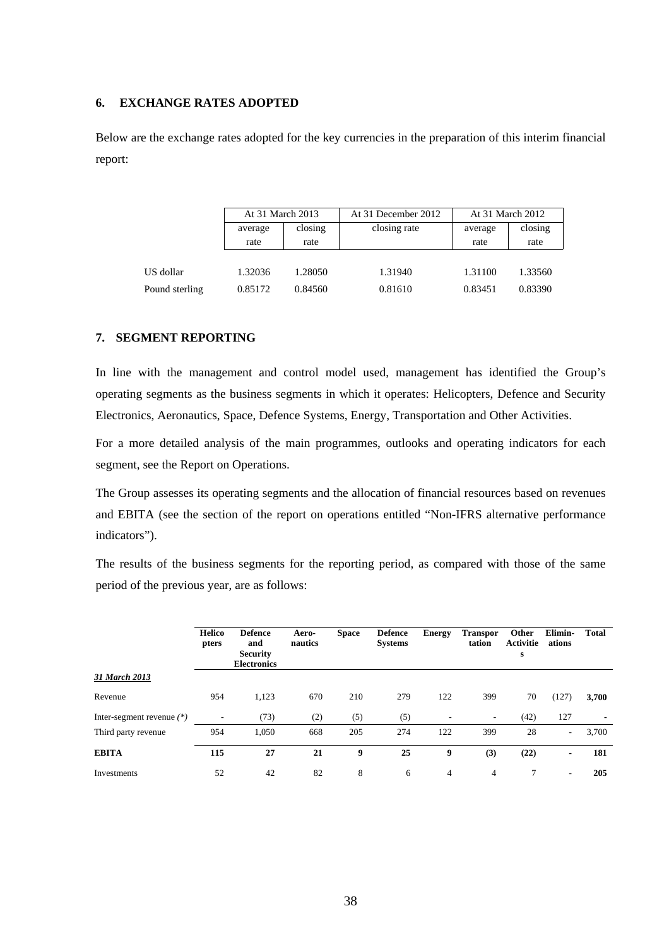#### **6. EXCHANGE RATES ADOPTED**

Below are the exchange rates adopted for the key currencies in the preparation of this interim financial report:

|                | At 31 March 2013 |         | At 31 December 2012 | At 31 March 2012 |         |  |
|----------------|------------------|---------|---------------------|------------------|---------|--|
|                | average          | closing | closing rate        | average          | closing |  |
|                | rate             | rate    |                     | rate             | rate    |  |
|                |                  |         |                     |                  |         |  |
| US dollar      | 1.32036          | 1.28050 | 1.31940             | 1.31100          | 1.33560 |  |
| Pound sterling | 0.85172          | 0.84560 | 0.81610             | 0.83451          | 0.83390 |  |

### **7. SEGMENT REPORTING**

In line with the management and control model used, management has identified the Group's operating segments as the business segments in which it operates: Helicopters, Defence and Security Electronics, Aeronautics, Space, Defence Systems, Energy, Transportation and Other Activities.

For a more detailed analysis of the main programmes, outlooks and operating indicators for each segment, see the Report on Operations.

The Group assesses its operating segments and the allocation of financial resources based on revenues and EBITA (see the section of the report on operations entitled "Non-IFRS alternative performance indicators").

The results of the business segments for the reporting period, as compared with those of the same period of the previous year, are as follows:

|                             | <b>Helico</b><br>pters | <b>Defence</b><br>and<br><b>Security</b><br><b>Electronics</b> | Aero-<br>nautics | <b>Space</b> | <b>Defence</b><br><b>Systems</b> | <b>Energy</b> | <b>Transpor</b><br>tation | Other<br><b>Activitie</b><br>s | Elimin-<br>ations        | <b>Total</b>   |
|-----------------------------|------------------------|----------------------------------------------------------------|------------------|--------------|----------------------------------|---------------|---------------------------|--------------------------------|--------------------------|----------------|
| 31 March 2013               |                        |                                                                |                  |              |                                  |               |                           |                                |                          |                |
| Revenue                     | 954                    | 1,123                                                          | 670              | 210          | 279                              | 122           | 399                       | 70                             | (127)                    | 3,700          |
| Inter-segment revenue $(*)$ | ٠                      | (73)                                                           | (2)              | (5)          | (5)                              | ۰             | $\overline{\phantom{a}}$  | (42)                           | 127                      | $\blacksquare$ |
| Third party revenue         | 954                    | 1,050                                                          | 668              | 205          | 274                              | 122           | 399                       | 28                             | $\overline{\phantom{a}}$ | 3,700          |
| <b>EBITA</b>                | 115                    | 27                                                             | 21               | 9            | 25                               | 9             | (3)                       | (22)                           | $\blacksquare$           | 181            |
| Investments                 | 52                     | 42                                                             | 82               | 8            | 6                                | 4             | 4                         | 7                              | $\overline{\phantom{a}}$ | 205            |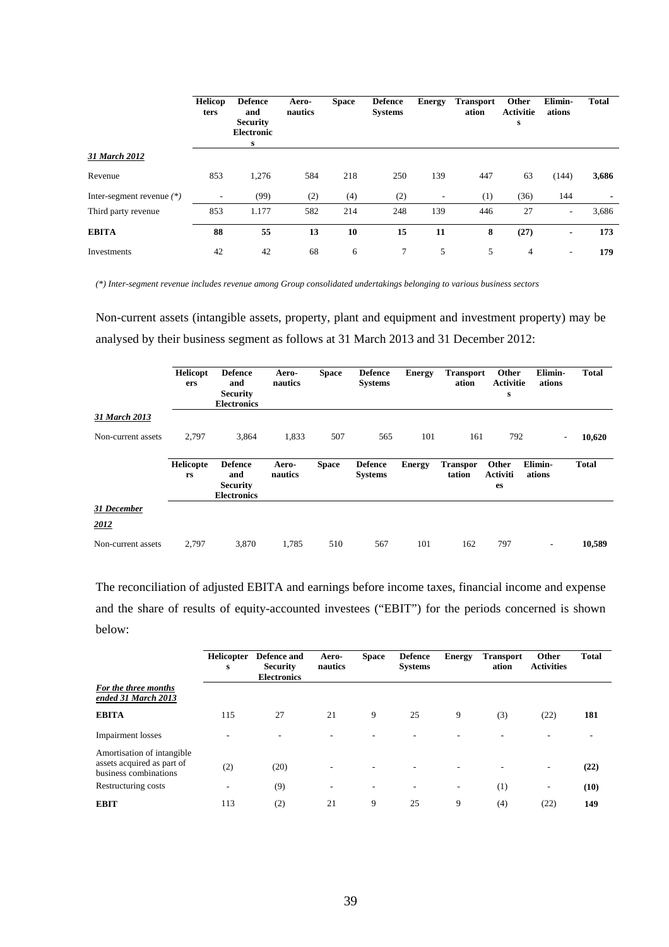|                             | <b>Helicop</b><br>ters   | <b>Defence</b><br>and<br><b>Security</b><br><b>Electronic</b><br>s | Aero-<br>nautics | <b>Space</b> | <b>Defence</b><br><b>Systems</b> | <b>Energy</b> | <b>Transport</b><br>ation | Other<br><b>Activitie</b><br>s | Elimin-<br>ations        | <b>Total</b> |
|-----------------------------|--------------------------|--------------------------------------------------------------------|------------------|--------------|----------------------------------|---------------|---------------------------|--------------------------------|--------------------------|--------------|
| 31 March 2012               |                          |                                                                    |                  |              |                                  |               |                           |                                |                          |              |
| Revenue                     | 853                      | 1,276                                                              | 584              | 218          | 250                              | 139           | 447                       | 63                             | (144)                    | 3,686        |
| Inter-segment revenue $(*)$ | $\overline{\phantom{a}}$ | (99)                                                               | (2)              | (4)          | (2)                              | -             | (1)                       | (36)                           | 144                      |              |
| Third party revenue         | 853                      | 1.177                                                              | 582              | 214          | 248                              | 139           | 446                       | 27                             | $\overline{\phantom{a}}$ | 3,686        |
| <b>EBITA</b>                | 88                       | 55                                                                 | 13               | 10           | 15                               | 11            | 8                         | (27)                           | $\blacksquare$           | 173          |
| Investments                 | 42                       | 42                                                                 | 68               | 6            | 7                                | 5             | 5                         | 4                              | $\overline{\phantom{a}}$ | 179          |

*(\*) Inter-segment revenue includes revenue among Group consolidated undertakings belonging to various business sectors* 

Non-current assets (intangible assets, property, plant and equipment and investment property) may be analysed by their business segment as follows at 31 March 2013 and 31 December 2012:

|                     | Helicopt<br>ers | <b>Defence</b><br>and<br><b>Security</b><br><b>Electronics</b> | Aero-<br>nautics | <b>Space</b> | <b>Defence</b><br><b>Systems</b> | <b>Energy</b> | <b>Transport</b><br>ation | Other<br><b>Activitie</b><br>s | Elimin-<br>ations        | <b>Total</b> |
|---------------------|-----------------|----------------------------------------------------------------|------------------|--------------|----------------------------------|---------------|---------------------------|--------------------------------|--------------------------|--------------|
| 31 March 2013       |                 |                                                                |                  |              |                                  |               |                           |                                |                          |              |
| Non-current assets  | 2,797           | 3,864                                                          | 1,833            | 507          | 565                              | 101           | 161                       | 792                            | $\overline{\phantom{a}}$ | 10,620       |
|                     | Helicopte<br>rs | <b>Defence</b><br>and<br><b>Security</b><br><b>Electronics</b> | Aero-<br>nautics | <b>Space</b> | <b>Defence</b><br><b>Systems</b> | <b>Energy</b> | <b>Transpor</b><br>tation | Other<br><b>Activiti</b><br>es | Elimin-<br>ations        | <b>Total</b> |
| 31 December<br>2012 |                 |                                                                |                  |              |                                  |               |                           |                                |                          |              |
| Non-current assets  | 2,797           | 3,870                                                          | 1,785            | 510          | 567                              | 101           | 162                       | 797                            | ۰.                       | 10,589       |

The reconciliation of adjusted EBITA and earnings before income taxes, financial income and expense and the share of results of equity-accounted investees ("EBIT") for the periods concerned is shown below:

|                                                                                   | <b>Helicopter</b><br>s | Defence and<br><b>Security</b><br><b>Electronics</b> | Aero-<br>nautics         | <b>Space</b>             | <b>Defence</b><br><b>Systems</b> | <b>Energy</b>            | <b>Transport</b><br>ation | Other<br><b>Activities</b> | <b>Total</b> |
|-----------------------------------------------------------------------------------|------------------------|------------------------------------------------------|--------------------------|--------------------------|----------------------------------|--------------------------|---------------------------|----------------------------|--------------|
| For the three months<br>ended 31 March 2013                                       |                        |                                                      |                          |                          |                                  |                          |                           |                            |              |
| <b>EBITA</b>                                                                      | 115                    | 27                                                   | 21                       | 9                        | 25                               | 9                        | (3)                       | (22)                       | 181          |
| <b>Impairment</b> losses                                                          |                        |                                                      |                          |                          |                                  |                          |                           |                            |              |
| Amortisation of intangible<br>assets acquired as part of<br>business combinations | (2)                    | (20)                                                 |                          |                          |                                  |                          |                           | $\overline{\phantom{a}}$   | (22)         |
| Restructuring costs                                                               | ٠                      | (9)                                                  | $\overline{\phantom{a}}$ | $\overline{\phantom{a}}$ | ۰                                | $\overline{\phantom{a}}$ | (1)                       | $\overline{\phantom{a}}$   | (10)         |
| <b>EBIT</b>                                                                       | 113                    | (2)                                                  | 21                       | 9                        | 25                               | 9                        | (4)                       | (22)                       | 149          |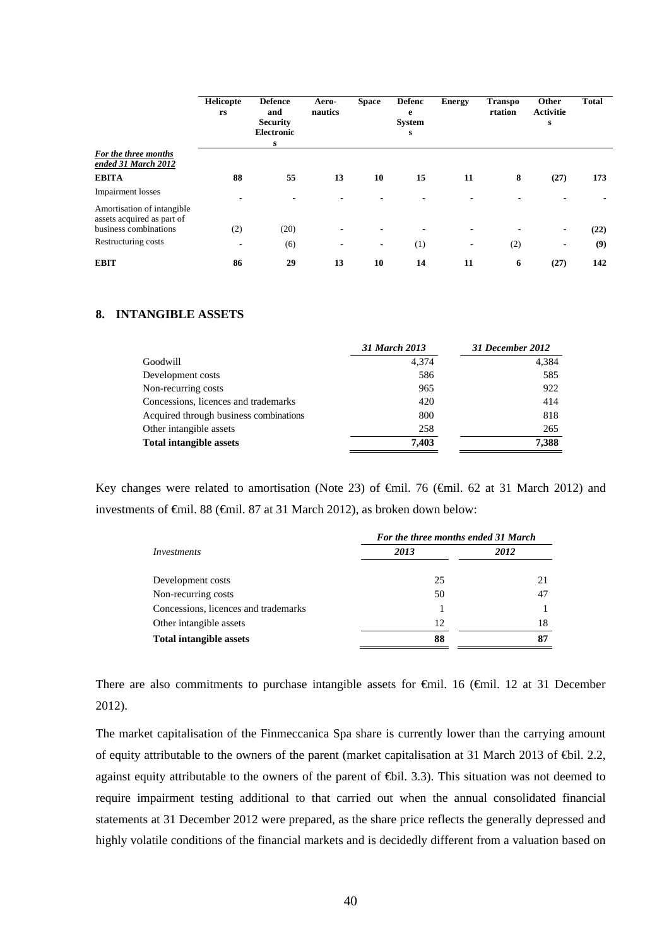|                                                          | Helicopte<br>rs          | <b>Defence</b><br>and<br><b>Security</b><br><b>Electronic</b><br>s | Aero-<br>nautics | <b>Space</b>             | <b>Defenc</b><br>e<br><b>System</b><br>s | <b>Energy</b>            | <b>Transpo</b><br>rtation | Other<br><b>Activitie</b><br>s | <b>Total</b> |
|----------------------------------------------------------|--------------------------|--------------------------------------------------------------------|------------------|--------------------------|------------------------------------------|--------------------------|---------------------------|--------------------------------|--------------|
| For the three months                                     |                          |                                                                    |                  |                          |                                          |                          |                           |                                |              |
| ended 31 March 2012                                      |                          |                                                                    |                  |                          |                                          |                          |                           |                                |              |
| <b>EBITA</b>                                             | 88                       | 55                                                                 | 13               | 10                       | 15                                       | 11                       | 8                         | (27)                           | 173          |
| <b>Impairment</b> losses                                 |                          |                                                                    |                  |                          |                                          |                          |                           |                                |              |
| Amortisation of intangible<br>assets acquired as part of |                          |                                                                    |                  |                          |                                          |                          |                           |                                |              |
| business combinations                                    | (2)                      | (20)                                                               |                  |                          |                                          |                          |                           | -                              | (22)         |
| Restructuring costs                                      | $\overline{\phantom{a}}$ | (6)                                                                |                  | $\overline{\phantom{a}}$ | (1)                                      | $\overline{\phantom{a}}$ | (2)                       | $\qquad \qquad \blacksquare$   | (9)          |
| <b>EBIT</b>                                              | 86                       | 29                                                                 | 13               | 10                       | 14                                       | 11                       | 6                         | (27)                           | 142          |

# **8. INTANGIBLE ASSETS**

|                                        | 31 March 2013 | 31 December 2012 |
|----------------------------------------|---------------|------------------|
| Goodwill                               | 4.374         | 4,384            |
| Development costs                      | 586           | 585              |
| Non-recurring costs                    | 965           | 922              |
| Concessions, licences and trademarks   | 420           | 414              |
| Acquired through business combinations | 800           | 818              |
| Other intangible assets                | 258           | 265              |
| <b>Total intangible assets</b>         | 7.403         | 7,388            |

Key changes were related to amortisation (Note 23) of €mil. 76 (€mil. 62 at 31 March 2012) and investments of €mil. 88 (€mil. 87 at 31 March 2012), as broken down below:

|                                      | For the three months ended 31 March |      |  |  |  |
|--------------------------------------|-------------------------------------|------|--|--|--|
| Investments                          | 2013                                | 2012 |  |  |  |
| Development costs                    | 25                                  | 21   |  |  |  |
| Non-recurring costs                  | 50                                  | 47   |  |  |  |
| Concessions, licences and trademarks |                                     |      |  |  |  |
| Other intangible assets              | 12                                  | 18   |  |  |  |
| <b>Total intangible assets</b>       | 88                                  | 87   |  |  |  |

There are also commitments to purchase intangible assets for €mil. 16 (€mil. 12 at 31 December 2012).

The market capitalisation of the Finmeccanica Spa share is currently lower than the carrying amount of equity attributable to the owners of the parent (market capitalisation at 31 March 2013 of €bil. 2.2, against equity attributable to the owners of the parent of  $\bigoplus$ il. 3.3). This situation was not deemed to require impairment testing additional to that carried out when the annual consolidated financial statements at 31 December 2012 were prepared, as the share price reflects the generally depressed and highly volatile conditions of the financial markets and is decidedly different from a valuation based on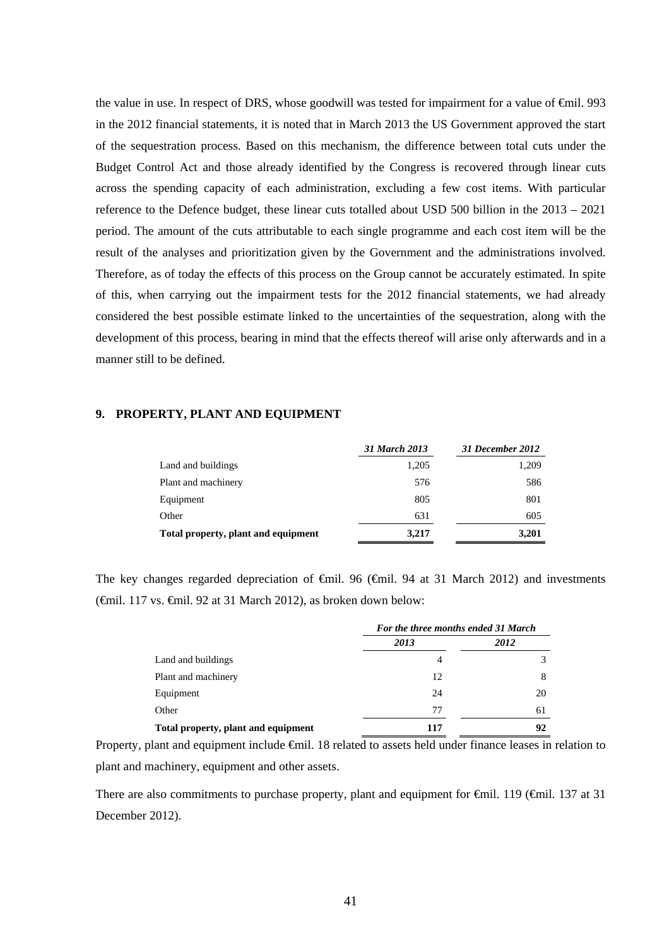the value in use. In respect of DRS, whose goodwill was tested for impairment for a value of <del>€</del>mil. 993 in the 2012 financial statements, it is noted that in March 2013 the US Government approved the start of the sequestration process. Based on this mechanism, the difference between total cuts under the Budget Control Act and those already identified by the Congress is recovered through linear cuts across the spending capacity of each administration, excluding a few cost items. With particular reference to the Defence budget, these linear cuts totalled about USD 500 billion in the 2013 – 2021 period. The amount of the cuts attributable to each single programme and each cost item will be the result of the analyses and prioritization given by the Government and the administrations involved. Therefore, as of today the effects of this process on the Group cannot be accurately estimated. In spite of this, when carrying out the impairment tests for the 2012 financial statements, we had already considered the best possible estimate linked to the uncertainties of the sequestration, along with the development of this process, bearing in mind that the effects thereof will arise only afterwards and in a manner still to be defined.

#### **9. PROPERTY, PLANT AND EQUIPMENT**

|                                     | 31 March 2013 | 31 December 2012 |
|-------------------------------------|---------------|------------------|
| Land and buildings                  | 1,205         | 1,209            |
| Plant and machinery                 | 576           | 586              |
| Equipment                           | 805           | 801              |
| Other                               | 631           | 605              |
| Total property, plant and equipment | 3,217         | 3,201            |

The key changes regarded depreciation of €mil. 96 (€mil. 94 at 31 March 2012) and investments (€mil. 117 vs. €mil. 92 at 31 March 2012), as broken down below:

|                                     | For the three months ended 31 March |      |  |
|-------------------------------------|-------------------------------------|------|--|
|                                     | 2013                                | 2012 |  |
| Land and buildings                  | 4                                   |      |  |
| Plant and machinery                 | 12                                  | 8    |  |
| Equipment                           | 24                                  | 20   |  |
| Other                               | 77                                  | 61   |  |
| Total property, plant and equipment | 117                                 | 92   |  |

Property, plant and equipment include €mil. 18 related to assets held under finance leases in relation to plant and machinery, equipment and other assets.

There are also commitments to purchase property, plant and equipment for  $\epsilon$ mil. 119 ( $\epsilon$ mil. 137 at 31 December 2012).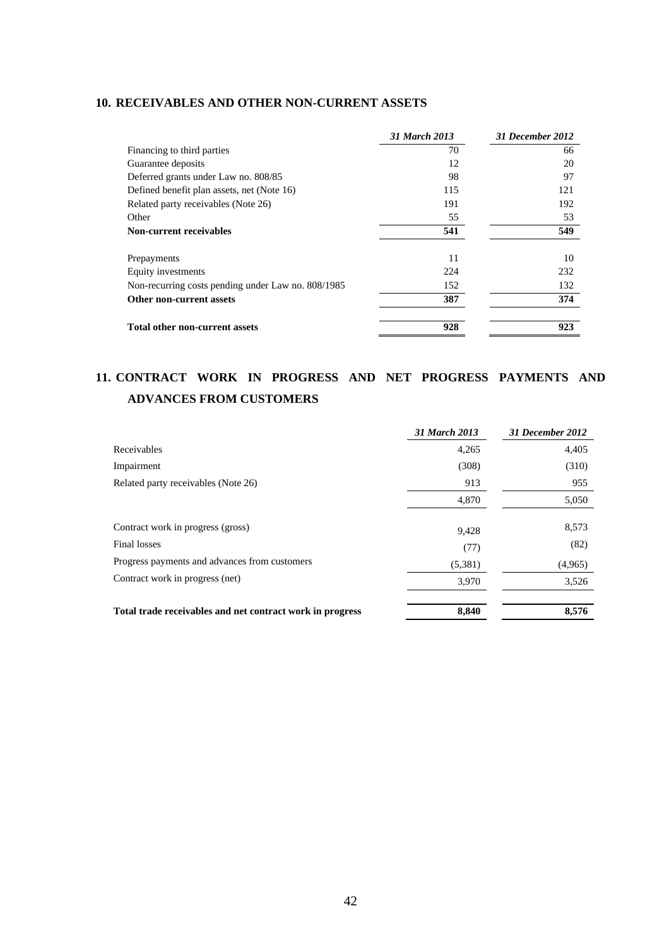## **10. RECEIVABLES AND OTHER NON-CURRENT ASSETS**

|                                                    | 31 March 2013 | 31 December 2012 |
|----------------------------------------------------|---------------|------------------|
| Financing to third parties                         | 70            | 66               |
| Guarantee deposits                                 | 12            | 20               |
| Deferred grants under Law no. 808/85               | 98            | 97               |
| Defined benefit plan assets, net (Note 16)         | 115           | 121              |
| Related party receivables (Note 26)                | 191           | 192              |
| Other                                              | 55            | 53               |
| <b>Non-current receivables</b>                     | 541           | 549              |
| Prepayments                                        | 11            | 10               |
| Equity investments                                 | 224           | 232              |
| Non-recurring costs pending under Law no. 808/1985 | 152           | 132              |
| Other non-current assets                           | 387           | 374              |
| <b>Total other non-current assets</b>              | 928           | 923              |

# **11. CONTRACT WORK IN PROGRESS AND NET PROGRESS PAYMENTS AND ADVANCES FROM CUSTOMERS**

|                                                           | 31 March 2013 | 31 December 2012 |
|-----------------------------------------------------------|---------------|------------------|
| Receivables                                               | 4,265         | 4,405            |
| Impairment                                                | (308)         | (310)            |
| Related party receivables (Note 26)                       | 913           | 955              |
|                                                           | 4,870         | 5,050            |
| Contract work in progress (gross)                         | 9,428         | 8,573            |
| Final losses                                              | (77)          | (82)             |
| Progress payments and advances from customers             | (5,381)       | (4,965)          |
| Contract work in progress (net)                           | 3,970         | 3,526            |
| Total trade receivables and net contract work in progress | 8,840         | 8,576            |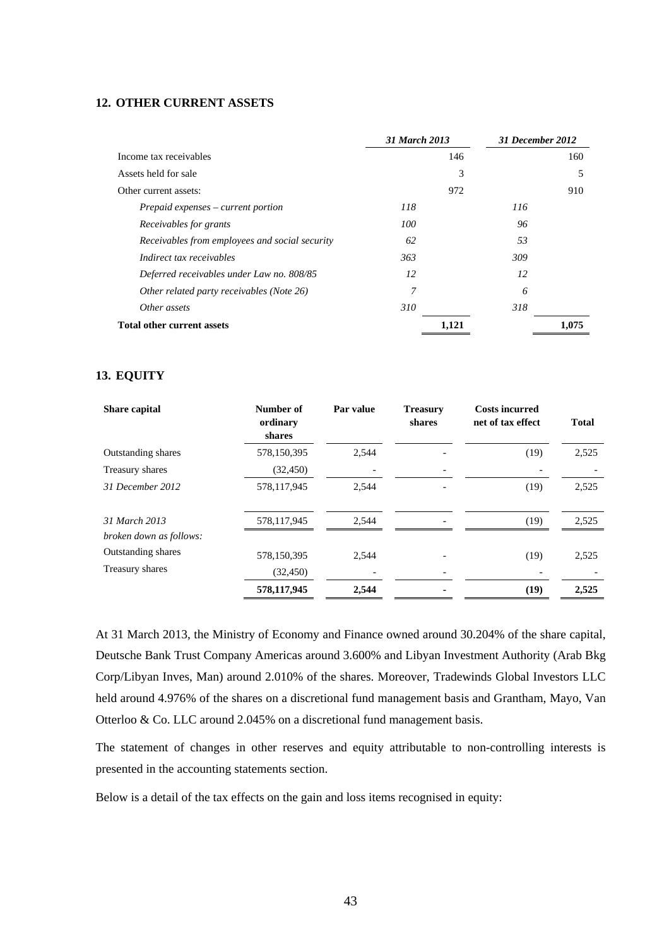#### **12. OTHER CURRENT ASSETS**

|                                                | 31 March 2013 |     | 31 December 2012 |  |
|------------------------------------------------|---------------|-----|------------------|--|
| Income tax receivables                         |               | 146 | 160              |  |
| Assets held for sale                           |               | 3   | 5                |  |
| Other current assets:                          |               | 972 | 910              |  |
| $Prepaid$ expenses – current portion           | 118           | 116 |                  |  |
| Receivables for grants                         | 100           | 96  |                  |  |
| Receivables from employees and social security | 62            | 53  |                  |  |
| Indirect tax receivables                       | 363           | 309 |                  |  |
| Deferred receivables under Law no. 808/85      | 12            | 12  |                  |  |
| Other related party receivables (Note 26)      | 7             | 6   |                  |  |
| Other assets                                   | 310           | 318 |                  |  |
| <b>Total other current assets</b>              | 1,121         |     | 1,075            |  |

### **13. EQUITY**

| <b>Share capital</b>      | Number of<br>ordinary<br>shares | Par value | <b>Treasury</b><br>shares | <b>Costs incurred</b><br>net of tax effect | <b>Total</b> |
|---------------------------|---------------------------------|-----------|---------------------------|--------------------------------------------|--------------|
| Outstanding shares        | 578,150,395                     | 2,544     |                           | (19)                                       | 2,525        |
| Treasury shares           | (32, 450)                       |           |                           |                                            |              |
| 31 December 2012          | 578,117,945                     | 2.544     |                           | (19)                                       | 2,525        |
| 31 March 2013             | 578,117,945                     | 2.544     |                           | (19)                                       | 2,525        |
| broken down as follows:   |                                 |           |                           |                                            |              |
| <b>Outstanding shares</b> | 578,150,395                     | 2,544     |                           | (19)                                       | 2,525        |
| Treasury shares           | (32, 450)                       |           |                           |                                            |              |
|                           | 578,117,945                     | 2,544     |                           | (19)                                       | 2,525        |

At 31 March 2013, the Ministry of Economy and Finance owned around 30.204% of the share capital, Deutsche Bank Trust Company Americas around 3.600% and Libyan Investment Authority (Arab Bkg Corp/Libyan Inves, Man) around 2.010% of the shares. Moreover, Tradewinds Global Investors LLC held around 4.976% of the shares on a discretional fund management basis and Grantham, Mayo, Van Otterloo & Co. LLC around 2.045% on a discretional fund management basis.

The statement of changes in other reserves and equity attributable to non-controlling interests is presented in the accounting statements section.

Below is a detail of the tax effects on the gain and loss items recognised in equity: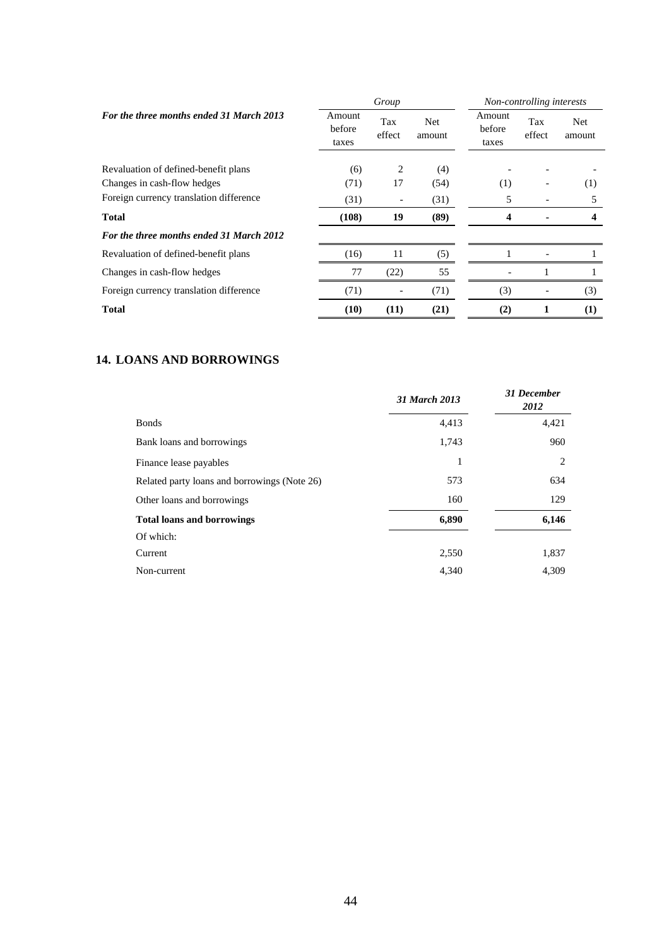|                                          |                           | Group         |               |                           | Non-controlling interests |               |
|------------------------------------------|---------------------------|---------------|---------------|---------------------------|---------------------------|---------------|
| For the three months ended 31 March 2013 | Amount<br>before<br>taxes | Tax<br>effect | Net<br>amount | Amount<br>before<br>taxes | Tax<br>effect             | Net<br>amount |
| Revaluation of defined-benefit plans     | (6)                       | 2             | (4)           |                           |                           |               |
| Changes in cash-flow hedges              | (71)                      | 17            | (54)          | (1)                       |                           | (1)           |
| Foreign currency translation difference  | (31)                      |               | (31)          | 5                         |                           | 5             |
| Total                                    | (108)                     | 19            | (89)          | 4                         |                           |               |
| For the three months ended 31 March 2012 |                           |               |               |                           |                           |               |
| Revaluation of defined-benefit plans     | (16)                      | 11            | (5)           |                           |                           |               |
| Changes in cash-flow hedges              | 77                        | (22)          | 55            |                           |                           |               |
| Foreign currency translation difference  | (71)                      |               | (71)          | (3)                       |                           | (3)           |
| Total                                    | (10)                      | (11)          | (21)          | (2)                       |                           | (1)           |

# **14. LOANS AND BORROWINGS**

|                                              | 31 March 2013 | 31 December<br>2012 |
|----------------------------------------------|---------------|---------------------|
| <b>Bonds</b>                                 | 4,413         | 4,421               |
| Bank loans and borrowings                    | 1,743         | 960                 |
| Finance lease payables                       | 1             | 2                   |
| Related party loans and borrowings (Note 26) | 573           | 634                 |
| Other loans and borrowings                   | 160           | 129                 |
| <b>Total loans and borrowings</b>            | 6,890         | 6,146               |
| Of which:                                    |               |                     |
| Current                                      | 2,550         | 1,837               |
| Non-current                                  | 4,340         | 4,309               |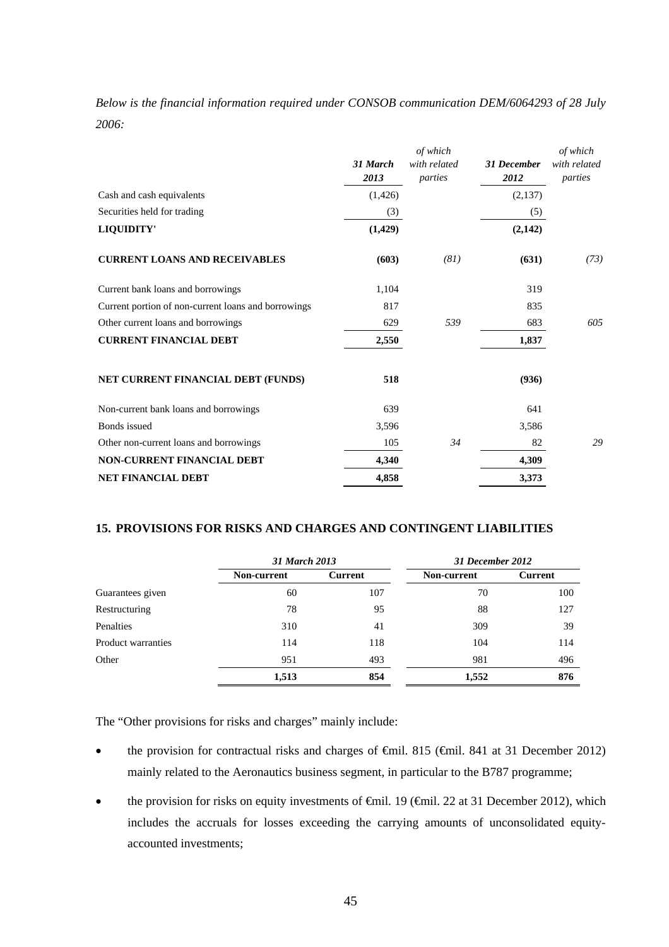|       |  |  |  | Below is the financial information required under CONSOB communication DEM/6064293 of 28 July |  |  |
|-------|--|--|--|-----------------------------------------------------------------------------------------------|--|--|
| 2006: |  |  |  |                                                                                               |  |  |

|                                                     | 31 March<br>2013 | of which<br>with related<br>parties | <b>31 December</b><br>2012 | of which<br>with related<br>parties |
|-----------------------------------------------------|------------------|-------------------------------------|----------------------------|-------------------------------------|
| Cash and cash equivalents                           | (1,426)          |                                     | (2,137)                    |                                     |
| Securities held for trading                         | (3)              |                                     | (5)                        |                                     |
| <b>LIQUIDITY'</b>                                   | (1, 429)         |                                     | (2,142)                    |                                     |
| <b>CURRENT LOANS AND RECEIVABLES</b>                | (603)            | (81)                                | (631)                      | (73)                                |
| Current bank loans and borrowings                   | 1,104            |                                     | 319                        |                                     |
| Current portion of non-current loans and borrowings | 817              |                                     | 835                        |                                     |
| Other current loans and borrowings                  | 629              | 539                                 | 683                        | 605                                 |
| <b>CURRENT FINANCIAL DEBT</b>                       | 2,550            |                                     | 1,837                      |                                     |
| NET CURRENT FINANCIAL DEBT (FUNDS)                  | 518              |                                     | (936)                      |                                     |
| Non-current bank loans and borrowings               | 639              |                                     | 641                        |                                     |
| <b>Bonds</b> issued                                 | 3,596            |                                     | 3,586                      |                                     |
| Other non-current loans and borrowings              | 105              | 34                                  | 82                         | 29                                  |
| <b>NON-CURRENT FINANCIAL DEBT</b>                   | 4,340            |                                     | 4,309                      |                                     |
| <b>NET FINANCIAL DEBT</b>                           | 4,858            |                                     | 3,373                      |                                     |

### **15. PROVISIONS FOR RISKS AND CHARGES AND CONTINGENT LIABILITIES**

|                    | 31 March 2013 |         | 31 December 2012 |         |
|--------------------|---------------|---------|------------------|---------|
|                    | Non-current   | Current | Non-current      | Current |
| Guarantees given   | 60            | 107     | 70               | 100     |
| Restructuring      | 78            | 95      | 88               | 127     |
| Penalties          | 310           | 41      | 309              | 39      |
| Product warranties | 114           | 118     | 104              | 114     |
| Other              | 951           | 493     | 981              | 496     |
|                    | 1,513         | 854     | 1,552            | 876     |

The "Other provisions for risks and charges" mainly include:

- the provision for contractual risks and charges of €mil. 815 (€mil. 841 at 31 December 2012) mainly related to the Aeronautics business segment, in particular to the B787 programme;
- the provision for risks on equity investments of  $\oplus$ mil. 19 ( $\oplus$ mil. 22 at 31 December 2012), which includes the accruals for losses exceeding the carrying amounts of unconsolidated equityaccounted investments;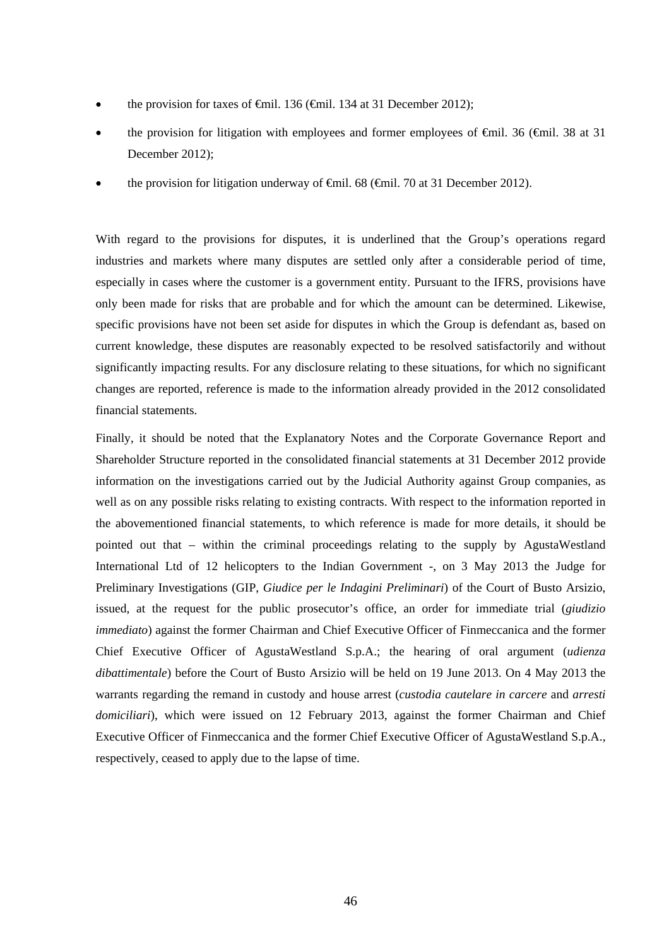- the provision for taxes of <del>€</del>mil. 136 (€mil. 134 at 31 December 2012);
- the provision for litigation with employees and former employees of  $\Theta$ mil. 36 ( $\Theta$ mil. 38 at 31 December 2012);
- the provision for litigation underway of  $\widehat{\mathbf{f}}$  and  $\widehat{\mathbf{f}}$  and  $\widehat{\mathbf{f}}$  at 31 December 2012).

With regard to the provisions for disputes, it is underlined that the Group's operations regard industries and markets where many disputes are settled only after a considerable period of time, especially in cases where the customer is a government entity. Pursuant to the IFRS, provisions have only been made for risks that are probable and for which the amount can be determined. Likewise, specific provisions have not been set aside for disputes in which the Group is defendant as, based on current knowledge, these disputes are reasonably expected to be resolved satisfactorily and without significantly impacting results. For any disclosure relating to these situations, for which no significant changes are reported, reference is made to the information already provided in the 2012 consolidated financial statements.

Finally, it should be noted that the Explanatory Notes and the Corporate Governance Report and Shareholder Structure reported in the consolidated financial statements at 31 December 2012 provide information on the investigations carried out by the Judicial Authority against Group companies, as well as on any possible risks relating to existing contracts. With respect to the information reported in the abovementioned financial statements, to which reference is made for more details, it should be pointed out that – within the criminal proceedings relating to the supply by AgustaWestland International Ltd of 12 helicopters to the Indian Government -, on 3 May 2013 the Judge for Preliminary Investigations (GIP, *Giudice per le Indagini Preliminari*) of the Court of Busto Arsizio, issued, at the request for the public prosecutor's office, an order for immediate trial (*giudizio immediato*) against the former Chairman and Chief Executive Officer of Finmeccanica and the former Chief Executive Officer of AgustaWestland S.p.A.; the hearing of oral argument (*udienza dibattimentale*) before the Court of Busto Arsizio will be held on 19 June 2013. On 4 May 2013 the warrants regarding the remand in custody and house arrest (*custodia cautelare in carcere* and *arresti domiciliari*), which were issued on 12 February 2013, against the former Chairman and Chief Executive Officer of Finmeccanica and the former Chief Executive Officer of AgustaWestland S.p.A., respectively, ceased to apply due to the lapse of time.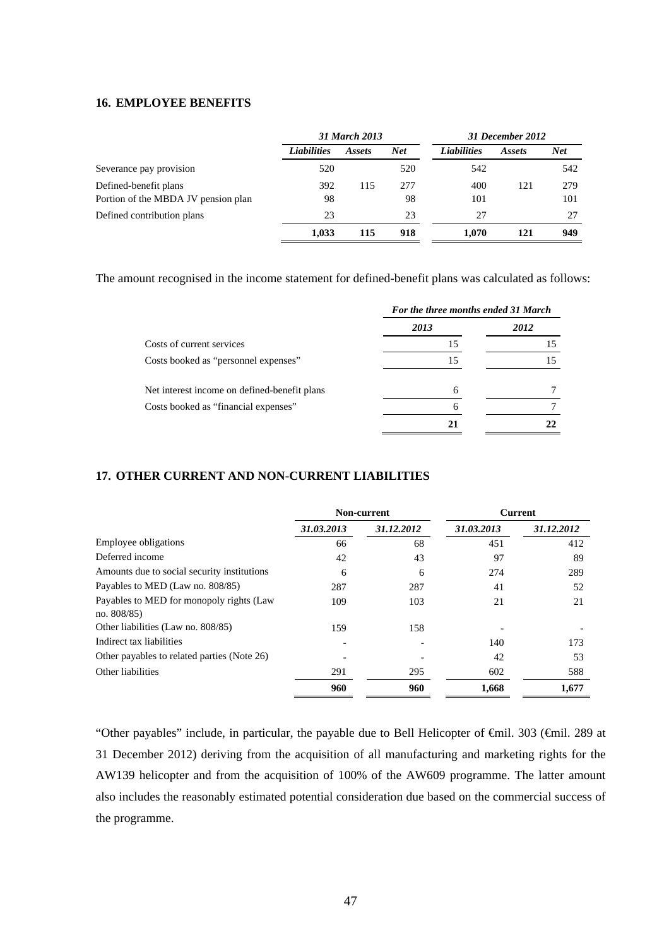### **16. EMPLOYEE BENEFITS**

|                                     |                    | 31 March 2013 |            |                    | 31 December 2012 |            |  |
|-------------------------------------|--------------------|---------------|------------|--------------------|------------------|------------|--|
|                                     | <b>Liabilities</b> | Assets        | <b>Net</b> | <b>Liabilities</b> | Assets           | <b>Net</b> |  |
| Severance pay provision             | 520                |               | 520        | 542                |                  | 542        |  |
| Defined-benefit plans               | 392                | 115           | 277        | 400                | 121              | 279        |  |
| Portion of the MBDA JV pension plan | 98                 |               | 98         | 101                |                  | 101        |  |
| Defined contribution plans          | 23                 |               | 23         | 27                 |                  | 27         |  |
|                                     | 1.033              | 115           | 918        | 1.070              | 121              | 949        |  |

The amount recognised in the income statement for defined-benefit plans was calculated as follows:

|                                              | For the three months ended 31 March |      |  |  |
|----------------------------------------------|-------------------------------------|------|--|--|
|                                              | 2013                                | 2012 |  |  |
| Costs of current services                    | 15                                  |      |  |  |
| Costs booked as "personnel expenses"         | 15                                  |      |  |  |
| Net interest income on defined-benefit plans | 6                                   |      |  |  |
| Costs booked as "financial expenses"         | 6                                   |      |  |  |
|                                              | 21                                  |      |  |  |

## **17. OTHER CURRENT AND NON-CURRENT LIABILITIES**

|                                                            |            | Non-current |            | <b>Current</b> |
|------------------------------------------------------------|------------|-------------|------------|----------------|
|                                                            | 31.03.2013 | 31.12.2012  | 31.03.2013 | 31.12.2012     |
| Employee obligations                                       | 66         | 68          | 451        | 412            |
| Deferred income                                            | 42         | 43          | 97         | 89             |
| Amounts due to social security institutions                | 6          | 6           | 274        | 289            |
| Payables to MED (Law no. 808/85)                           | 287        | 287         | 41         | 52             |
| Payables to MED for monopoly rights (Law<br>no. $808/85$ ) | 109        | 103         | 21         | 21             |
| Other liabilities (Law no. 808/85)                         | 159        | 158         |            |                |
| Indirect tax liabilities                                   |            |             | 140        | 173            |
| Other payables to related parties (Note 26)                |            |             | 42         | 53             |
| Other liabilities                                          | 291        | 295         | 602        | 588            |
|                                                            | 960        | 960         | 1,668      | 1,677          |

"Other payables" include, in particular, the payable due to Bell Helicopter of €mil. 303 (€mil. 289 at 31 December 2012) deriving from the acquisition of all manufacturing and marketing rights for the AW139 helicopter and from the acquisition of 100% of the AW609 programme. The latter amount also includes the reasonably estimated potential consideration due based on the commercial success of the programme.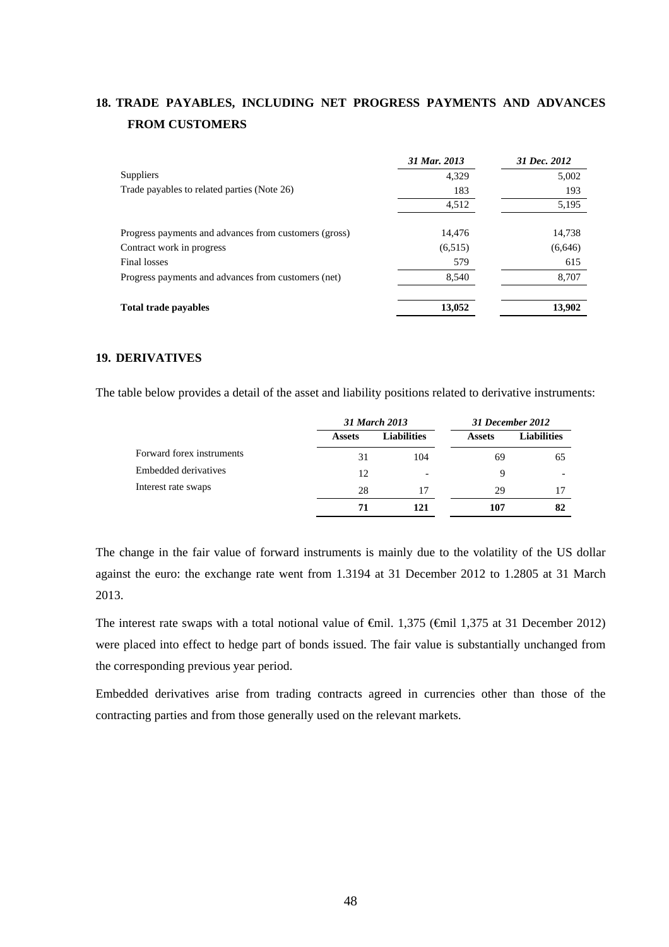# **18. TRADE PAYABLES, INCLUDING NET PROGRESS PAYMENTS AND ADVANCES FROM CUSTOMERS**

|                                                       | 31 Mar. 2013 | 31 Dec. 2012 |
|-------------------------------------------------------|--------------|--------------|
| <b>Suppliers</b>                                      | 4,329        | 5,002        |
| Trade payables to related parties (Note 26)           | 183          | 193          |
|                                                       | 4,512        | 5,195        |
| Progress payments and advances from customers (gross) | 14.476       | 14,738       |
| Contract work in progress                             | (6,515)      | (6,646)      |
| Final losses                                          | 579          | 615          |
| Progress payments and advances from customers (net)   | 8,540        | 8,707        |
| <b>Total trade payables</b>                           | 13,052       | 13,902       |

### **19. DERIVATIVES**

The table below provides a detail of the asset and liability positions related to derivative instruments:

|                           |               | 31 March 2013      | 31 December 2012 |                    |
|---------------------------|---------------|--------------------|------------------|--------------------|
|                           | <b>Assets</b> | <b>Liabilities</b> | <b>Assets</b>    | <b>Liabilities</b> |
| Forward forex instruments | 31            | 104                | 69               | 65                 |
| Embedded derivatives      | 12            | -                  | 9                |                    |
| Interest rate swaps       | 28            | 17                 | 29               |                    |
|                           | 71            | 121                | 107              | 82                 |

The change in the fair value of forward instruments is mainly due to the volatility of the US dollar against the euro: the exchange rate went from 1.3194 at 31 December 2012 to 1.2805 at 31 March 2013.

The interest rate swaps with a total notional value of  $\theta$ mil. 1,375 ( $\theta$ mil 1,375 at 31 December 2012) were placed into effect to hedge part of bonds issued. The fair value is substantially unchanged from the corresponding previous year period.

Embedded derivatives arise from trading contracts agreed in currencies other than those of the contracting parties and from those generally used on the relevant markets.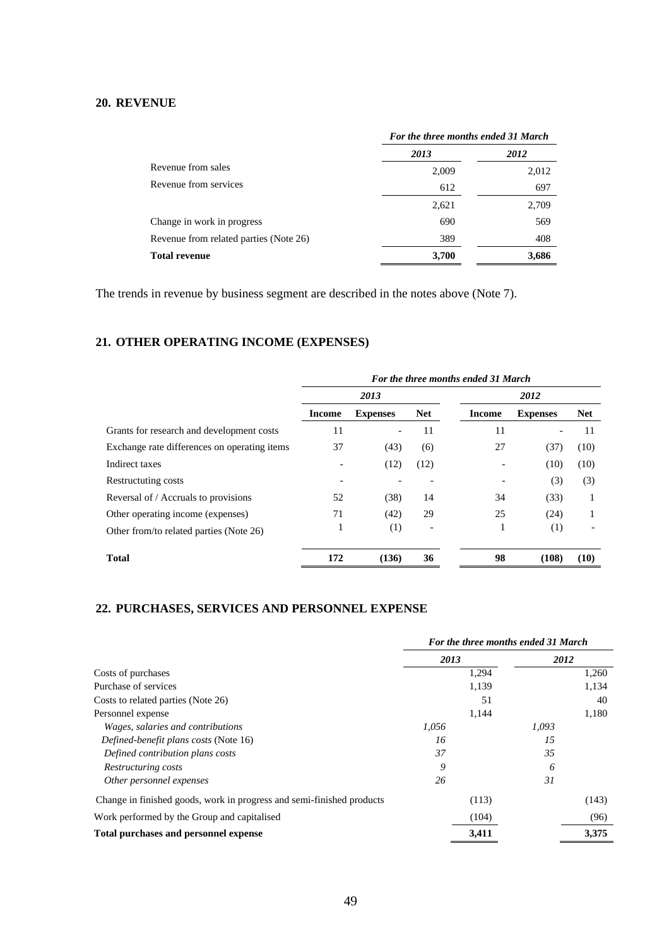## **20. REVENUE**

|                                        | For the three months ended 31 March |       |  |
|----------------------------------------|-------------------------------------|-------|--|
|                                        | 2013                                | 2012  |  |
| Revenue from sales                     | 2,009                               | 2,012 |  |
| Revenue from services                  | 612                                 | 697   |  |
|                                        | 2,621                               | 2,709 |  |
| Change in work in progress             | 690                                 | 569   |  |
| Revenue from related parties (Note 26) | 389                                 | 408   |  |
| <b>Total revenue</b>                   | 3,700                               | 3,686 |  |

The trends in revenue by business segment are described in the notes above (Note 7).

# **21. OTHER OPERATING INCOME (EXPENSES)**

|                                              | For the three months ended 31 March |                          |            |               |                              |            |  |
|----------------------------------------------|-------------------------------------|--------------------------|------------|---------------|------------------------------|------------|--|
|                                              | 2013                                |                          |            | 2012          |                              |            |  |
|                                              | <b>Income</b>                       | <b>Expenses</b>          | <b>Net</b> | <b>Income</b> | <b>Expenses</b>              | <b>Net</b> |  |
| Grants for research and development costs    | 11                                  | $\overline{\phantom{a}}$ | 11         | 11            | $\qquad \qquad \blacksquare$ | 11         |  |
| Exchange rate differences on operating items | 37                                  | (43)                     | (6)        | 27            | (37)                         | (10)       |  |
| Indirect taxes                               |                                     | (12)                     | (12)       |               | (10)                         | (10)       |  |
| Restructuting costs                          |                                     |                          |            |               | (3)                          | (3)        |  |
| Reversal of / Accruals to provisions         | 52                                  | (38)                     | 14         | 34            | (33)                         | 1          |  |
| Other operating income (expenses)            | 71                                  | (42)                     | 29         | 25            | (24)                         | 1          |  |
| Other from/to related parties (Note 26)      |                                     | (1)                      |            |               | (1)                          |            |  |
| <b>Total</b>                                 | 172                                 | (136)                    | 36         | 98            | (108)                        | (10)       |  |

# **22. PURCHASES, SERVICES AND PERSONNEL EXPENSE**

|                                                                       | For the three months ended 31 March |       |       |  |
|-----------------------------------------------------------------------|-------------------------------------|-------|-------|--|
|                                                                       | 2013                                | 2012  |       |  |
| Costs of purchases                                                    | 1,294                               |       | 1,260 |  |
| Purchase of services                                                  | 1,139                               |       | 1,134 |  |
| Costs to related parties (Note 26)                                    | 51                                  |       | 40    |  |
| Personnel expense                                                     | 1,144                               |       | 1,180 |  |
| Wages, salaries and contributions                                     | 1,056                               | 1.093 |       |  |
| Defined-benefit plans costs (Note 16)                                 | 16                                  | 15    |       |  |
| Defined contribution plans costs                                      | 37                                  | 35    |       |  |
| Restructuring costs                                                   | 9                                   | 6     |       |  |
| Other personnel expenses                                              | 26                                  | 31    |       |  |
| Change in finished goods, work in progress and semi-finished products | (113)                               |       | (143) |  |
| Work performed by the Group and capitalised                           | (104)                               |       | (96)  |  |
| Total purchases and personnel expense                                 | 3.411                               |       | 3,375 |  |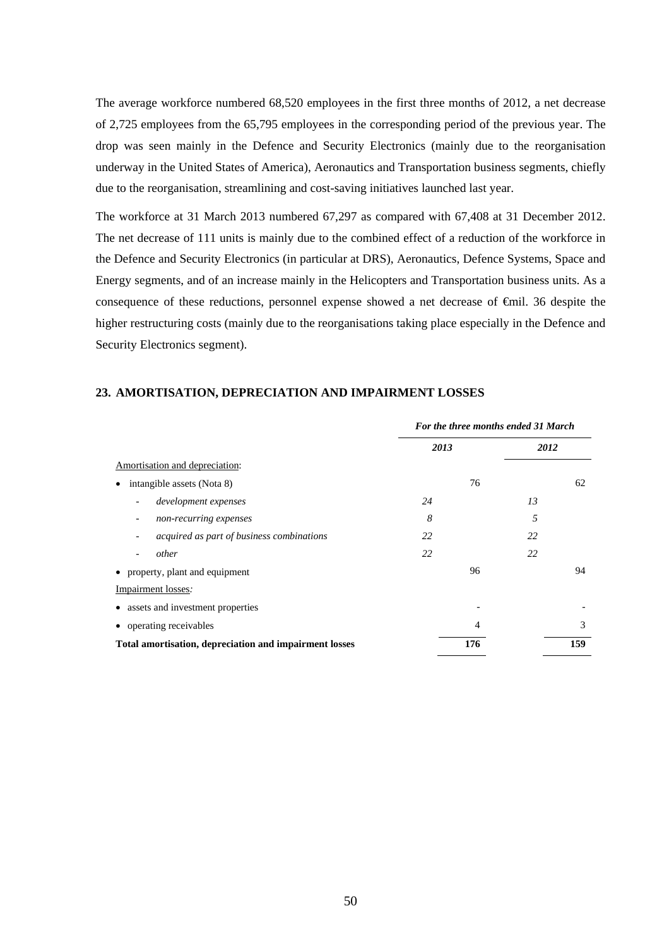The average workforce numbered 68,520 employees in the first three months of 2012, a net decrease of 2,725 employees from the 65,795 employees in the corresponding period of the previous year. The drop was seen mainly in the Defence and Security Electronics (mainly due to the reorganisation underway in the United States of America), Aeronautics and Transportation business segments, chiefly due to the reorganisation, streamlining and cost-saving initiatives launched last year.

The workforce at 31 March 2013 numbered 67,297 as compared with 67,408 at 31 December 2012. The net decrease of 111 units is mainly due to the combined effect of a reduction of the workforce in the Defence and Security Electronics (in particular at DRS), Aeronautics, Defence Systems, Space and Energy segments, and of an increase mainly in the Helicopters and Transportation business units. As a consequence of these reductions, personnel expense showed a net decrease of €mil. 36 despite the higher restructuring costs (mainly due to the reorganisations taking place especially in the Defence and Security Electronics segment).

|                                                                       | For the three months ended 31 March |     |      |     |  |
|-----------------------------------------------------------------------|-------------------------------------|-----|------|-----|--|
|                                                                       | 2013                                |     | 2012 |     |  |
| Amortisation and depreciation:                                        |                                     |     |      |     |  |
| intangible assets (Nota 8)                                            |                                     | 76  |      | 62  |  |
| development expenses<br>$\overline{\phantom{a}}$                      | 24                                  |     | 13   |     |  |
| non-recurring expenses<br>$\overline{\phantom{a}}$                    | 8                                   |     | 5    |     |  |
| acquired as part of business combinations<br>$\overline{\phantom{a}}$ | 22                                  |     | 22   |     |  |
| other                                                                 | 22                                  |     | 22   |     |  |
| • property, plant and equipment                                       |                                     | 96  |      | 94  |  |
| Impairment losses:                                                    |                                     |     |      |     |  |
| assets and investment properties                                      |                                     |     |      |     |  |
| operating receivables                                                 |                                     | 4   |      | 3   |  |
| Total amortisation, depreciation and impairment losses                |                                     | 176 |      | 159 |  |

#### **23. AMORTISATION, DEPRECIATION AND IMPAIRMENT LOSSES**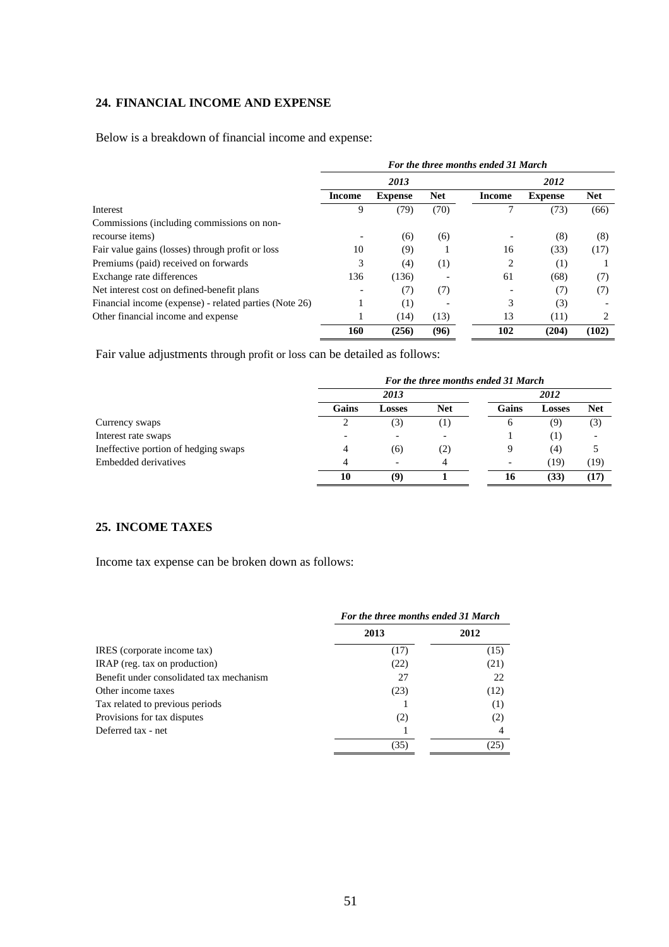## **24. FINANCIAL INCOME AND EXPENSE**

Below is a breakdown of financial income and expense:

|                                                        | For the three months ended 31 March |                |            |        |                |            |
|--------------------------------------------------------|-------------------------------------|----------------|------------|--------|----------------|------------|
|                                                        | 2013                                |                |            | 2012   |                |            |
|                                                        | Income                              | <b>Expense</b> | <b>Net</b> | Income | <b>Expense</b> | <b>Net</b> |
| Interest                                               | 9                                   | (79)           | (70)       |        | (73)           | (66)       |
| Commissions (including commissions on non-             |                                     |                |            |        |                |            |
| recourse items)                                        |                                     | (6)            | (6)        |        | (8)            | (8)        |
| Fair value gains (losses) through profit or loss       | 10                                  | (9)            |            | 16     | (33)           | (17)       |
| Premiums (paid) received on forwards                   | 3                                   | (4)            | (1)        | 2      | (1)            |            |
| Exchange rate differences                              | 136                                 | (136)          |            | 61     | (68)           | (7)        |
| Net interest cost on defined-benefit plans             |                                     | (7)            | (7)        |        | (7)            | (7)        |
| Financial income (expense) - related parties (Note 26) |                                     | (1)            |            | 3      | (3)            |            |
| Other financial income and expense                     |                                     | (14)           | (13)       | 13     | (11)           | 2          |
|                                                        | 160                                 | (256)          | (96)       | 102    | (204)          | (102)      |

Fair value adjustments through profit or loss can be detailed as follows:

|                                      | For the three months ended 31 March |        |            |       |               |            |  |
|--------------------------------------|-------------------------------------|--------|------------|-------|---------------|------------|--|
|                                      |                                     | 2013   |            |       | 2012          |            |  |
|                                      | Gains                               | Losses | <b>Net</b> | Gains | <b>Losses</b> | <b>Net</b> |  |
| Currency swaps                       |                                     | (3)    | (1)        | O     | (9)           | (3)        |  |
| Interest rate swaps                  |                                     |        |            |       | (1)           |            |  |
| Ineffective portion of hedging swaps | 4                                   | (6)    | (2)        | Q     | (4)           |            |  |
| Embedded derivatives                 |                                     |        | 4          |       | (19           | (19)       |  |
|                                      | 10                                  | (9)    |            | 16    | (33)          | (17)       |  |

# **25. INCOME TAXES**

Income tax expense can be broken down as follows:

|                                          | For the three months ended 31 March |      |  |  |
|------------------------------------------|-------------------------------------|------|--|--|
|                                          | 2013                                | 2012 |  |  |
| IRES (corporate income tax)              | (17)                                | (15) |  |  |
| IRAP (reg. tax on production)            | (22)                                | (21) |  |  |
| Benefit under consolidated tax mechanism | 27                                  | 22   |  |  |
| Other income taxes                       | (23)                                | (12) |  |  |
| Tax related to previous periods          |                                     | (1)  |  |  |
| Provisions for tax disputes              | (2)                                 | (2)  |  |  |
| Deferred tax - net                       |                                     |      |  |  |
|                                          | (35)                                | (25) |  |  |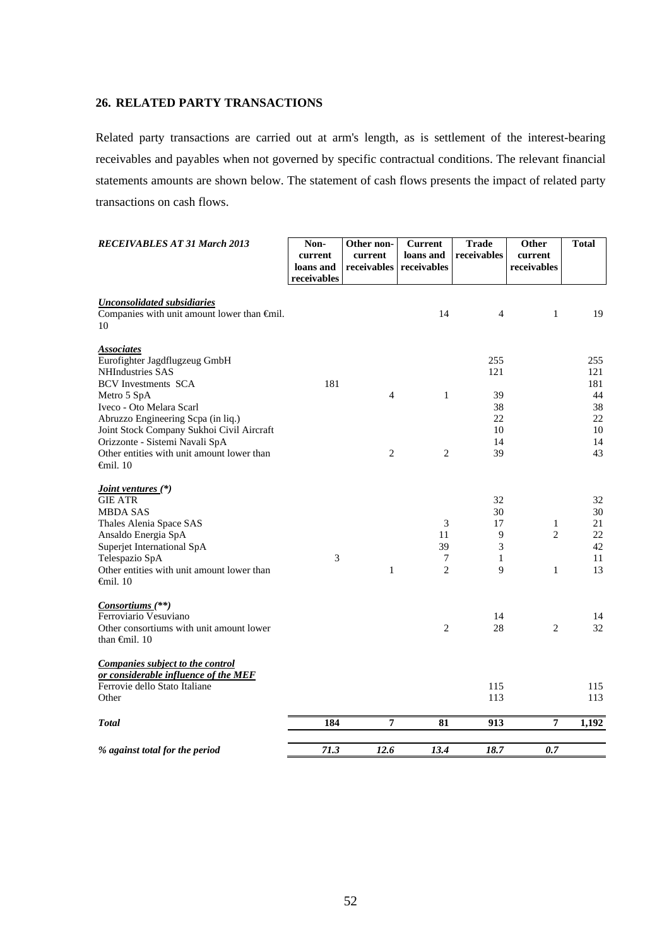## **26. RELATED PARTY TRANSACTIONS**

Related party transactions are carried out at arm's length, as is settlement of the interest-bearing receivables and payables when not governed by specific contractual conditions. The relevant financial statements amounts are shown below. The statement of cash flows presents the impact of related party transactions on cash flows.

| <b>RECEIVABLES AT 31 March 2013</b>                                                                                                                                                                                                                                                                                                             | Non-<br>current<br>loans and<br>receivables | Other non-<br>current<br>receivables | <b>Current</b><br>loans and<br>receivables | <b>Trade</b><br>receivables                    | Other<br>current<br>receivables | <b>Total</b>                                          |
|-------------------------------------------------------------------------------------------------------------------------------------------------------------------------------------------------------------------------------------------------------------------------------------------------------------------------------------------------|---------------------------------------------|--------------------------------------|--------------------------------------------|------------------------------------------------|---------------------------------|-------------------------------------------------------|
| <b>Unconsolidated subsidiaries</b><br>Companies with unit amount lower than $\bigoplus$ finil.<br>10                                                                                                                                                                                                                                            |                                             |                                      | 14                                         | 4                                              | 1                               | 19                                                    |
| <b>Associates</b><br>Eurofighter Jagdflugzeug GmbH<br><b>NHIndustries SAS</b><br><b>BCV</b> Investments SCA<br>Metro 5 SpA<br>Iveco - Oto Melara Scarl<br>Abruzzo Engineering Scpa (in liq.)<br>Joint Stock Company Sukhoi Civil Aircraft<br>Orizzonte - Sistemi Navali SpA<br>Other entities with unit amount lower than<br>$\epsilon$ mil. 10 | 181                                         | 4<br>$\overline{c}$                  | $\mathbf{1}$<br>$\overline{c}$             | 255<br>121<br>39<br>38<br>22<br>10<br>14<br>39 |                                 | 255<br>121<br>181<br>44<br>38<br>22<br>10<br>14<br>43 |
| <i><u><b>Joint ventures</b></u></i> (*)<br><b>GIE ATR</b><br><b>MBDA SAS</b><br>Thales Alenia Space SAS<br>Ansaldo Energia SpA<br>Superjet International SpA<br>Telespazio SpA<br>Other entities with unit amount lower than<br>$\epsilon$ mil. 10                                                                                              | 3                                           | 1                                    | 3<br>11<br>39<br>7<br>$\overline{c}$       | 32<br>30<br>17<br>9<br>3<br>1<br>9             | 1<br>$\overline{2}$<br>1        | 32<br>30<br>21<br>22<br>42<br>11<br>13                |
| $Consortiums$ <sup>(**)</sup><br>Ferroviario Vesuviano<br>Other consortiums with unit amount lower<br>than $\oplus$ finil. 10                                                                                                                                                                                                                   |                                             |                                      | $\overline{c}$                             | 14<br>28                                       | $\overline{c}$                  | 14<br>32                                              |
| Companies subject to the control<br>or considerable influence of the MEF<br>Ferrovie dello Stato Italiane<br>Other<br><b>Total</b>                                                                                                                                                                                                              | 184                                         | $\overline{7}$                       | 81                                         | 115<br>113<br>913                              | 7                               | 115<br>113                                            |
|                                                                                                                                                                                                                                                                                                                                                 |                                             |                                      |                                            |                                                |                                 | 1,192                                                 |
| % against total for the period                                                                                                                                                                                                                                                                                                                  | 71.3                                        | 12.6                                 | 13.4                                       | 18.7                                           | 0.7                             |                                                       |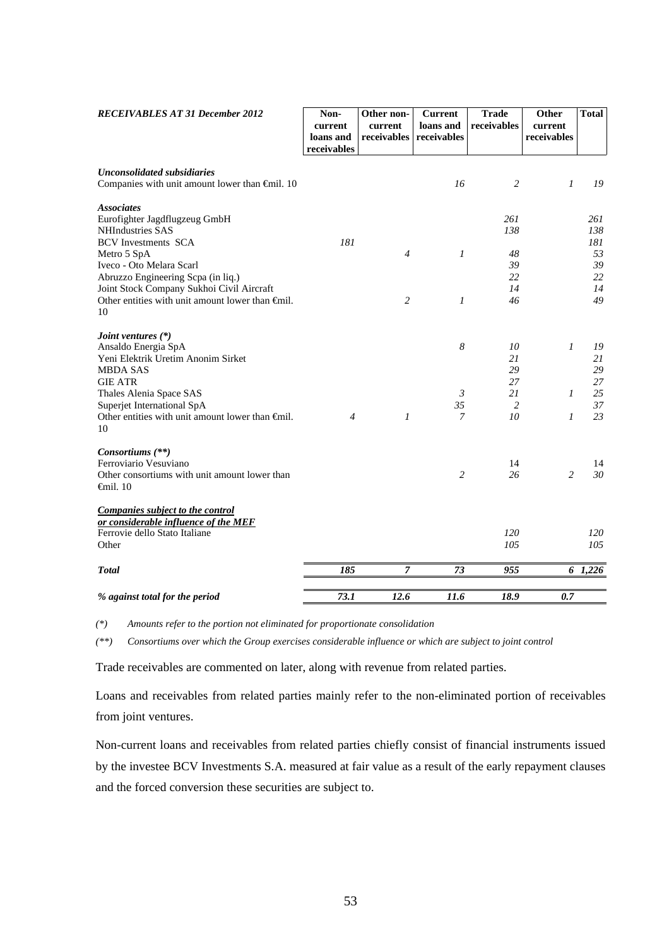| <b>RECEIVABLES AT 31 December 2012</b>                                                                                                                                                                                                                                                                      | Non-<br>current<br>loans and<br>receivables | Other non-<br>current<br>receivables | <b>Current</b><br>loans and<br>receivables                 | <b>Trade</b><br>receivables                        | Other<br>current<br>receivables        | <b>Total</b>                                    |
|-------------------------------------------------------------------------------------------------------------------------------------------------------------------------------------------------------------------------------------------------------------------------------------------------------------|---------------------------------------------|--------------------------------------|------------------------------------------------------------|----------------------------------------------------|----------------------------------------|-------------------------------------------------|
| <b>Unconsolidated subsidiaries</b><br>Companies with unit amount lower than €mil. 10                                                                                                                                                                                                                        |                                             |                                      | 16                                                         | 2                                                  | 1                                      | 19                                              |
| <b>Associates</b><br>Eurofighter Jagdflugzeug GmbH<br><b>NHIndustries SAS</b><br><b>BCV</b> Investments SCA<br>Metro 5 SpA<br>Iveco - Oto Melara Scarl<br>Abruzzo Engineering Scpa (in liq.)<br>Joint Stock Company Sukhoi Civil Aircraft<br>Other entities with unit amount lower than $\oplus$ nil.<br>10 | 181                                         | $\overline{4}$<br>$\overline{2}$     | $\mathfrak{I}$<br>$\boldsymbol{l}$                         | 261<br>138<br>48<br>39<br>22<br>14<br>46           |                                        | 261<br>138<br>181<br>53<br>39<br>22<br>14<br>49 |
| Joint ventures $(*)$<br>Ansaldo Energia SpA<br>Yeni Elektrik Uretim Anonim Sirket<br><b>MBDA SAS</b><br><b>GIE ATR</b><br>Thales Alenia Space SAS<br>Superjet International SpA<br>Other entities with unit amount lower than Gnil.<br>10                                                                   | $\overline{4}$                              | 1                                    | $\boldsymbol{8}$<br>$\mathfrak{Z}$<br>35<br>$\overline{7}$ | 10<br>21<br>29<br>27<br>21<br>$\overline{2}$<br>10 | $\boldsymbol{l}$<br>1<br>$\mathcal{I}$ | 19<br>21<br>29<br>27<br>25<br>37<br>23          |
| Consortiums (**)<br>Ferroviario Vesuviano<br>Other consortiums with unit amount lower than<br>$\epsilon$ mil. 10                                                                                                                                                                                            |                                             |                                      | $\overline{c}$                                             | 14<br>26                                           | $\overline{c}$                         | 14<br>30                                        |
| Companies subject to the control<br>or considerable influence of the MEF<br>Ferrovie dello Stato Italiane<br>Other                                                                                                                                                                                          |                                             |                                      |                                                            | 120<br>105                                         |                                        | 120<br>105                                      |
| <b>Total</b>                                                                                                                                                                                                                                                                                                | 185                                         | 7                                    | 73                                                         | 955                                                |                                        | $6\quad 1,226$                                  |
| % against total for the period                                                                                                                                                                                                                                                                              | 73.1                                        | 12.6                                 | 11.6                                                       | 18.9                                               | 0.7                                    |                                                 |

*(\*) Amounts refer to the portion not eliminated for proportionate consolidation*

*(\*\*) Consortiums over which the Group exercises considerable influence or which are subject to joint control* 

Trade receivables are commented on later, along with revenue from related parties.

Loans and receivables from related parties mainly refer to the non-eliminated portion of receivables from joint ventures.

Non-current loans and receivables from related parties chiefly consist of financial instruments issued by the investee BCV Investments S.A. measured at fair value as a result of the early repayment clauses and the forced conversion these securities are subject to.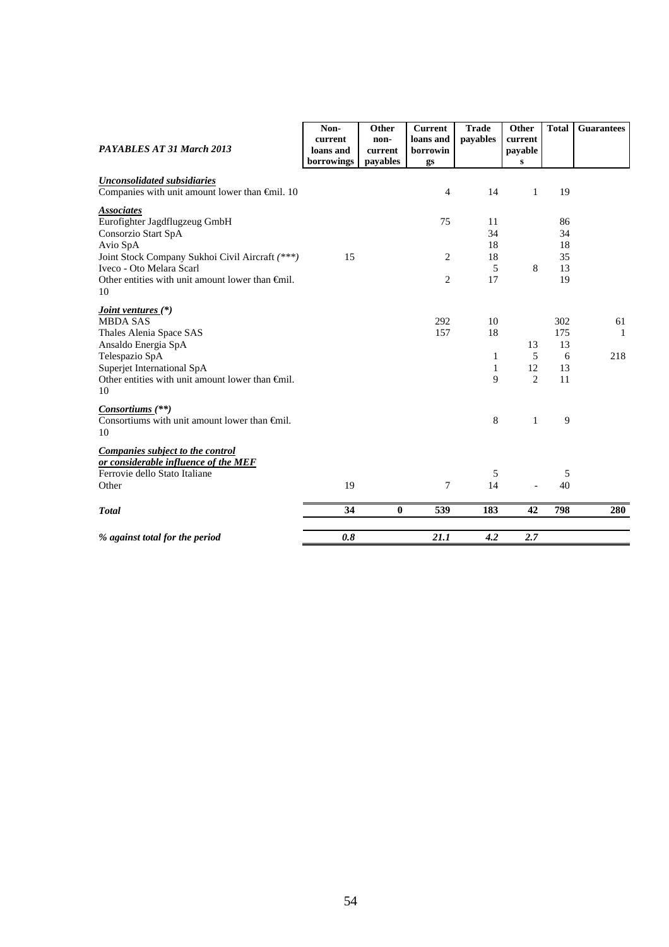| PAYABLES AT 31 March 2013                                                                                                                                                                                             | Non-<br>current<br>loans and<br>borrowings | Other<br>non-<br>current<br>payables | <b>Current</b><br>loans and<br>borrowin<br>gs | <b>Trade</b><br>payables           | Other<br>current<br>payable<br>S | <b>Total</b>                      | <b>Guarantees</b> |
|-----------------------------------------------------------------------------------------------------------------------------------------------------------------------------------------------------------------------|--------------------------------------------|--------------------------------------|-----------------------------------------------|------------------------------------|----------------------------------|-----------------------------------|-------------------|
| <b>Unconsolidated subsidiaries</b><br>Companies with unit amount lower than €mil. 10                                                                                                                                  |                                            |                                      | $\overline{4}$                                | 14                                 | $\mathbf{1}$                     | 19                                |                   |
| <b>Associates</b><br>Eurofighter Jagdflugzeug GmbH<br>Consorzio Start SpA<br>Avio SpA                                                                                                                                 |                                            |                                      | 75                                            | 11<br>34<br>18                     |                                  | 86<br>34<br>18                    |                   |
| Joint Stock Company Sukhoi Civil Aircraft (***)<br>Iveco - Oto Melara Scarl<br>Other entities with unit amount lower than Gnil.<br>10                                                                                 | 15                                         |                                      | 2<br>$\overline{2}$                           | 18<br>5<br>17                      | 8                                | 35<br>13<br>19                    |                   |
| <i>Joint ventures</i> (*)<br><b>MBDA SAS</b><br>Thales Alenia Space SAS<br>Ansaldo Energia SpA<br>Telespazio SpA<br>Superjet International SpA<br>Other entities with unit amount lower than $\bigoplus$ finil.<br>10 |                                            |                                      | 292<br>157                                    | 10<br>18<br>1<br>$\mathbf{1}$<br>9 | 13<br>5<br>12<br>$\overline{2}$  | 302<br>175<br>13<br>6<br>13<br>11 | 61<br>-1<br>218   |
| Consortiums <sup>(**)</sup><br>Consortiums with unit amount lower than $\bigoplus$ nil.<br>10                                                                                                                         |                                            |                                      |                                               | 8                                  | $\mathbf{1}$                     | 9                                 |                   |
| Companies subject to the control<br>or considerable influence of the MEF<br>Ferrovie dello Stato Italiane<br>Other                                                                                                    | 19                                         |                                      | 7                                             | 5<br>14                            |                                  | 5<br>40                           |                   |
| <b>T</b> otal                                                                                                                                                                                                         | 34                                         | $\mathbf{0}$                         | 539                                           | 183                                | 42                               | 798                               | 280               |
| % against total for the period                                                                                                                                                                                        | 0.8                                        |                                      | 21.1                                          | 4.2                                | 2.7                              |                                   |                   |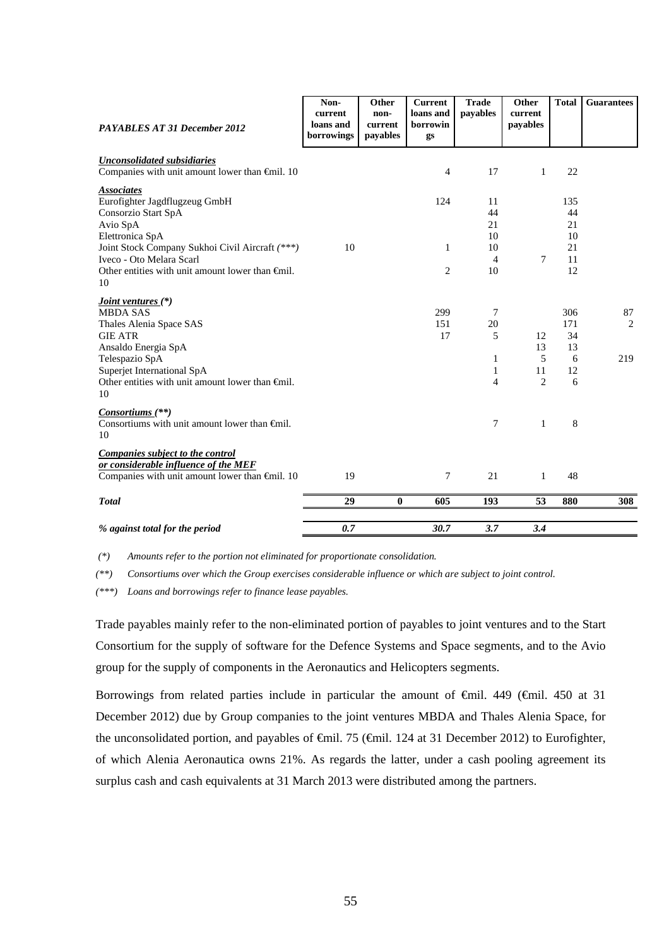| <b>PAYABLES AT 31 December 2012</b>                                                                                                                                                                                            | Non-<br>current<br>loans and<br>borrowings | Other<br>non-<br>current<br>payables | <b>Current</b><br>loans and<br>borrowin<br>gs | <b>Trade</b><br>payables                     | Other<br>current<br>payables          | <b>Total</b>                           | <b>Guarantees</b> |
|--------------------------------------------------------------------------------------------------------------------------------------------------------------------------------------------------------------------------------|--------------------------------------------|--------------------------------------|-----------------------------------------------|----------------------------------------------|---------------------------------------|----------------------------------------|-------------------|
| <b>Unconsolidated subsidiaries</b><br>Companies with unit amount lower than €mil. 10                                                                                                                                           |                                            |                                      | 4                                             | 17                                           | $\mathbf{1}$                          | 22                                     |                   |
| <b>Associates</b><br>Eurofighter Jagdflugzeug GmbH<br>Consorzio Start SpA<br>Avio SpA<br>Elettronica SpA<br>Joint Stock Company Sukhoi Civil Aircraft (***)<br>Iveco - Oto Melara Scarl                                        | 10                                         |                                      | 124<br>$\mathbf{1}$                           | 11<br>44<br>21<br>10<br>10<br>$\overline{4}$ | 7                                     | 135<br>44<br>21<br>10<br>21<br>11      |                   |
| Other entities with unit amount lower than $\bigoplus$ nil.<br>10                                                                                                                                                              |                                            |                                      | 2                                             | 10                                           |                                       | 12                                     |                   |
| Joint ventures (*)<br><b>MBDA SAS</b><br>Thales Alenia Space SAS<br><b>GIE ATR</b><br>Ansaldo Energia SpA<br>Telespazio SpA<br>Superjet International SpA<br>Other entities with unit amount lower than $\bigoplus$ nil.<br>10 |                                            |                                      | 299<br>151<br>17                              | 7<br>20<br>5<br>1<br>1<br>$\overline{4}$     | 12<br>13<br>5<br>11<br>$\overline{2}$ | 306<br>171<br>34<br>13<br>6<br>12<br>6 | 87<br>2<br>219    |
| $Consortiums$ <sup>(**)</sup><br>Consortiums with unit amount lower than $\bigoplus$ finil.<br>10                                                                                                                              |                                            |                                      |                                               | 7                                            | $\mathbf{1}$                          | 8                                      |                   |
| Companies subject to the control<br>or considerable influence of the MEF<br>Companies with unit amount lower than $\oplus$ nil. 10                                                                                             | 19                                         |                                      | 7                                             | 21                                           | 1                                     | 48                                     |                   |
| <b>Total</b>                                                                                                                                                                                                                   | 29                                         | $\boldsymbol{0}$                     | 605                                           | 193                                          | 53                                    | 880                                    | 308               |
| % against total for the period                                                                                                                                                                                                 | 0.7                                        |                                      | 30.7                                          | 3.7                                          | 3.4                                   |                                        |                   |

 *(\*) Amounts refer to the portion not eliminated for proportionate consolidation.*

*(\*\*) Consortiums over which the Group exercises considerable influence or which are subject to joint control.* 

*(\*\*\*) Loans and borrowings refer to finance lease payables.* 

Trade payables mainly refer to the non-eliminated portion of payables to joint ventures and to the Start Consortium for the supply of software for the Defence Systems and Space segments, and to the Avio group for the supply of components in the Aeronautics and Helicopters segments.

Borrowings from related parties include in particular the amount of  $\theta$ mil. 449 ( $\theta$ mil. 450 at 31 December 2012) due by Group companies to the joint ventures MBDA and Thales Alenia Space, for the unconsolidated portion, and payables of €mil. 75 (€mil. 124 at 31 December 2012) to Eurofighter, of which Alenia Aeronautica owns 21%. As regards the latter, under a cash pooling agreement its surplus cash and cash equivalents at 31 March 2013 were distributed among the partners.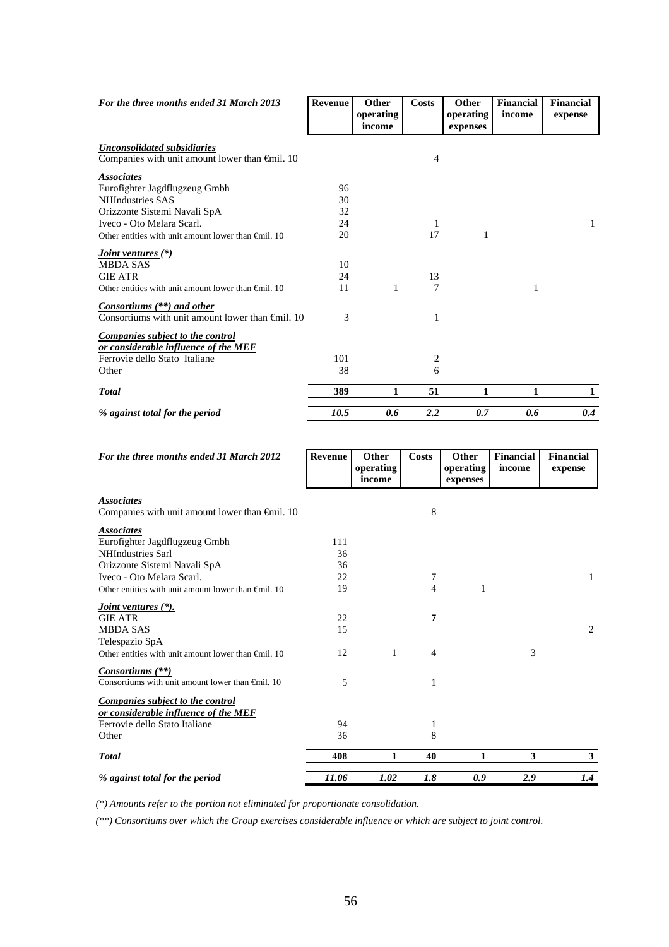| For the three months ended 31 March 2013                                                                                                                                                                  | <b>Revenue</b>             | <b>Other</b><br>operating<br>income | Costs   | <b>Other</b><br>operating<br>expenses | <b>Financial</b><br>income | Financial<br>expense |
|-----------------------------------------------------------------------------------------------------------------------------------------------------------------------------------------------------------|----------------------------|-------------------------------------|---------|---------------------------------------|----------------------------|----------------------|
| Unconsolidated subsidiaries<br>Companies with unit amount lower than €mil. 10                                                                                                                             |                            |                                     | 4       |                                       |                            |                      |
| <b>Associates</b><br>Eurofighter Jagdflugzeug Gmbh<br><b>NHIndustries SAS</b><br>Orizzonte Sistemi Navali SpA<br>Iveco - Oto Melara Scarl.<br>Other entities with unit amount lower than $\oplus$ mil. 10 | 96<br>30<br>32<br>24<br>20 |                                     | 1<br>17 | 1                                     |                            | 1                    |
| <i>Joint ventures</i> $(*)$<br><b>MBDA SAS</b><br><b>GIE ATR</b><br>Other entities with unit amount lower than $\bigoplus$ il. 10                                                                         | 10<br>24<br>11             | 1                                   | 13<br>7 |                                       | 1                          |                      |
| <i>Consortiums</i> (**) and other<br>Consortiums with unit amount lower than $\bigoplus$ 10                                                                                                               | 3                          |                                     | 1       |                                       |                            |                      |
| <b>Companies subject to the control</b><br>or considerable influence of the MEF<br>Ferrovie dello Stato Italiane<br>Other                                                                                 | 101<br>38                  |                                     | 2<br>6  |                                       |                            |                      |
| <b>Total</b>                                                                                                                                                                                              | 389                        | 1                                   | 51      | 1                                     | 1                          | 1                    |
| % against total for the period                                                                                                                                                                            | 10.5                       | 0.6                                 | 2.2     | 0.7                                   | 0.6                        | 0.4                  |

| For the three months ended 31 March 2012                                      | Revenue | Other<br>operating | <b>Costs</b>   | Other<br>operating | <b>Financial</b><br>income | <b>Financial</b><br>expense |
|-------------------------------------------------------------------------------|---------|--------------------|----------------|--------------------|----------------------------|-----------------------------|
|                                                                               |         | income             |                | expenses           |                            |                             |
| <b>Associates</b><br>Companies with unit amount lower than $\epsilon$ mil. 10 |         |                    | 8              |                    |                            |                             |
| <b>Associates</b>                                                             |         |                    |                |                    |                            |                             |
| Eurofighter Jagdflugzeug Gmbh                                                 | 111     |                    |                |                    |                            |                             |
| <b>NHIndustries Sarl</b>                                                      | 36      |                    |                |                    |                            |                             |
| Orizzonte Sistemi Navali SpA                                                  | 36      |                    |                |                    |                            |                             |
| Iveco - Oto Melara Scarl.                                                     | 22      |                    | 7              |                    |                            | 1                           |
| Other entities with unit amount lower than $\oplus$ mil. 10                   | 19      |                    | 4              | 1                  |                            |                             |
| <i>Joint ventures</i> (*).                                                    |         |                    |                |                    |                            |                             |
| <b>GIE ATR</b>                                                                | 22      |                    | 7              |                    |                            |                             |
| <b>MBDA SAS</b>                                                               | 15      |                    |                |                    |                            | $\overline{2}$              |
| Telespazio SpA                                                                |         |                    |                |                    |                            |                             |
| Other entities with unit amount lower than $\oplus$ mil. 10                   | 12      | 1                  | $\overline{4}$ |                    | 3                          |                             |
| Consortiums $(**)$                                                            |         |                    |                |                    |                            |                             |
| Consortiums with unit amount lower than $\oplus$ mil. 10                      | 5       |                    | 1              |                    |                            |                             |
| <b>Companies subject to the control</b>                                       |         |                    |                |                    |                            |                             |
| or considerable influence of the MEF<br>Ferrovie dello Stato Italiane         | 94      |                    | 1              |                    |                            |                             |
| Other                                                                         | 36      |                    | 8              |                    |                            |                             |
|                                                                               |         |                    |                |                    |                            |                             |
| <b>Total</b>                                                                  | 408     | 1                  | 40             | 1                  | 3                          | $\mathbf{3}$                |
| % against total for the period                                                | 11.06   | 1.02               | 1.8            | 0.9                | 2.9                        | 1.4                         |

*(\*) Amounts refer to the portion not eliminated for proportionate consolidation.* 

*(\*\*) Consortiums over which the Group exercises considerable influence or which are subject to joint control*.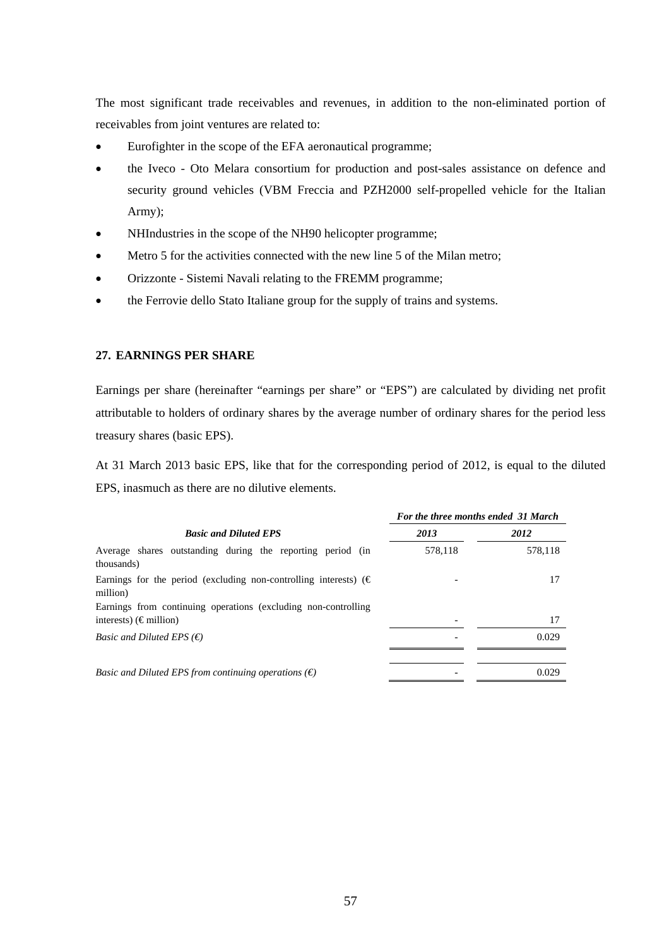The most significant trade receivables and revenues, in addition to the non-eliminated portion of receivables from joint ventures are related to:

- Eurofighter in the scope of the EFA aeronautical programme;
- the Iveco Oto Melara consortium for production and post-sales assistance on defence and security ground vehicles (VBM Freccia and PZH2000 self-propelled vehicle for the Italian Army);
- NHIndustries in the scope of the NH90 helicopter programme;
- Metro 5 for the activities connected with the new line 5 of the Milan metro;
- Orizzonte Sistemi Navali relating to the FREMM programme;
- the Ferrovie dello Stato Italiane group for the supply of trains and systems.

## **27. EARNINGS PER SHARE**

Earnings per share (hereinafter "earnings per share" or "EPS") are calculated by dividing net profit attributable to holders of ordinary shares by the average number of ordinary shares for the period less treasury shares (basic EPS).

At 31 March 2013 basic EPS, like that for the corresponding period of 2012, is equal to the diluted EPS, inasmuch as there are no dilutive elements.

|                                                                                          | For the three months ended 31 March |         |  |  |  |
|------------------------------------------------------------------------------------------|-------------------------------------|---------|--|--|--|
| <b>Basic and Diluted EPS</b>                                                             | 2013                                | 2012    |  |  |  |
| Average shares outstanding during the reporting period (in<br>thousands)                 | 578,118                             | 578,118 |  |  |  |
| Earnings for the period (excluding non-controlling interests) ( $\epsilon$ )<br>million) |                                     |         |  |  |  |
| Earnings from continuing operations (excluding non-controlling)                          |                                     |         |  |  |  |
| interests) ( $\epsilon$ million)                                                         |                                     | 17      |  |  |  |
| <i>Basic and Diluted EPS</i> $(\epsilon)$                                                |                                     | 0.029   |  |  |  |
| <i>Basic and Diluted EPS from continuing operations</i> $(\epsilon)$                     |                                     | 0.029   |  |  |  |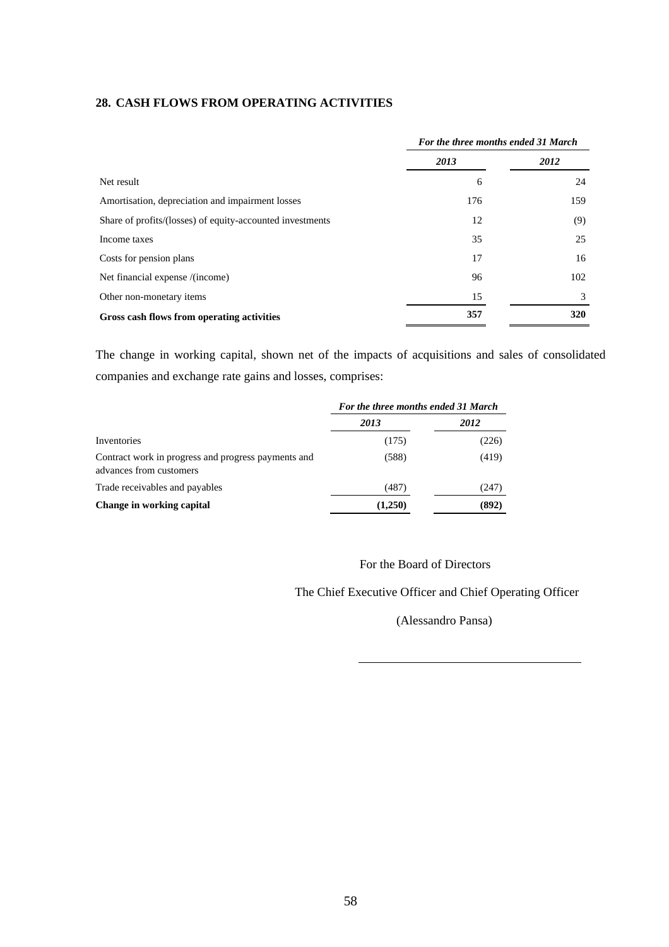## **28. CASH FLOWS FROM OPERATING ACTIVITIES**

|                                                           | For the three months ended 31 March |      |  |  |
|-----------------------------------------------------------|-------------------------------------|------|--|--|
|                                                           | 2013                                | 2012 |  |  |
| Net result                                                | 6                                   | 24   |  |  |
| Amortisation, depreciation and impairment losses          | 176                                 | 159  |  |  |
| Share of profits/(losses) of equity-accounted investments | 12                                  | (9)  |  |  |
| Income taxes                                              | 35                                  | 25   |  |  |
| Costs for pension plans                                   | 17                                  | 16   |  |  |
| Net financial expense /(income)                           | 96                                  | 102  |  |  |
| Other non-monetary items                                  | 15                                  | 3    |  |  |
| Gross cash flows from operating activities                | 357                                 | 320  |  |  |

The change in working capital, shown net of the impacts of acquisitions and sales of consolidated companies and exchange rate gains and losses, comprises:

|                                                                                | For the three months ended 31 March |       |  |  |
|--------------------------------------------------------------------------------|-------------------------------------|-------|--|--|
|                                                                                | 2013                                | 2012  |  |  |
| Inventories                                                                    | (175)                               | (226) |  |  |
| Contract work in progress and progress payments and<br>advances from customers | (588)                               | (419) |  |  |
| Trade receivables and payables                                                 | (487)                               | (247) |  |  |
| Change in working capital                                                      | (1,250)                             | (892) |  |  |

For the Board of Directors

The Chief Executive Officer and Chief Operating Officer

(Alessandro Pansa)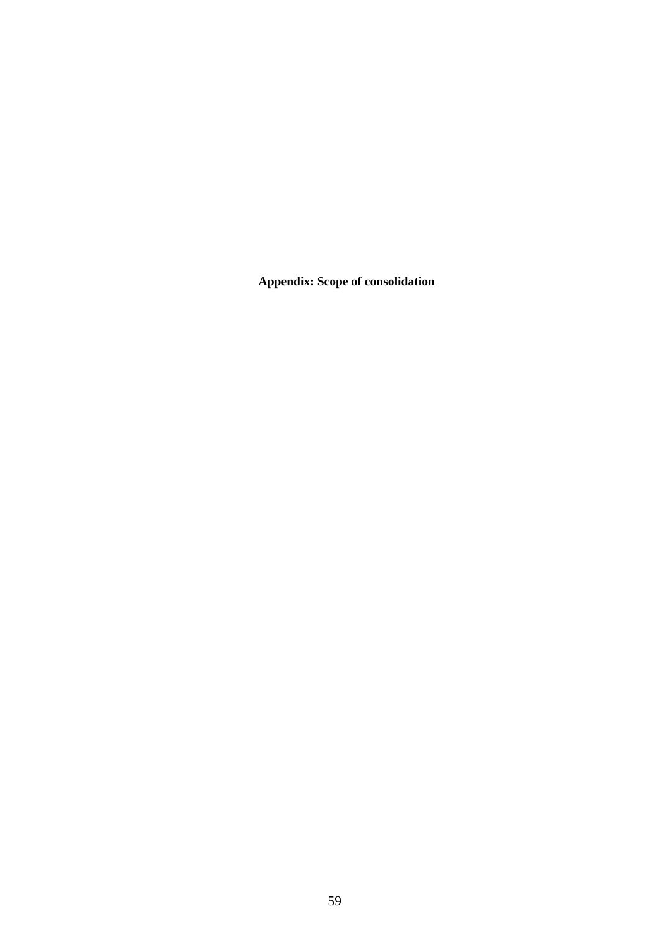**Appendix: Scope of consolidation**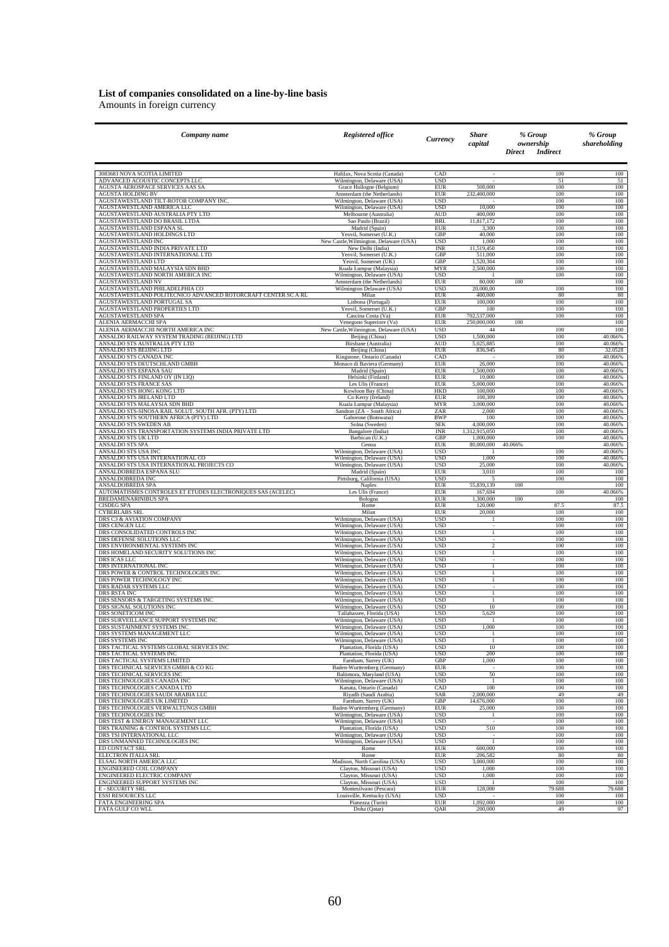# **List of companies consolidated on a line-by-line basis**

Amounts in foreign currency

| Company name                                                  | Registered office                                        | Currency                 | Share<br>capital         | % Group<br>ownership<br><b>Indirect</b><br>Direct | % Group<br>shareholding |
|---------------------------------------------------------------|----------------------------------------------------------|--------------------------|--------------------------|---------------------------------------------------|-------------------------|
| 3083683 NOVA SCOTIA LIMITED                                   | Halifax, Nova Scotia (Canada)                            | CAD                      | ٠                        | 100                                               | 100                     |
| ADVANCED ACOUSTIC CONCEPTS LLC                                | Wilmington, Delaware (USA)                               | <b>USD</b>               | $\overline{\phantom{a}}$ | 51                                                | 51                      |
| AGUSTA AEROSPACE SERVICES AAS SA                              | Grace Hollogne (Belgium)                                 | <b>EUR</b>               | 500,000                  | 100                                               | 100                     |
| AGUSTA HOLDING BV                                             | Amsterdam (the Netherlands)                              | <b>EUR</b>               | 232,400,000              | 100                                               | 100                     |
| AGUSTAWESTLAND TILT-ROTOR COMPANY INC.                        | Wilmington, Delaware (USA)                               | <b>USD</b>               | 10,000                   | 100                                               | 100                     |
| AGUSTAWESTLAND AMERICA LLC                                    | Wilmington, Delaware (USA)                               | <b>USD</b>               |                          | 100                                               | 100                     |
| AGUSTAWESTLAND AUSTRALIA PTY LTD                              | Melbourne (Australia)                                    | <b>AUD</b>               | 400,000                  | 100                                               | 100                     |
| AGUSTAWESTLAND DO BRASIL LTDA                                 | Sao Paulo (Brazil)                                       | <b>BRL</b>               | 11,817,172               | 100                                               | 100                     |
| AGUSTAWESTLAND ESPANA SL                                      | Madrid (Spain)                                           | <b>EUR</b>               | 3,300                    | 100                                               | 100                     |
| AGUSTAWESTLAND HOLDINGS LTD                                   | Yeovil, Somerset (U.K.)                                  | GBP                      | 40,000                   | 100                                               | 100                     |
| AGUSTAWESTLAND INC                                            | New Castle, Wilmington, Delaware (USA)                   | <b>USD</b>               | 1,000                    | 100                                               | 100                     |
| AGUSTAWESTLAND INDIA PRIVATE LTD                              | New Delhi (India)                                        | <b>INR</b>               | 11,519,450               | 100                                               | 100                     |
| AGUSTAWESTLAND INTERNATIONAL LTD                              | Yeovil, Somerset (U.K.)                                  | GBP                      | 511,000                  | 100                                               | 100                     |
| AGUSTAWESTLAND LTD                                            | Yeovil, Somerset (UK)                                    | <b>GBP</b>               | 1,520,304                | 100                                               | 100                     |
| AGUSTAWESTLAND MALAYSIA SDN BHD                               | Kuala Lumpur (Malaysia)                                  | <b>MYR</b>               | 2,500,000                | 100                                               | 100                     |
| AGUSTAWESTLAND NORTH AMERICA INC                              | Wilmington, Delaware (USA)                               | <b>USD</b>               | 80,000                   | 100                                               | 100                     |
| AGUSTAWESTLAND NV                                             | Amsterdam (the Netherlands)                              | <b>EUR</b>               |                          | 100                                               | 100                     |
| AGUSTAWESTLAND PHILADELPHIA CO                                | Wilmington Delaware (USA)                                | <b>USD</b>               | 20,000,00                | 100                                               | 100                     |
| AGUSTAWESTLAND POLITECNICO ADVANCED ROTORCRAFT CENTER SC A RL | Milan                                                    | <b>EUR</b>               | 400,000                  | 80                                                | 80                      |
| AGUSTAWESTLAND PORTUGAL SA                                    | Lisbona (Portugal)                                       | <b>EUR</b>               | 100,000                  | 100                                               | 100                     |
| AGUSTAWESTLAND PROPERTIES LTD                                 | Yeovil, Somerset (U.K.)                                  | GBP                      | 100                      | 100                                               | 100                     |
| AGUSTAWESTLAND SPA                                            | Cascina Costa (Va)                                       | EUR                      | 702,537,000              | 100                                               | 100                     |
| ALENIA AERMACCHI SPA                                          | Venegono Superiore (Va)                                  | EUR                      | 250,000,000              | 100                                               | 100                     |
| ALENIA AERMACCHI NORTH AMERICA INC                            | New Castle, Wilmington, Delaware (USA)                   | <b>USD</b>               | 44                       | 100                                               | 100                     |
| ANSALDO RAILWAY SYSTEM TRADING (BEIJING) LTD                  | Beijing (China)                                          | <b>USD</b>               | 1,500,000                | 100                                               | 40.066%                 |
| ANSALDO STS AUSTRALIA PTY LTD<br>ANSALDO STS BEIJING LTD      | Birsbane (Australia)                                     | <b>AUD</b><br>EUR        | 5,025,885<br>836,945     | 100                                               | 40.066%<br>32.0528      |
| ANSALDO STS CANADA INC                                        | Beijing (China)<br>Kingstone, Ontario (Canada)           | CAD                      |                          | 80<br>100                                         | 40.066%                 |
| ANSALDO STS DEUTSCHLAND GMBH                                  | Monaco di Baviera (Germany)                              | <b>EUR</b>               | 26,000                   | 100                                               | 40.066%                 |
| ANSALDO STS ESPANA SAU                                        | Madrid (Spain)                                           | <b>EUR</b>               | 1,500,000                | 100                                               | 40.066%                 |
| ANSALDO STS FINLAND OY (IN LIQ)                               | Helsinki (Finland)                                       | <b>EUR</b>               | 10,000                   | 100                                               | 40.066%                 |
| ANSALDO STS FRANCE SAS                                        | Les Ulis (France)                                        | <b>EUR</b>               | 5,000,000                | 100                                               | 40.066%                 |
| ANSALDO STS HONG KONG LTD                                     | Kowloon Bay (China)                                      | <b>HKD</b>               | 100,000                  | 100                                               | 40.066%                 |
| ANSALDO STS IRELAND LTD<br>ANSALDO STS MALAYSIA SDN BHD       | Co Kerry (Ireland)                                       | <b>EUR</b>               | 100,309                  | 100                                               | 40.066%                 |
| ANSALDO STS-SINOSA RAIL SOLUT. SOUTH AFR. (PTY) LTD           | Kuala Lumpur (Malaysia)                                  | <b>MYR</b>               | 3,000,000                | 100                                               | 40.066%                 |
|                                                               | Sandton (ZA - South Africa)                              | ZAR                      | 2,000                    | 100                                               | 40.066%                 |
| ANSALDO STS SOUTHERN AFRICA (PTY) LTD                         | Gaborone (Botswana)                                      | <b>BWP</b>               | 100                      | 100                                               | 40.066%                 |
| ANSALDO STS SWEDEN AB                                         | Solna (Sweden)                                           | <b>SEK</b>               | 4,000,000                | 100                                               | 40.066%                 |
| ANSALDO STS TRANSPORTATION SYSTEMS INDIA PRIVATE LTD          | Bangalore (India)                                        | <b>INR</b>               | 1.312.915.050            | 100                                               | 40.066%                 |
| ANSALDO STS UK LTD                                            | Barbican (U.K.)                                          | GBP                      | 1,000,000                | 100                                               | 40.066%                 |
| ANSALDO STS SPA                                               | Genoa                                                    | <b>EUR</b>               | 80,000,000               | 40.066%                                           | 40.066%                 |
| ANSALDO STS USA INC                                           | Wilmington, Delaware (USA)                               | <b>USD</b>               |                          | 100                                               | 40.066%                 |
| ANSALDO STS USA INTERNATIONAL CO                              | Wilmington, Delaware (USA)                               | <b>USD</b>               | 1,000                    | 100                                               | 40.066%                 |
| ANSALDO STS USA INTERNATIONAL PROJECTS CO                     | Wilmington, Delaware (USA)                               | <b>USD</b>               | 25,000                   | 100                                               | 40.066%                 |
| ANSALDOBREDA ESPANA SLU                                       | Madrid (Spain)                                           | <b>EUR</b>               | 3,010                    | 100                                               | 100                     |
| ANSALDOBREDA INC                                              | Pittsburg, California (USA)                              | <b>USD</b>               | $\overline{5}$           | 100                                               | 100                     |
| ANSALDOBREDA SPA                                              | <b>Naples</b>                                            | <b>EUR</b>               | 55,839,139               | 100                                               | 100                     |
| AUTOMATISMES CONTROLES ET ETUDES ELECTRONIQUES SAS (ACELEC)   | Les Ulis (France)                                        | <b>EUR</b>               | 167,694                  | 100                                               | 40.066%                 |
| BREDAMENARINIBUS SPA                                          | Bologna                                                  | <b>EUR</b>               | 1,300,000                | 100                                               | 100                     |
| <b>CISDEG SPA</b>                                             | Rome                                                     | <b>EUR</b>               | 120,000                  | 87.5                                              | 87.5                    |
| <b>CYBERLABS SRL</b>                                          | Milan                                                    | <b>EUR</b>               | 20,000                   | 100                                               | 100                     |
| DRS C3 & AVIATION COMPANY                                     | Wilmington, Delaware (USA)                               | <b>USD</b>               |                          | 100                                               | 100                     |
| DRS CENGEN LLC<br>DRS CONSOLIDATED CONTROLS INC               | Wilmington, Delaware (USA)                               | <b>USD</b><br><b>USD</b> | 1                        | 100<br>100                                        | 100<br>100              |
| DRS DEFENSE SOLUTIONS LLC                                     | Wilmington, Delaware (USA)<br>Wilmington, Delaware (USA) | <b>USD</b>               | ä,                       | 100                                               | 100                     |
| DRS ENVIRONMENTAL SYSTEMS INC                                 | Wilmington, Delaware (USA)                               | <b>USD</b>               | $\overline{\mathcal{L}}$ | 100                                               | 100                     |
| DRS HOMELAND SECURITY SOLUTIONS INC                           | Wilmington, Delaware (USA)                               | <b>USD</b>               | $\mathbf{1}$             | 100                                               | 100                     |
| DRS ICAS LLC                                                  | Wilmington, Delaware (USA)                               | <b>USD</b>               | ×,                       | 100                                               | 100                     |
| DRS INTERNATIONAL INC                                         | Wilmington, Delaware (USA)                               | <b>USD</b>               | $\mathbf{1}$             | 100                                               | 100                     |
| DRS POWER & CONTROL TECHNOLOGIES INC                          | Wilmington, Delaware (USA)                               | <b>USD</b>               |                          | 100                                               | 100                     |
| DRS POWER TECHNOLOGY INC                                      | Wilmington, Delaware (USA)                               | <b>USD</b>               | $\overline{1}$<br>÷.     | 100                                               | 100                     |
| DRS RADAR SYSTEMS LLC                                         | Wilmington, Delaware (USA)                               | <b>USD</b>               | $\overline{1}$           | 100                                               | 100                     |
| DRS RSTA INC                                                  | Wilmington, Delaware (USA)                               | <b>USD</b>               |                          | 100                                               | 100                     |
| DRS SENSORS & TARGETING SYSTEMS INC                           | Wilmington, Delaware (USA)                               | <b>USD</b>               | $\overline{1}$           | 100                                               | 100                     |
| DRS SIGNAL SOLUTIONS INC                                      | Wilmington, Delaware (USA)                               | <b>USD</b>               | 10                       | 100                                               | 100                     |
| DRS SONETICOM INC                                             | Tallahassee, Florida (USA)                               | <b>USD</b>               | 5,629                    | 100                                               | 100                     |
| DRS SURVEILLANCE SUPPORT SYSTEMS INC                          | Wilmington, Delaware (USA)                               | <b>USD</b>               | 1,000                    | 100                                               | 100                     |
| DRS SUSTAINMENT SYSTEMS INC                                   | Wilmington, Delaware (USA)                               | <b>USD</b>               |                          | 100                                               | 100                     |
| DRS SYSTEMS MANAGEMENT LLC                                    | Wilmington, Delaware (USA)                               | <b>USD</b>               |                          | 100                                               | 100                     |
| DRS SYSTEMS INC                                               | Wilmington, Delaware (USA)                               | <b>USD</b>               | $10$                     | 100                                               | 100                     |
| DRS TACTICAL SYSTEMS GLOBAL SERVICES INC                      | Plantation, Florida (USA)                                | <b>USD</b>               |                          | 100                                               | 100                     |
| DRS TACTICAL SYSTEMS INC                                      | Plantation, Florida (USA)                                | <b>USD</b>               | 200                      | 100                                               | 100                     |
| DRS TACTICAL SYSTEMS LIMITED                                  | Farnham, Surrey (UK)                                     | GBP                      | 1,000                    | 100                                               | 100                     |
| DRS TECHNICAL SERVICES GMBH & CO KG                           | Baden-Wurttemberg (Germany)                              | <b>EUR</b>               |                          | 100                                               | 100                     |
| DRS TECHNICAL SERVICES INC                                    | Baltimora, Maryland (USA)                                | <b>USD</b>               | 50                       | 100                                               | 100                     |
| DRS TECHNOLOGIES CANADA INC                                   | Wilmington, Delaware (USA)                               | <b>USD</b>               | $\overline{1}$           | 100                                               | 100                     |
| DRS TECHNOLOGIES CANADA LTD                                   | Kanata, Ontario (Canada)                                 | CAD                      | 100                      | 100                                               | 100                     |
| DRS TECHNOLOGIES SAUDI ARABIA LLC                             | Riyadh (Saudi Arabia)                                    | SAR                      | 2,000,000                | 49                                                | 49                      |
| DRS TECHNOLOGIES UK LIMITED                                   | Farnham, Surrey (UK)                                     | GBP                      | 14,676,000               | 100                                               | 100                     |
| DRS TECHNOLOGIES VERWALTUNGS GMBH                             | Baden-Wurttemberg (Germany)                              | <b>EUR</b>               | 25,000                   | 100                                               | 100                     |
| DRS TECHNOLOGIES INC                                          |                                                          | <b>USD</b>               | $\overline{1}$           | 100                                               | 100                     |
| DRS TEST & ENERGY MANAGEMENT LLC                              | Wilmington, Delaware (USA)<br>Wilmington, Delaware (USA) | <b>USD</b>               |                          | 100                                               | 100                     |
| DRS TRAINING & CONTROL SYSTEMS LLC                            | Plantation, Florida (USA)                                | <b>USD</b>               | 510                      | 100                                               | 100                     |
| DRS TSI INTERNATIONAL LLC                                     | Wilmington, Delaware (USA)                               | <b>USD</b>               |                          | 100                                               | 100                     |
| DRS UNMANNED TECHNOLOGIES INC                                 | Wilmington, Delaware (USA)                               | <b>USD</b>               |                          | 100                                               | 100                     |
| ED CONTACT SRL                                                | Rome                                                     | EUR                      | 600,000                  | 100                                               | 100                     |
| ELECTRON ITALIA SRL                                           | Rome                                                     | <b>EUR</b>               | 206,582                  | 80                                                | 80                      |
| ELSAG NORTH AMERICA LLC                                       | Madison, North Carolina (USA)                            | <b>USD</b>               | 3,000,000                | 100                                               | 100                     |
| ENGINEERED COIL COMPANY                                       | Clayton, Missouri (USA)                                  | <b>USD</b>               | 1,000                    | 100                                               | 100                     |
| ENGINEERED ELECTRIC COMPANY                                   | Clayton, Missouri (USA)                                  | <b>USD</b>               | 1,000                    | 100                                               | 100                     |
| ENGINEERED SUPPORT SYSTEMS INC                                | Clayton, Missouri (USA)                                  | <b>USD</b>               | 128,000                  | 100                                               | 100                     |
| <b>E - SECURITY SRL</b>                                       | Montesilvano (Pescara)                                   | <b>EUR</b>               |                          | 79.688                                            | 79.688                  |
| <b>ESSI RESOURCES LLC</b>                                     | Louisville, Kentucky (USA)                               | <b>USD</b>               |                          | 100                                               | 100                     |
| FATA ENGINEERING SPA                                          | Pianezza (Turin)                                         | <b>EUR</b>               | 1,092,000                | 100                                               | 100                     |
| FATA GULF CO WLL                                              | Doha (Qatar)                                             | <b>QAR</b>               | 200,000                  | 49                                                | 97                      |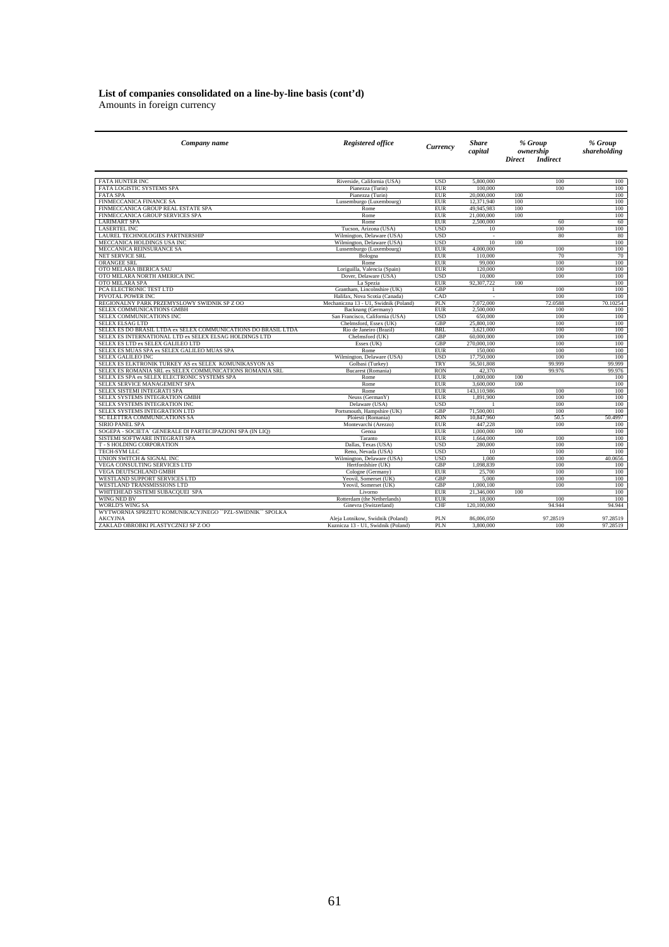# **List of companies consolidated on a line-by-line basis (cont'd)**

Amounts in foreign currency

| Company name                                                   | <b>Registered office</b>              | Currency   | Share<br>capital |               | % Group<br>ownership | % Group<br>shareholding |
|----------------------------------------------------------------|---------------------------------------|------------|------------------|---------------|----------------------|-------------------------|
|                                                                |                                       |            |                  | <b>Direct</b> | <b>Indirect</b>      |                         |
|                                                                |                                       |            |                  |               |                      |                         |
| <b>FATA HUNTER INC</b>                                         | Riverside, California (USA)           | <b>USD</b> | 5,800,000        |               | 100                  | 100                     |
| <b>FATA LOGISTIC SYSTEMS SPA</b>                               | Pianezza (Turin)                      | <b>EUR</b> | 100,000          |               | 100                  | 100                     |
| <b>FATA SPA</b>                                                | Pianezza (Turin)                      | <b>EUR</b> | 20,000,000       | 100           |                      | 100                     |
| FINMECCANICA FINANCE SA                                        | Lussemburgo (Luxembourg)              | <b>EUR</b> | 12,371,940       | 100           |                      | 100                     |
| FINMECCANICA GROUP REAL ESTATE SPA                             | Rome                                  | <b>EUR</b> | 49,945,983       | 100           |                      | 100                     |
| FINMECCANICA GROUP SERVICES SPA                                | Rome                                  | <b>EUR</b> | 21.000.000       | 100           |                      | 100                     |
| <b>LARIMART SPA</b>                                            | Rome                                  | <b>EUR</b> | 2,500,000        |               | 60                   | 60                      |
| <b>LASERTEL INC</b>                                            | Tucson, Arizona (USA)                 | <b>USD</b> | 10               |               | 100                  | 100                     |
| LAUREL TECHNOLOGIES PARTNERSHIP                                | Wilmington, Delaware (USA)            | <b>USD</b> | $\epsilon$       |               | 80                   | 80                      |
| MECCANICA HOLDINGS USA INC                                     | Wilmington, Delaware (USA)            | <b>USD</b> | 10               | 100           |                      | 100                     |
| MECCANICA REINSURANCE SA                                       | Lussemburgo (Luxembourg)              | <b>EUR</b> | 4,000,000        |               | 100                  | 100                     |
| NET SERVICE SRL                                                | Bologna                               | <b>EUR</b> | 110,000          |               | 70                   | 70                      |
| ORANGEE SRL                                                    | Rome                                  | <b>EUR</b> | 99,000           |               | 100                  | 100                     |
| OTO MELARA IBERICA SAU                                         | Loriguilla, Valencia (Spain)          | <b>EUR</b> | 120,000          |               | 100                  | 100                     |
| OTO MELARA NORTH AMERICA INC                                   | Dover, Delaware (USA)                 | <b>USD</b> | 10,000           |               | 100                  | 100                     |
| OTO MELARA SPA                                                 | La Spezia                             | <b>EUR</b> | 92.307.722       | 100           |                      | 100                     |
| PCA ELECTRONIC TEST LTD                                        | Grantham, Lincolnshire (UK)           | <b>GBP</b> |                  |               | 100                  | 100                     |
| PIVOTAL POWER INC                                              | Halifax, Nova Scotia (Canada)         | CAD        |                  |               | 100                  | 100                     |
| REGIONALNY PARK PRZEMYSLOWY SWIDNIK SP Z OO                    | Mechaniczna 13 - U1. Swidnik (Poland) | PLN        | 7,072,000        |               | 72.0588              | 70.10254                |
| SELEX COMMUNICATIONS GMBH                                      | Backnang (Germany)                    | EUR        | 2,500,000        |               | 100                  | 100                     |
| SELEX COMMUNICATIONS INC                                       | San Francisco, California (USA)       | <b>USD</b> | 650,000          |               | 100                  | 100                     |
| SELEX ELSAG LTD                                                | Chelmsford, Essex (UK)                | <b>GBP</b> | 25,800,100       |               | 100                  | 100                     |
| SELEX ES DO BRASIL LTDA ex SELEX COMMUNICATIONS DO BRASIL LTDA | Rio de Janeiro (Brazil)               | BRI.       | 3,621,000        |               | 100                  | 100                     |
| SELEX ES INTERNATIONAL LTD ex SELEX ELSAG HOLDINGS LTD         | Chelmsford (UK)                       | <b>GBP</b> | 60,000,000       |               | 100                  | 100                     |
| SELEX ES LTD ex SELEX GALILEO LTD                              | Essex (UK)                            | GBP        | 270,000,100      |               | 100                  | 100                     |
| SELEX ES MUAS SPA ex SELEX GALILEO MUAS SPA                    | Rome                                  | <b>EUR</b> | 150,000          |               | 100                  | 100                     |
| SELEX GALILEO INC                                              | Wilmington, Delaware (USA)            | <b>USD</b> | 17,750,000       |               | 100                  | 100                     |
| SELEX ES ELKTRONIK TURKEY AS ex SELEX KOMUNIKASYON AS          | Golbasi (Turkey)                      | <b>TRY</b> | 56,501,808       |               | 99,999               | 99.999                  |
| SELEX ES ROMANIA SRL ex SELEX COMMUNICATIONS ROMANIA SRL       | Bucarest (Romania)                    | <b>RON</b> | 42,370           |               | 99.976               | 99.976                  |
| SELEX ES SPA ex SELEX ELECTRONIC SYSTEMS SPA                   | Rome                                  | <b>EUR</b> | 1,000,000        | 100           |                      | 100                     |
| SELEX SERVICE MANAGEMENT SPA                                   | Rome                                  | <b>EUR</b> | 3,600,000        | 100           |                      | 100                     |
| SELEX SISTEMI INTEGRATI SPA                                    | Rome                                  | <b>EUR</b> | 143,110,986      |               | 100                  | 100                     |
| SELEX SYSTEMS INTEGRATION GMBH                                 | Neuss (GermanY)                       | <b>EUR</b> | 1,891,900        |               | 100                  | 100                     |
| SELEX SYSTEMS INTEGRATION INC                                  | Delaware (USA)                        | <b>USD</b> |                  |               | 100                  | 100                     |
| SELEX SYSTEMS INTEGRATION LTD                                  | Portsmouth, Hampshire (UK)            | GBP        | 71,500,001       |               | 100                  | 100                     |
| SC ELETTRA COMMUNICATIONS SA                                   | Ploiesti (Romania)                    | <b>RON</b> | 10,847,960       |               | 50.5                 | 50.4997                 |
| <b>SIRIO PANEL SPA</b>                                         | Montevarchi (Arezzo)                  | <b>EUR</b> | 447.228          |               | 100                  | 100                     |
| SOGEPA - SOCIETA` GENERALE DI PARTECIPAZIONI SPA (IN LIQ)      | Genoa                                 | <b>EUR</b> | 1,000,000        | 100           |                      | 100                     |
| SISTEMI SOFTWARE INTEGRATI SPA                                 | Taranto                               | <b>EUR</b> | 1,664,000        |               | 100                  | 100                     |
| T - S HOLDING CORPORATION                                      | Dallas, Texas (USA)                   | <b>USD</b> | 280,000          |               | 100                  | 100                     |
| TECH-SYM LLC                                                   | Reno, Nevada (USA)                    | <b>USD</b> | 10               |               | 100                  | 100                     |
| UNION SWITCH & SIGNAL INC                                      | Wilmington, Delaware (USA)            | <b>USD</b> | 1,000            |               | 100                  | 40.0656                 |
|                                                                |                                       | <b>GBP</b> | 1.098.839        |               | 100                  |                         |
| VEGA CONSULTING SERVICES LTD                                   | Hertfordshire (UK)                    |            |                  |               |                      | 100                     |
| VEGA DEUTSCHLAND GMBH                                          | Cologne (Germany)                     | <b>EUR</b> | 25,700           |               | 100                  | 100                     |
| WESTLAND SUPPORT SERVICES LTD                                  | Yeovil, Somerset (UK)                 | GBP        | 5,000            |               | 100                  | 100                     |
| WESTLAND TRANSMISSIONS LTD                                     | Yeovil, Somerset (UK)                 | <b>GBP</b> | 1,000,100        |               | 100                  | 100                     |
| WHITEHEAD SISTEMI SUBACQUEI SPA                                | Livorno                               | <b>EUR</b> | 21,346,000       | 100           |                      | 100                     |
| WING NED BV                                                    | Rotterdam (the Netherlands)           | <b>EUR</b> | 18,000           |               | 100                  | 100                     |
| <b>WORLD'S WING SA</b>                                         | Ginevra (Switzerland)                 | <b>CHF</b> | 120,100,000      |               | 94.944               | 94.944                  |
| WYTWORNIA SPRZETU KOMUNIKACYJNEGO ``PZL-SWIDNIK`` SPOLKA       |                                       |            |                  |               |                      |                         |
| <b>AKCYJNA</b>                                                 | Aleja Lotnikow, Swidnik (Poland)      | PLN        | 86,006,050       |               | 97.28519             | 97.28519                |
| ZAKLAD OBROBKI PLASTYCZNEJ SP Z OO                             | Kuznicza 13 - U1, Swidnik (Poland)    | PLN        | 3,800,000        |               | 100                  | 97.28519                |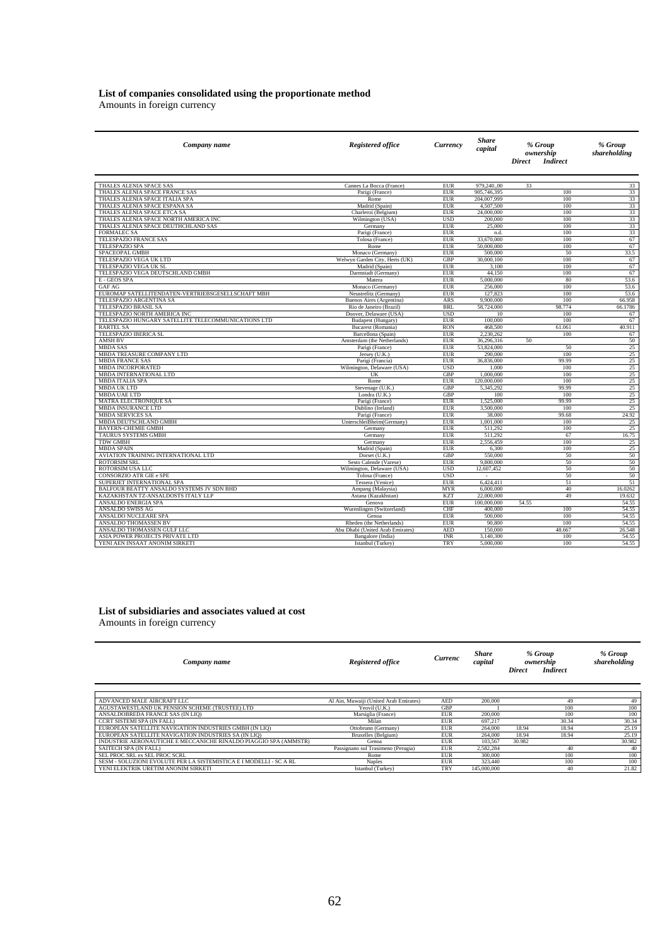#### **List of companies consolidated using the proportionate method**

Amounts in foreign currency

| Company name                                                  | <b>Registered office</b>               | Currency                 | <b>Share</b><br>capital  | % Group<br>ownership<br><b>Indirect</b><br><b>Direct</b> | % Group<br>shareholding |
|---------------------------------------------------------------|----------------------------------------|--------------------------|--------------------------|----------------------------------------------------------|-------------------------|
|                                                               |                                        |                          |                          |                                                          |                         |
| THALES ALENIA SPACE SAS                                       | Cannes La Bocca (France)               | <b>EUR</b>               | 979.24000                | 33                                                       | 33                      |
| THALES ALENIA SPACE FRANCE SAS                                | Parigi (France)                        | <b>EUR</b>               | 905,746,395              | 100                                                      | 33                      |
| THALES ALENIA SPACE ITALIA SPA                                | Rome                                   | <b>EUR</b><br><b>EUR</b> | 204.007.999<br>4,507,500 | 100<br>100                                               | 33                      |
| THALES ALENIA SPACE ESPANA SA<br>THALES ALENIA SPACE ETCA SA  | Madrid (Spain)<br>Charleroi (Belgium)  | <b>EUR</b>               | 24,000,000               | 100                                                      | 33<br>33                |
| THALES ALENIA SPACE NORTH AMERICA INC                         | Wilmington (USA)                       | <b>USD</b>               | 200,000                  | 100                                                      | 33                      |
| THALES ALENIA SPACE DEUTHCHLAND SAS                           | Germany                                | <b>EUR</b>               | 25,000                   | 100                                                      | 33                      |
| <b>FORMALEC SA</b>                                            | Parigi (France)                        | <b>EUR</b>               | n.d.                     | 100                                                      | 33                      |
| TELESPAZIO FRANCE SAS                                         | Tolosa (France)                        | <b>EUR</b>               | 33,670,000               | 100                                                      | 67                      |
| TELESPAZIO SPA                                                | Rome                                   | <b>EUR</b>               | 50,000,000               | 100                                                      | 67                      |
| SPACEOPAL GMBH                                                | Monaco (Germany)                       | <b>EUR</b>               | 500,000                  | 50                                                       | 33.5                    |
| TELESPAZIO VEGA UK LTD                                        | Welwyn Garden City, Herts (UK)         | <b>GBP</b>               | 30,000,100               | 100                                                      | 67                      |
| TELESPAZIO VEGA UK SL                                         | Madrid (Spain)                         | <b>EUR</b>               | 3,100                    | 100                                                      | 67                      |
| TELESPAZIO VEGA DEUTSCHLAND GMBH                              | Darmstadt (Germany)                    | <b>EUR</b>               | 44,150                   | 100                                                      | 67                      |
| E - GEOS SPA                                                  | Matera                                 | <b>EUR</b>               | 5,000,000                | 80                                                       | 53.6                    |
| GAF AG                                                        | Monaco (Germany)                       | <b>EUR</b>               | 256,000                  | 100                                                      | 53.6                    |
| EUROMAP SATELLITENDATEN-VERTRIEBSGESELLSCHAFT MBH             | Neustrelitz (Germany)                  | <b>EUR</b>               | 127,823                  | 100                                                      | 53.6                    |
| TELESPAZIO ARGENTINA SA                                       | Buenos Aires (Argentina)               | ARS                      | 9,900,000                | 100                                                      | 66.958                  |
| TELESPAZIO BRASIL SA                                          | Rio de Janeiro (Brazil)                | BRI.                     | 58,724,000               | 98.774                                                   | 66.1786                 |
| TELESPAZIO NORTH AMERICA INC                                  | Doover, Delaware (USA)                 | <b>USD</b>               | 10                       | 100                                                      | 67                      |
| TELESPAZIO HUNGARY SATELLITE TELECOMMUNICATIONS LTD           | Budapest (Hungary)                     | <b>EUR</b>               | 100,000                  | 100                                                      | 67                      |
| <b>RARTEL SA</b>                                              | Bucarest (Romania)                     | <b>RON</b>               | 468,500                  | 61.061                                                   | 40.911                  |
| TELESPAZIO IBERICA SL                                         | Barcellona (Spain)                     | <b>EUR</b>               | 2,230,262                | 100                                                      | 67                      |
| <b>AMSH BV</b>                                                | Amsterdam (the Netherlands)            | <b>EUR</b>               | 36,296,316               | 50                                                       | 50                      |
| <b>MBDA SAS</b>                                               | Parigi (France)                        | <b>EUR</b>               | 53,824,000               | 50                                                       | 25                      |
| MBDA TREASURE COMPANY LTD                                     | Jersey (U.K.)                          | <b>EUR</b>               | 290,000                  | 100                                                      | 25                      |
| <b>MBDA FRANCE SAS</b>                                        | Parigi (Francia)                       | <b>EUR</b>               | 36,836,000               | 99.99                                                    | 25<br>25                |
| <b>MBDA INCORPORATED</b><br>MBDA INTERNATIONAL LTD            | Wilmington, Delaware (USA)<br>UK       | <b>USD</b><br>GBP        | 1.000<br>1,000,000       | 100<br>100                                               | 25                      |
| <b>MBDA ITALIA SPA</b>                                        | Rome                                   | <b>EUR</b>               | 120,000,000              | 100                                                      | 25                      |
| <b>MBDA UK LTD</b>                                            | Stevenage (U.K.)                       | GBP                      | 5,345,292                | 99.99                                                    | 25                      |
| <b>MBDA UAE LTD</b>                                           | Londra (U.K.)                          | GBP                      | 100                      | 100                                                      | 25                      |
| <b>MATRA ELECTRONIQUE SA</b>                                  | Parigi (France)                        | <b>EUR</b>               | 1,525,000                | 99.99                                                    | 25                      |
| <b>MBDA INSURANCE LTD</b>                                     | Dublino (Ireland)                      | <b>EUR</b>               | 3,500,000                | 100                                                      | 25                      |
| <b>MBDA SERVICES SA</b>                                       | Parigi (France)                        | <b>EUR</b>               | 38,000                   | 99.68                                                    | 24.92                   |
| MBDA DEUTSCHLAND GMBH                                         | UnterschleiBheim(Germany)              | <b>EUR</b>               | 1,001,000                | 100                                                      | 25                      |
| <b>BAYERN-CHEMIE GMBH</b>                                     | Germany                                | <b>EUR</b>               | 511,292                  | 100                                                      | 25                      |
| TAURUS SYSTEMS GMBH                                           | Germany                                | <b>EUR</b>               | 511,292                  | 67                                                       | 16.75                   |
| <b>TDW GMBH</b>                                               | Germany                                | <b>EUR</b>               | 2,556,459                | 100                                                      | 25                      |
| <b>MBDA SPAIN</b>                                             | Madrid (Spain)                         | <b>EUR</b>               | 6.300                    | 100                                                      | 25                      |
| AVIATION TRAINING INTERNATIONAL LTD                           | Dorset (U.K.)                          | GBP                      | 550,000                  | 50                                                       | 50                      |
| <b>ROTORSIM SRL</b>                                           | Sesto Calende (Varese)                 | <b>EUR</b>               | 9,800,000                | 50                                                       | 50                      |
| ROTORSIM USA LLC                                              | Wilmington, Delaware (USA)             | <b>USD</b>               | 12,607,452               | 50                                                       | 50                      |
| <b>CONSORZIO ATR GIE e SPE</b>                                | Tolosa (France)                        | <b>USD</b>               | $\sim$                   | 50                                                       | 50                      |
| SUPERJET INTERNATIONAL SPA                                    | Tessera (Venice)                       | <b>EUR</b>               | 6,424,411                | 51                                                       | 51                      |
| BALFOUR BEATTY ANSALDO SYSTEMS JV SDN BHD                     | Ampang (Malaysia)                      | <b>MYR</b>               | 6,000,000                | 40                                                       | 16.0262                 |
| KAZAKHSTAN TZ-ANSALDOSTS ITALY LLP                            | Astana (Kazakhstan)                    | <b>KZT</b>               | 22,000,000               | 49                                                       | 19.632                  |
| ANSALDO ENERGIA SPA                                           | Genova                                 | <b>EUR</b>               | 100,000,000              | 54.55                                                    | 54.55                   |
| ANSALDO SWISS AG                                              | Wurenlingen (Switzerland)              | CHF                      | 400,000                  | 100                                                      | 54.55                   |
| ANSALDO NUCLEARE SPA                                          | Genoa                                  | <b>EUR</b>               | 500,000                  | 100                                                      | 54.55                   |
| ANSALDO THOMASSEN BV                                          | Rheden (the Netherlands)               | <b>EUR</b>               | 90,800                   | 100                                                      | 54.55                   |
| ANSALDO THOMASSEN GULF LLC<br>ASIA POWER PROJECTS PRIVATE LTD | Abu Dhabi (United Arab Emirates)       | <b>AED</b><br><b>INR</b> | 150,000<br>3.140.300     | 48.667<br>100                                            | 26.548<br>54.55         |
| YENI AEN INSAAT ANONIM SIRKETI                                | Bangalore (India)<br>Istanbul (Turkey) | <b>TRY</b>               | 5,000,000                | 100                                                      | 54.55                   |
|                                                               |                                        |                          |                          |                                                          |                         |

## **List of subsidiaries and associates valued at cost**

Amounts in foreign currency

| Company name                                                       | <b>Registered office</b>               | Currenc    | <b>Share</b><br>capital | <b>Direct</b> | % Group<br>ownership<br><b>Indirect</b> | % Group<br>shareholding |
|--------------------------------------------------------------------|----------------------------------------|------------|-------------------------|---------------|-----------------------------------------|-------------------------|
|                                                                    |                                        |            |                         |               |                                         |                         |
| ADVANCED MALE AIRCRAFT LLC                                         | Al Ain, Muwaiji (United Arab Emirates) | <b>AED</b> | 200,000                 |               | 49                                      | 49                      |
| AGUSTAWESTLAND UK PENSION SCHEME (TRUSTEE) LTD                     | Yeovil (U.K.)                          | <b>GBP</b> |                         |               | 100                                     | 100                     |
| ANSALDOBREDA FRANCE SAS (IN LIO)                                   | Marsiglia (France)                     | <b>EUR</b> | 200,000                 |               | 100                                     | 100                     |
| <b>CCRT SISTEMI SPA (IN FALL)</b>                                  | Milan                                  | <b>EUR</b> | 697.217                 |               | 30.34                                   | 30.34                   |
| EUROPEAN SATELLITE NAVIGATION INDUSTRIES GMBH (IN LIO)             | Ottobrunn (Germany)                    | <b>EUR</b> | 264,000                 | 18.94         | 18.94                                   | 25.19                   |
| EUROPEAN SATELLITE NAVIGATION INDUSTRIES SA (IN LIO)               | Bruxelles (Belgium)                    | <b>EUR</b> | 264,000                 | 18.94         | 18.94                                   | 25.19                   |
| INDUSTRIE AERONAUTICHE E MECCANICHE RINALDO PIAGGIO SPA (AMMSTR)   | Genoa                                  | <b>EUR</b> | 103.567                 | 30.982        |                                         | 30.982                  |
| <b>SAITECH SPA (IN FALL)</b>                                       | Passignano sul Trasimeno (Perugia)     | <b>EUR</b> | 2.582.284               |               | 40                                      | 40                      |
| SEL PROC SRL ex SEL PROC SCRL                                      | Rome                                   | <b>EUR</b> | 300,000                 |               | 100                                     | 100                     |
| SESM - SOLUZIONI EVOLUTE PER LA SISTEMISTICA E I MODELLI - SC A RL | <b>Naples</b>                          | <b>EUR</b> | 323,440                 |               | 100                                     | 100                     |
| YENI ELEKTRIK URETIM ANONIM SIRKETI                                | Istanbul (Turkey)                      | TRY        | 145,000,000             |               | 40                                      | 21.82                   |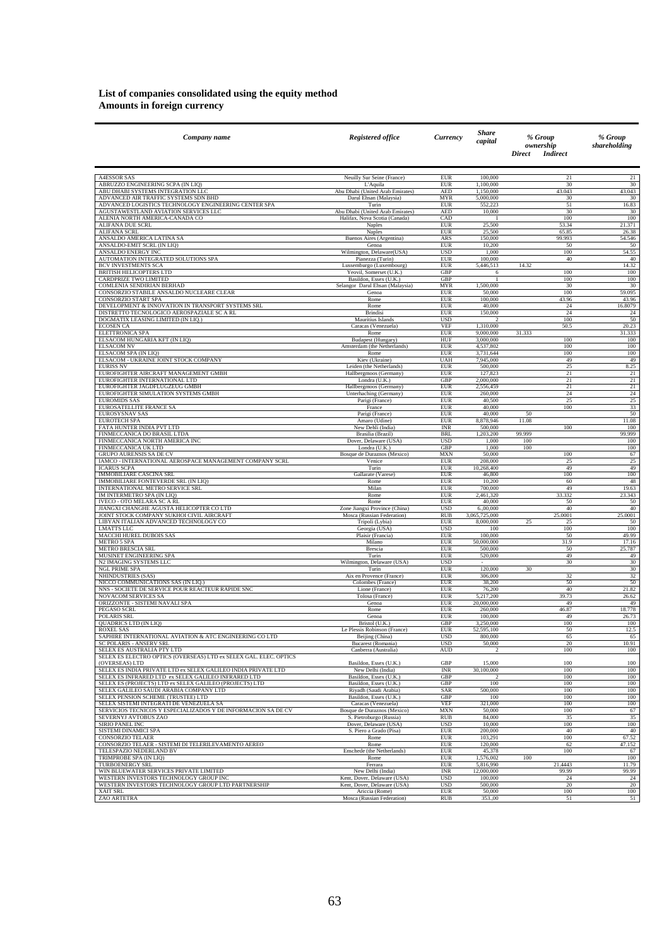#### **List of companies consolidated using the equity method Amounts in foreign currency**

| Company name                                                                                             | <b>Registered office</b>                                    | <b>Currency</b>          | <b>Share</b><br>capital     | % Group<br>ownership<br><b>Direct</b><br><b>Indirect</b> | % Group<br>shareholding |
|----------------------------------------------------------------------------------------------------------|-------------------------------------------------------------|--------------------------|-----------------------------|----------------------------------------------------------|-------------------------|
| <b>A4ESSOR SAS</b>                                                                                       | Neuilly Sur Seine (France)                                  | <b>EUR</b>               | 100,000                     | 21                                                       | 21                      |
| ABRUZZO ENGINEERING SCPA (IN LIQ)                                                                        | L'Aquila                                                    | <b>EUR</b>               | 1,100,000                   | 30                                                       | 30                      |
| ABU DHABI SYSTEMS INTEGRATION LLC                                                                        | Abu Dhabi (United Arab Emirates)                            | <b>AED</b>               | 1,150,000<br>5,000,000      | 43.043                                                   | 43.043                  |
| ADVANCED AIR TRAFFIC SYSTEMS SDN BHD<br>ADVANCED LOGISTICS TECHNOLOGY ENGINEERING CENTER SPA             | Darul Ehsan (Malaysia)<br>Turin                             | <b>MYR</b><br><b>EUR</b> | 552,223                     | 30<br>51                                                 | 30<br>16.83             |
| AGUSTAWESTLAND AVIATION SERVICES LLC                                                                     | Abu Dhabi (United Arab Emirates)                            | <b>AED</b>               | 10,000                      | 30<br>100                                                | 30<br>100               |
| ALENIA NORTH AMERICA-CANADA CO<br>ALIFANA DUE SCRL                                                       | Halifax, Nova Scotia (Canada)<br>Naples                     | CAD<br><b>EUR</b>        | - 1<br>25,500               | 53.34                                                    | 21.371                  |
| ALIFANA SCRL                                                                                             | Naples                                                      | <b>EUR</b>               | 25,500                      | 65.85                                                    | 26.38                   |
| ANSALDO AMERICA LATINA SA<br>ANSALDO-EMIT SCRL (IN LIQ)                                                  | Buenos Aires (Argentina)<br>Genoa                           | ARS<br><b>EUR</b>        | 150,000<br>10,200           | 99.993<br>50                                             | 54.546<br>50            |
| ANSALDO ENERGY INC                                                                                       | Wilmington, Delaware(USA)                                   | <b>USD</b>               | 1,000                       | 100                                                      | 54.55                   |
| AUTOMATION INTEGRATED SOLUTIONS SPA<br>BCV INVESTMENTS SCA                                               | Pianezza (Turin)<br>Lussemburgo (Luxembourg)                | <b>EUR</b><br><b>EUR</b> | 100,000<br>5,446,513        | 40<br>14.32                                              | 40<br>14.32             |
| BRITISH HELICOPTERS LTD                                                                                  | Yeovil, Somerset (U.K.)                                     | GBP                      | 6                           | 100                                                      | 100                     |
| CARDPRIZE TWO LIMITED<br>COMLENIA SENDIRIAN BERHAD                                                       | Basildon, Essex (U.K.)<br>Selangor Darul Ehsan (Malaysia)   | GBP<br><b>MYR</b>        | -1<br>1,500,000             | 100<br>30                                                | 100<br>30               |
| CONSORZIO STABILE ANSALDO NUCLEARE CLEAR                                                                 | Genoa                                                       | <b>EUR</b>               | 50,000                      | 100                                                      | 59.095                  |
| CONSORZIO START SPA<br>DEVELOPMENT & INNOVATION IN TRANSPORT SYSTEMS SRL                                 | Rome<br>Rome                                                | <b>EUR</b><br><b>EUR</b> | 100,000<br>40,000           | 43.96<br>$24\,$                                          | 43.96<br>16.8079        |
| DISTRETTO TECNOLOGICO AEROSPAZIALE SC A RL                                                               | <b>Brindisi</b>                                             | <b>EUR</b>               | 150,000                     | 24                                                       | 24                      |
| DOGMATIX LEASING LIMITED (IN LIQ.)<br><b>ECOSEN CA</b>                                                   | Mauritius Islands<br>Caracas (Venezuela)                    | <b>USD</b><br><b>VEF</b> | $\overline{2}$<br>1,310,000 | 100<br>50.5                                              | 50<br>20.23             |
| <b>ELETTRONICA SPA</b>                                                                                   | Rome                                                        | <b>EUR</b>               | 9,000,000                   | 31.333                                                   | 31.333                  |
| ELSACOM HUNGARIA KFT (IN LIQ)                                                                            | <b>Budapest</b> (Hungary)                                   | HUF                      | 3,000,000                   | 100                                                      | 100                     |
| <b>ELSACOM NV</b><br>ELSACOM SPA (IN LIQ)                                                                | Amsterdam (the Netherlands)<br>Rome                         | EUR<br><b>EUR</b>        | 4,537,802<br>3,731,644      | 100<br>100                                               | 100<br>100              |
| ELSACOM - UKRAINE JOINT STOCK COMPANY                                                                    | Kiev (Ukraine)                                              | <b>UAH</b>               | 7,945,000                   | 49                                                       | 49                      |
| <b>EURISS NV</b><br>EUROFIGHTER AIRCRAFT MANAGEMENT GMBH                                                 | Leiden (the Netherlands)<br>Hallbergmoos (Germany)          | <b>EUR</b><br><b>EUR</b> | 500,000<br>127,823          | 25<br>21                                                 | 8.25<br>21              |
| EUROFIGHTER INTERNATIONAL LTD                                                                            | Londra (U.K.)                                               | GBP                      | 2,000,000                   | 21                                                       | 21                      |
| EUROFIGHTER JAGDFLUGZEUG GMBH                                                                            | Hallbergmoos (Germany)                                      | <b>EUR</b>               | 2,556,459                   | 21                                                       | 21                      |
| EUROFIGHTER SIMULATION SYSTEMS GMBH<br><b>EUROMIDS SAS</b>                                               | Unterhaching (Germany)<br>Parigi (France)                   | <b>EUR</b><br><b>EUR</b> | 260,000<br>40,500           | $\overline{24}$<br>$\overline{25}$                       | 24<br>25                |
| EUROSATELLITE FRANCE SA                                                                                  | France                                                      | <b>EUR</b>               | 40,000                      | 100                                                      | 33                      |
| <b>EUROSYSNAV SAS</b><br><b>EUROTECH SPA</b>                                                             | Parigi (France)<br>Amaro (Udine)                            | <b>EUR</b><br><b>EUR</b> | 40,000<br>8,878,946         | 50<br>11.08                                              | 50<br>11.08             |
| FATA HUNTER INDIA PVT LTD                                                                                | New Dehli (India)                                           | <b>INR</b>               | 500,000                     | 100                                                      | 100                     |
| FINMECCANICA DO BRASIL LTDA<br>FINMECCANICA NORTH AMERICA INC                                            | Brasilia (Brazil)                                           | <b>BRL</b><br><b>USD</b> | 1,203,200                   | 99.999<br>100                                            | 99.999<br>100           |
| FINMECCANICA UK LTD                                                                                      | Dover, Delaware (USA)<br>Londra (U.K.)                      | GBP                      | 1,000<br>1,000              | 100                                                      | 100                     |
| GRUPO AURENSIS SA DE CV                                                                                  | Bosque de Duraznos (Mexico)                                 | <b>MXN</b>               | 50,000                      | 100                                                      | 67                      |
| IAMCO - INTERNATIONAL AEROSPACE MANAGEMENT COMPANY SCRL<br><b>ICARUS SCPA</b>                            | Venice<br>Turin                                             | <b>EUR</b><br><b>EUR</b> | 208,000<br>10,268,400       | 25<br>49                                                 | 25<br>49                |
| <b>IMMOBILIARE CASCINA SRL</b>                                                                           | Gallarate (Varese)                                          | <b>EUR</b>               | 46,800                      | 100                                                      | 100                     |
| IMMOBILIARE FONTEVERDE SRL (IN LIQ)<br>INTERNATIONAL METRO SERVICE SRL                                   | Rome<br>Milan                                               | <b>EUR</b><br><b>EUR</b> | 10,200<br>700,000           | 60<br>49                                                 | 48<br>19.63             |
| IM INTERMETRO SPA (IN LIQ)                                                                               | Rome                                                        | <b>EUR</b>               | 2,461,320                   | 33.332                                                   | 23.343                  |
| IVECO - OTO MELARA SC A RL                                                                               | Rome                                                        | <b>EUR</b>               | 40,000                      | 50                                                       | 50                      |
| JIANGXI CHANGHE AGUSTA HELICOPTER CO LTD<br>JOINT STOCK COMPANY SUKHOI CIVIL AIRCRAFT                    | Zone Jiangxi Province (China)<br>Mosca (Russian Federation) | <b>USD</b><br><b>RUB</b> | 6.,00,000<br>3,065,725,000  | 40<br>25.0001                                            | 40<br>25.0001           |
| LIBYAN ITALIAN ADVANCED TECHNOLOGY CO                                                                    | Tripoli (Lybia)                                             | <b>EUR</b>               | 8,000,000                   | 25<br>25                                                 | 50                      |
| <b>LMATTS LLC</b><br>MACCHI HUREL DUBOIS SAS                                                             | Georgia (USA)<br>Plaisir (Francia)                          | <b>USD</b><br><b>EUR</b> | 100<br>100,000              | 100<br>50                                                | 100<br>49.99            |
| <b>METRO 5 SPA</b>                                                                                       | Milano                                                      | <b>EUR</b>               | 50,000,000                  | 31.9                                                     | 17.16                   |
| <b>METRO BRESCIA SRL</b><br>MUSINET ENGINEERING SPA                                                      | Brescia<br>Turin                                            | <b>EUR</b><br><b>EUR</b> | 500,000<br>520,000          | 50<br>49                                                 | 25.787<br>49            |
| N2 IMAGING SYSTEMS LLC                                                                                   | Wilmington, Delaware (USA)                                  | <b>USD</b>               | $\sim$                      | 30                                                       | 30                      |
| <b>NGL PRIME SPA</b>                                                                                     | Turin                                                       | <b>EUR</b>               | 120,000                     | 30                                                       | 30                      |
| NHINDUSTRIES (SAS)<br>NICCO COMMUNICATIONS SAS (IN LIQ.)                                                 | Aix en Provence (France)<br>Colombes (France)               | <b>EUR</b><br><b>EUR</b> | 306,000<br>38,200           | 32<br>50                                                 | 32<br>50                |
| NNS - SOCIETE DE SERVICE POUR REACTEUR RAPIDE SNC                                                        | Lione (France)                                              | <b>EUR</b>               | 76,200                      | 40                                                       | 21.82                   |
| <b>NOVACOM SERVICES SA</b><br>ORIZZONTE - SISTEMI NAVALI SPA                                             | Tolosa (France)<br>Genoa                                    | <b>EUR</b><br><b>EUR</b> | 5,217,200<br>20,000,000     | 39.73<br>49                                              | 26.62<br>49             |
| PEGASO SCRL                                                                                              | Rome                                                        | EUR                      | 260,000                     | 46.87                                                    | 18.778                  |
| POLARIS SRL<br>QUADRICS LTD (IN LIQ)                                                                     | Genoa                                                       | <b>EUR</b><br>GBP        | 100,000<br>3,250,000        | 49<br>100                                                | 26.73<br>100            |
| <b>ROXEL SAS</b>                                                                                         | Bristol (U.K.)<br>Le Plessis Robinson (France)              | <b>EUR</b>               | 52,595,100                  | 50                                                       | 12.5                    |
| SAPHIRE INTERNATIONAL AVIATION & ATC ENGINEERING CO LTD                                                  | Beijing (China)                                             | USD                      | 800,000                     | 65                                                       | 65                      |
| SC POLARIS - ANSERV SRL<br>SELEX ES AUSTRALIA PTY LTD                                                    | Bucarest (Romania)<br>Canberra (Australia)                  | <b>USD</b><br>AUD        | 50,000<br>2                 | 20<br>100                                                | 10.91<br>100            |
| SELEX ES ELECTRO OPTICS (OVERSEAS) LTD ex SELEX GAL, ELEC, OPTICS                                        |                                                             |                          |                             |                                                          |                         |
| (OVERSEAS) LTD<br>SELEX ES INDIA PRIVATE LTD ex SELEX GALILEO INDIA PRIVATE LTD                          | Basildon, Essex (U.K.)<br>New Delhi (India)                 | GBP<br><b>INR</b>        | 15,000<br>30,100,000        | 100<br>100                                               | 100<br>100              |
| SELEX ES INFRARED LTD ex SELEX GALILEO INFRARED LTD                                                      | Basildon, Essex (U.K.)                                      | GBP                      | $\overline{2}$              | 100                                                      | 100                     |
| SELEX ES (PROJECTS) LTD ex SELEX GALILEO (PROJECTS) LTD<br>SELEX GALILEO SAUDI ARABIA COMPANY LTD        | Basildon, Essex (U.K.)<br>Riyadh (Saudi Arabia)             | GBP<br>SAR               | 100<br>500,000              | 100<br>100                                               | 100<br>100              |
| SELEX PENSION SCHEME (TRUSTEE) LTD                                                                       | Basildon, Essex (U.K.)                                      | GBP                      | 100                         | 100                                                      | 100                     |
| SELEX SISTEMI INTEGRATI DE VENEZUELA SA<br>SERVICIOS TECNICOS Y ESPECIALIZADOS Y DE INFORMACION SA DE CV | Caracas (Venezuela)                                         | <b>VEF</b>               | 321,000<br>50,000           | 100<br>100                                               | 100                     |
| SEVERNYJ AVTOBUS ZAO                                                                                     | Bosque de Duraznos (Mexico)<br>S. Pietroburgo (Russia)      | <b>MXN</b><br>RUB        | 84,000                      | 35                                                       | 67<br>35                |
| SIRIO PANEL INC                                                                                          | Dover, Delaware (USA)                                       | <b>USD</b>               | 10,000                      | 100                                                      | 100                     |
| SISTEMI DINAMICI SPA<br><b>CONSORZIO TELAER</b>                                                          | S. Piero a Grado (Pisa)<br>Rome                             | <b>EUR</b><br><b>EUR</b> | 200,000<br>103,291          | 40<br>100                                                | 40<br>67.52             |
| CONSORZIO TELAER - SISTEMI DI TELERILEVAMENTO AEREO                                                      | Rome                                                        | <b>EUR</b>               | 120,000                     | 62                                                       | 47.152                  |
| TELESPAZIO NEDERLAND BV<br>TRIMPROBE SPA (IN LIQ)                                                        | Enschede (the Netherlands)                                  | EUR<br><b>EUR</b>        | 45,378                      | 100<br>100                                               | 67<br>100               |
| TURBOENERGY SRL                                                                                          | Rome<br>Ferrara                                             | <b>EUR</b>               | 1,576,002<br>5,816,990      | 21.4443                                                  | 11.79                   |
| WIN BLUEWATER SERVICES PRIVATE LIMITED                                                                   | New Delhi (India)                                           | <b>INR</b>               | 12,000,000                  | 99.99                                                    | 99.99                   |
| WESTERN INVESTORS TECHNOLOGY GROUP INC<br>WESTERN INVESTORS TECHNOLOGY GROUP LTD PARTNERSHIP             | Kent, Dover, Delaware (USA)<br>Kent, Dover, Delaware (USA)  | <b>USD</b><br><b>USD</b> | 100,000<br>500,000          | $24\,$<br>20                                             | 24<br>20                |
| XAIT SRL                                                                                                 | Ariccia (Rome)                                              | EUR                      | 50,000                      | 100                                                      | 100                     |
| ZAO ARTETRA                                                                                              | Mosca (Russian Federation)                                  | <b>RUB</b>               | 353.,00                     | 51                                                       | 51                      |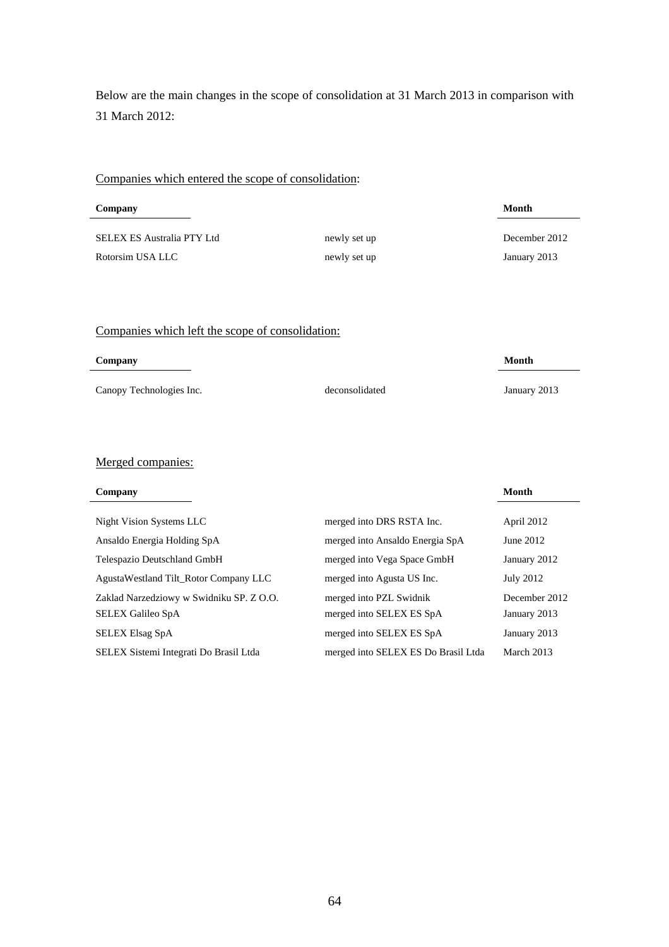Below are the main changes in the scope of consolidation at 31 March 2013 in comparison with 31 March 2012:

### Companies which entered the scope of consolidation:

| Company                    |              | Month         |
|----------------------------|--------------|---------------|
| SELEX ES Australia PTY Ltd | newly set up | December 2012 |
| Rotorsim USA LLC           | newly set up | January 2013  |

# Companies which left the scope of consolidation:

| Company                  |                | Month        |
|--------------------------|----------------|--------------|
| Canopy Technologies Inc. | deconsolidated | January 2013 |

# Merged companies:

| Company                                  |                                     | Month            |
|------------------------------------------|-------------------------------------|------------------|
|                                          |                                     |                  |
| Night Vision Systems LLC                 | merged into DRS RSTA Inc.           | April 2012       |
| Ansaldo Energia Holding SpA              | merged into Ansaldo Energia SpA     | June 2012        |
| Telespazio Deutschland GmbH              | merged into Vega Space GmbH         | January 2012     |
| AgustaWestland Tilt_Rotor Company LLC    | merged into Agusta US Inc.          | <b>July 2012</b> |
| Zaklad Narzedziowy w Swidniku SP. Z O.O. | merged into PZL Swidnik             | December 2012    |
| <b>SELEX Galileo SpA</b>                 | merged into SELEX ES SpA            | January 2013     |
| <b>SELEX Elsag SpA</b>                   | merged into SELEX ES SpA            | January 2013     |
| SELEX Sistemi Integrati Do Brasil Ltda   | merged into SELEX ES Do Brasil Ltda | March 2013       |